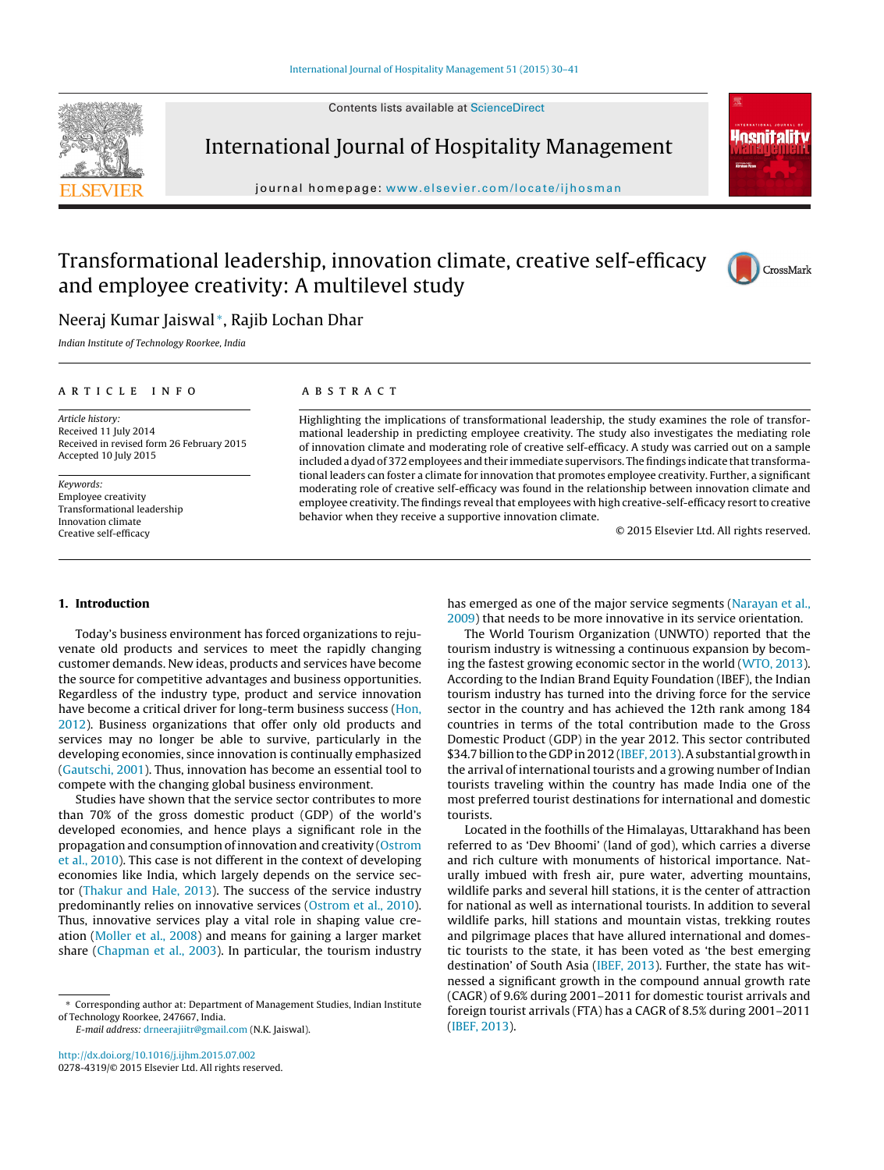Contents lists available at [ScienceDirect](http://www.sciencedirect.com/science/journal/02784319)



International Journal of Hospitality Management

iournal homepage: www.elsevier.com/locate/iihosman



# Transformational leadership, innovation climate, creative self-efficacy and employee creativity: A multilevel study



# Neeraj Kumar Jaiswal<sup>∗</sup>, Rajib Lochan Dhar

Indian Institute of Technology Roorkee, India

# a r t i c l e i n f o

Article history: Received 11 July 2014 Received in revised form 26 February 2015 Accepted 10 July 2015

Keywords: Employee creativity Transformational leadership Innovation climate Creative self-efficacy

# a b s t r a c t

Highlighting the implications of transformational leadership, the study examines the role of transformational leadership in predicting employee creativity. The study also investigates the mediating role of innovation climate and moderating role of creative self-efficacy. A study was carried out on a sample included a dyad of 372 employees and their immediate supervisors. The findings indicate that transformational leaders can foster a climate for innovation that promotes employee creativity. Further, a significant moderating role of creative self-efficacy was found in the relationship between innovation climate and employee creativity. The findings reveal that employees with high creative-self-efficacy resort to creative behavior when they receive a supportive innovation climate.

© 2015 Elsevier Ltd. All rights reserved.

# **1. Introduction**

Today's business environment has forced organizations to rejuvenate old products and services to meet the rapidly changing customer demands. New ideas, products and services have become the source for competitive advantages and business opportunities. Regardless of the industry type, product and service innovation have become a critical driver for long-term business success ([Hon,](#page-10-0) [2012\).](#page-10-0) Business organizations that offer only old products and services may no longer be able to survive, particularly in the developing economies, since innovation is continually emphasized ([Gautschi,](#page-10-0) [2001\).](#page-10-0) Thus, innovation has become an essential tool to compete with the changing global business environment.

Studies have shown that the service sector contributes to more than 70% of the gross domestic product (GDP) of the world's developed economies, and hence plays a significant role in the propagation and consumption of innovation and creativity ([Ostrom](#page-10-0) et [al.,](#page-10-0) [2010\).](#page-10-0) This case is not different in the context of developing economies like India, which largely depends on the service sector [\(Thakur](#page-11-0) [and](#page-11-0) [Hale,](#page-11-0) [2013\).](#page-11-0) The success of the service industry predominantly relies on innovative services [\(Ostrom](#page-10-0) et [al.,](#page-10-0) [2010\).](#page-10-0) Thus, innovative services play a vital role in shaping value creation [\(Moller](#page-10-0) et [al.,](#page-10-0) [2008\)](#page-10-0) and means for gaining a larger market share ([Chapman](#page-10-0) et [al.,](#page-10-0) [2003\).](#page-10-0) In particular, the tourism industry

E-mail address: [drneerajiitr@gmail.com](mailto:drneerajiitr@gmail.com) (N.K. Jaiswal).

[http://dx.doi.org/10.1016/j.ijhm.2015.07.002](dx.doi.org/10.1016/j.ijhm.2015.07.002) 0278-4319/© 2015 Elsevier Ltd. All rights reserved. has emerged as one of the major service segments ([Narayan](#page-10-0) et [al.,](#page-10-0) [2009\)](#page-10-0) that needs to be more innovative in its service orientation.

The World Tourism Organization (UNWTO) reported that the tourism industry is witnessing a continuous expansion by becoming the fastest growing economic sector in the world ([WTO,](#page-11-0) [2013\).](#page-11-0) According to the Indian Brand Equity Foundation (IBEF), the Indian tourism industry has turned into the driving force for the service sector in the country and has achieved the 12th rank among 184 countries in terms of the total contribution made to the Gross Domestic Product (GDP) in the year 2012. This sector contributed \$34.7 billion to the GDP in 2012 ([IBEF,](#page-10-0) [2013\).](#page-10-0) A substantial growth in the arrival of international tourists and a growing number of Indian tourists traveling within the country has made India one of the most preferred tourist destinations for international and domestic tourists.

Located in the foothills of the Himalayas, Uttarakhand has been referred to as 'Dev Bhoomi' (land of god), which carries a diverse and rich culture with monuments of historical importance. Naturally imbued with fresh air, pure water, adverting mountains, wildlife parks and several hill stations, it is the center of attraction for national as well as international tourists. In addition to several wildlife parks, hill stations and mountain vistas, trekking routes and pilgrimage places that have allured international and domestic tourists to the state, it has been voted as 'the best emerging destination' of South Asia [\(IBEF,](#page-10-0) [2013\).](#page-10-0) Further, the state has witnessed a significant growth in the compound annual growth rate (CAGR) of 9.6% during 2001–2011 for domestic tourist arrivals and foreign tourist arrivals (FTA) has a CAGR of 8.5% during 2001–2011 [\(IBEF,](#page-10-0) [2013\).](#page-10-0)

<sup>∗</sup> Corresponding author at: Department of Management Studies, Indian Institute of Technology Roorkee, 247667, India.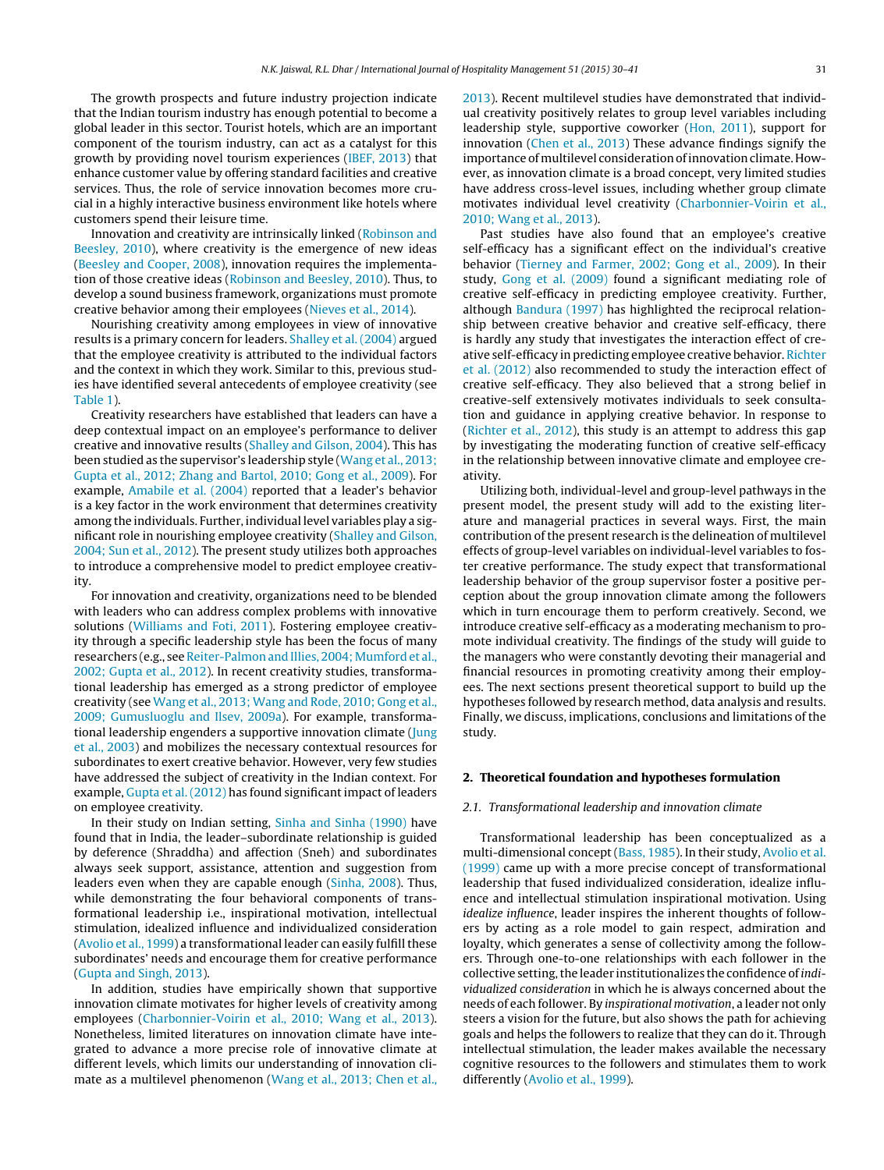The growth prospects and future industry projection indicate that the Indian tourism industry has enough potential to become a global leader in this sector. Tourist hotels, which are an important component of the tourism industry, can act as a catalyst for this growth by providing novel tourism experiences ([IBEF,](#page-10-0) [2013\)](#page-10-0) that enhance customer value by offering standard facilities and creative services. Thus, the role of service innovation becomes more crucial in a highly interactive business environment like hotels where customers spend their leisure time.

Innovation and creativity are intrinsically linked ([Robinson](#page-10-0) [and](#page-10-0) [Beesley,](#page-10-0) [2010\),](#page-10-0) where creativity is the emergence of new ideas ([Beesley](#page-10-0) [and](#page-10-0) [Cooper,](#page-10-0) [2008\),](#page-10-0) innovation requires the implementation of those creative ideas ([Robinson](#page-10-0) [and](#page-10-0) [Beesley,](#page-10-0) [2010\).](#page-10-0) Thus, to develop a sound business framework, organizations must promote creative behavior among their employees ([Nieves](#page-10-0) et [al.,](#page-10-0) [2014\).](#page-10-0)

Nourishing creativity among employees in view of innovative results is a primary concern for leaders. [Shalley](#page-10-0) et [al.](#page-10-0) [\(2004\)](#page-10-0) argued that the employee creativity is attributed to the individual factors and the context in which they work. Similar to this, previous studies have identified several antecedents of employee creativity (see [Table](#page-2-0) 1).

Creativity researchers have established that leaders can have a deep contextual impact on an employee's performance to deliver creative and innovative results [\(Shalley](#page-10-0) [and](#page-10-0) [Gilson,](#page-10-0) [2004\).](#page-10-0) This has been studied as the supervisor's leadership style [\(Wang](#page-11-0) et [al.,](#page-11-0) [2013;](#page-11-0) [Gupta](#page-11-0) et [al.,](#page-11-0) [2012;](#page-11-0) [Zhang](#page-11-0) [and](#page-11-0) [Bartol,](#page-11-0) [2010;](#page-11-0) [Gong](#page-11-0) et [al.,](#page-11-0) [2009\).](#page-11-0) For example, [Amabile](#page-10-0) et [al.](#page-10-0) [\(2004\)](#page-10-0) reported that a leader's behavior is a key factor in the work environment that determines creativity among the individuals. Further, individual level variables play a significant role in nourishing employee creativity ([Shalley](#page-10-0) [and](#page-10-0) [Gilson,](#page-10-0) [2004;](#page-10-0) [Sun](#page-10-0) et [al.,](#page-10-0) [2012\).](#page-10-0) The present study utilizes both approaches to introduce a comprehensive model to predict employee creativity.

For innovation and creativity, organizations need to be blended with leaders who can address complex problems with innovative solutions ([Williams](#page-11-0) [and](#page-11-0) [Foti,](#page-11-0) [2011\).](#page-11-0) Fostering employee creativity through a specific leadership style has been the focus of many researchers (e.g., see [Reiter-Palmon](#page-10-0) [and](#page-10-0) [Illies,](#page-10-0) [2004;](#page-10-0) [Mumford](#page-10-0) et [al.,](#page-10-0) [2002;](#page-10-0) [Gupta](#page-10-0) et [al.,](#page-10-0) [2012\).](#page-10-0) In recent creativity studies, transformational leadership has emerged as a strong predictor of employee creativity (see [Wang](#page-11-0) et [al.,](#page-11-0) [2013;](#page-11-0) [Wang](#page-11-0) [and](#page-11-0) [Rode,](#page-11-0) [2010;](#page-11-0) [Gong](#page-11-0) et [al.,](#page-11-0) [2009;](#page-11-0) [Gumusluoglu](#page-11-0) [and](#page-11-0) [Ilsev,](#page-11-0) [2009a\).](#page-11-0) For example, transformational leadership engenders a supportive innovation climate [\(Jung](#page-10-0) et [al.,](#page-10-0) [2003\)](#page-10-0) and mobilizes the necessary contextual resources for subordinates to exert creative behavior. However, very few studies have addressed the subject of creativity in the Indian context. For example, [Gupta](#page-10-0) et [al.](#page-10-0) [\(2012\)](#page-10-0) has found significant impact of leaders on employee creativity.

In their study on Indian setting, [Sinha](#page-10-0) [and](#page-10-0) [Sinha](#page-10-0) [\(1990\)](#page-10-0) have found that in India, the leader–subordinate relationship is guided by deference (Shraddha) and affection (Sneh) and subordinates always seek support, assistance, attention and suggestion from leaders even when they are capable enough ([Sinha,](#page-10-0) [2008\).](#page-10-0) Thus, while demonstrating the four behavioral components of transformational leadership i.e., inspirational motivation, intellectual stimulation, idealized influence and individualized consideration ([Avolio](#page-10-0) et [al.,](#page-10-0) [1999\)](#page-10-0) a transformational leader can easily fulfill these subordinates' needs and encourage them for creative performance ([Gupta](#page-10-0) [and](#page-10-0) [Singh,](#page-10-0) [2013\).](#page-10-0)

In addition, studies have empirically shown that supportive innovation climate motivates for higher levels of creativity among employees [\(Charbonnier-Voirin](#page-10-0) et [al.,](#page-10-0) [2010;](#page-10-0) [Wang](#page-10-0) et [al.,](#page-10-0) [2013\).](#page-10-0) Nonetheless, limited literatures on innovation climate have integrated to advance a more precise role of innovative climate at different levels, which limits our understanding of innovation climate as a multilevel phenomenon [\(Wang](#page-11-0) et [al.,](#page-11-0) [2013;](#page-11-0) [Chen](#page-11-0) et [al.,](#page-11-0)

[2013\).](#page-11-0) Recent multilevel studies have demonstrated that individual creativity positively relates to group level variables including leadership style, supportive coworker ([Hon,](#page-10-0) [2011\),](#page-10-0) support for innovation [\(Chen](#page-10-0) et [al.,](#page-10-0) [2013\)](#page-10-0) These advance findings signify the importance of multilevel consideration of innovation climate. However, as innovation climate is a broad concept, very limited studies have address cross-level issues, including whether group climate motivates individual level creativity ([Charbonnier-Voirin](#page-10-0) et [al.,](#page-10-0) [2010;](#page-10-0) [Wang](#page-10-0) et [al.,](#page-10-0) [2013\).](#page-10-0)

Past studies have also found that an employee's creative self-efficacy has a significant effect on the individual's creative behavior [\(Tierney](#page-11-0) [and](#page-11-0) [Farmer,](#page-11-0) [2002;](#page-11-0) [Gong](#page-11-0) et [al.,](#page-11-0) [2009\).](#page-11-0) In their study, [Gong](#page-10-0) et [al.](#page-10-0) [\(2009\)](#page-10-0) found a significant mediating role of creative self-efficacy in predicting employee creativity. Further, although [Bandura](#page-10-0) [\(1997\)](#page-10-0) has highlighted the reciprocal relationship between creative behavior and creative self-efficacy, there is hardly any study that investigates the interaction effect of creative self-efficacy in predicting employee creative behavior. [Richter](#page-10-0) et [al.](#page-10-0) [\(2012\)](#page-10-0) also recommended to study the interaction effect of creative self-efficacy. They also believed that a strong belief in creative-self extensively motivates individuals to seek consultation and guidance in applying creative behavior. In response to [\(Richter](#page-10-0) et [al.,](#page-10-0) [2012\),](#page-10-0) this study is an attempt to address this gap by investigating the moderating function of creative self-efficacy in the relationship between innovative climate and employee creativity.

Utilizing both, individual-level and group-level pathways in the present model, the present study will add to the existing literature and managerial practices in several ways. First, the main contribution of the present research is the delineation of multilevel effects of group-level variables on individual-level variables to foster creative performance. The study expect that transformational leadership behavior of the group supervisor foster a positive perception about the group innovation climate among the followers which in turn encourage them to perform creatively. Second, we introduce creative self-efficacy as a moderating mechanism to promote individual creativity. The findings of the study will guide to the managers who were constantly devoting their managerial and financial resources in promoting creativity among their employees. The next sections present theoretical support to build up the hypotheses followed by research method, data analysis and results. Finally, we discuss, implications, conclusions and limitations of the study.

#### **2. Theoretical foundation and hypotheses formulation**

# 2.1. Transformational leadership and innovation climate

Transformational leadership has been conceptualized as a multi-dimensional concept ([Bass,](#page-10-0) [1985\).](#page-10-0) In their study, [Avolio](#page-10-0) et [al.](#page-10-0) [\(1999\)](#page-10-0) came up with a more precise concept of transformational leadership that fused individualized consideration, idealize influence and intellectual stimulation inspirational motivation. Using idealize influence, leader inspires the inherent thoughts of followers by acting as a role model to gain respect, admiration and loyalty, which generates a sense of collectivity among the followers. Through one-to-one relationships with each follower in the collective setting, the leader institutionalizes the confidence of *indi*vidualized consideration in which he is always concerned about the needs of each follower. By inspirational motivation, a leader not only steers a vision for the future, but also shows the path for achieving goals and helps the followers to realize that they can do it. Through intellectual stimulation, the leader makes available the necessary cognitive resources to the followers and stimulates them to work differently ([Avolio](#page-10-0) et [al.,](#page-10-0) [1999\).](#page-10-0)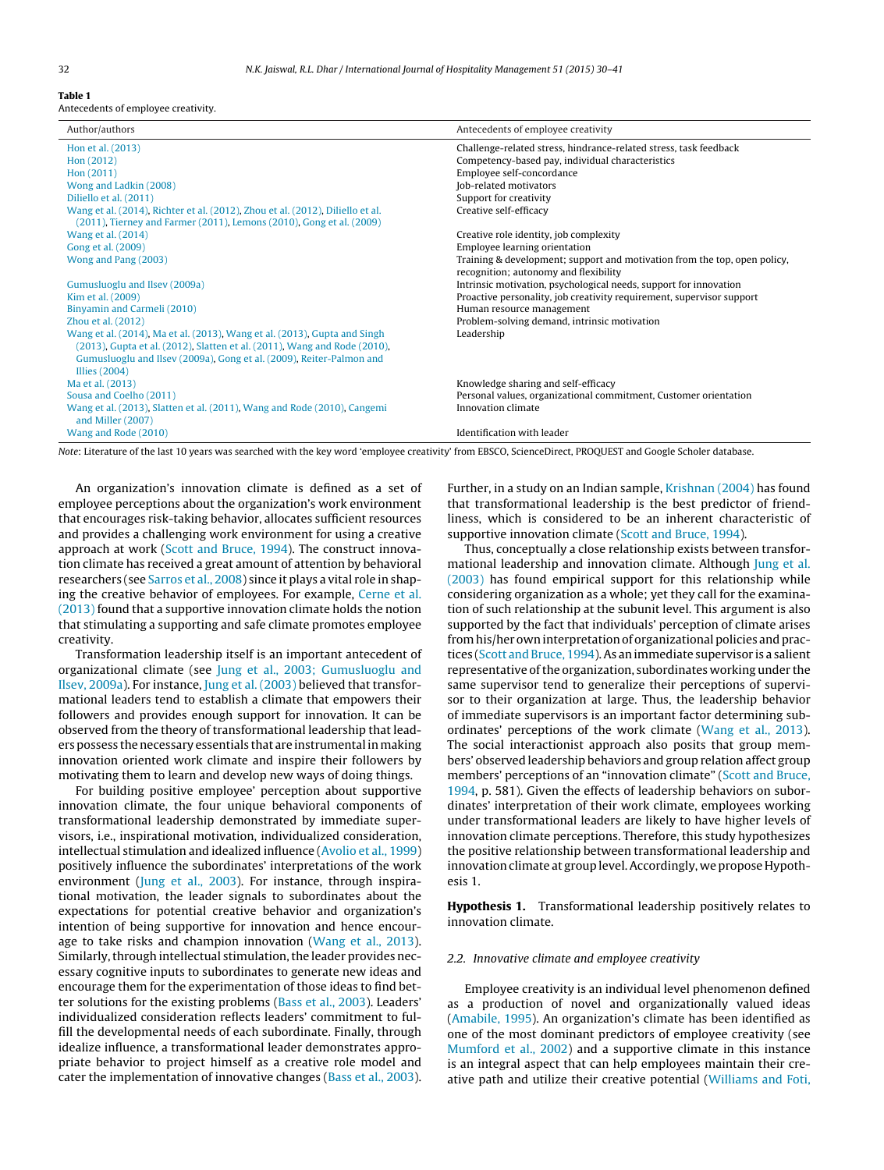<span id="page-2-0"></span>Antecedents of employee creativity.

| Challenge-related stress, hindrance-related stress, task feedback<br>Hon et al. (2013)<br>Competency-based pay, individual characteristics<br>Hon $(2012)$<br>Employee self-concordance<br>Hon $(2011)$<br>Job-related motivators<br>Wong and Ladkin (2008)<br>Support for creativity<br>Diliello et al. (2011)<br>Wang et al. (2014), Richter et al. (2012), Zhou et al. (2012), Diliello et al.<br>Creative self-efficacy<br>(2011), Tierney and Farmer (2011), Lemons (2010), Gong et al. (2009) |
|-----------------------------------------------------------------------------------------------------------------------------------------------------------------------------------------------------------------------------------------------------------------------------------------------------------------------------------------------------------------------------------------------------------------------------------------------------------------------------------------------------|
|                                                                                                                                                                                                                                                                                                                                                                                                                                                                                                     |
|                                                                                                                                                                                                                                                                                                                                                                                                                                                                                                     |
|                                                                                                                                                                                                                                                                                                                                                                                                                                                                                                     |
|                                                                                                                                                                                                                                                                                                                                                                                                                                                                                                     |
|                                                                                                                                                                                                                                                                                                                                                                                                                                                                                                     |
|                                                                                                                                                                                                                                                                                                                                                                                                                                                                                                     |
|                                                                                                                                                                                                                                                                                                                                                                                                                                                                                                     |
| Wang et al. (2014)<br>Creative role identity, job complexity                                                                                                                                                                                                                                                                                                                                                                                                                                        |
| Employee learning orientation<br>Gong et al. (2009)                                                                                                                                                                                                                                                                                                                                                                                                                                                 |
| Training & development; support and motivation from the top, open policy,<br>Wong and Pang (2003)                                                                                                                                                                                                                                                                                                                                                                                                   |
| recognition; autonomy and flexibility                                                                                                                                                                                                                                                                                                                                                                                                                                                               |
| Intrinsic motivation, psychological needs, support for innovation<br>Gumusluoglu and Ilsev (2009a)                                                                                                                                                                                                                                                                                                                                                                                                  |
| Proactive personality, job creativity requirement, supervisor support<br>Kim et al. (2009)                                                                                                                                                                                                                                                                                                                                                                                                          |
| Binyamin and Carmeli (2010)<br>Human resource management                                                                                                                                                                                                                                                                                                                                                                                                                                            |
| Problem-solving demand, intrinsic motivation<br>Zhou et al. (2012)                                                                                                                                                                                                                                                                                                                                                                                                                                  |
| Leadership<br>Wang et al. (2014), Ma et al. (2013), Wang et al. (2013), Gupta and Singh                                                                                                                                                                                                                                                                                                                                                                                                             |
| (2013), Gupta et al. (2012), Slatten et al. (2011), Wang and Rode (2010),                                                                                                                                                                                                                                                                                                                                                                                                                           |
| Gumusluoglu and Ilsev (2009a), Gong et al. (2009), Reiter-Palmon and                                                                                                                                                                                                                                                                                                                                                                                                                                |
| Illies $(2004)$                                                                                                                                                                                                                                                                                                                                                                                                                                                                                     |
| Ma et al. (2013)<br>Knowledge sharing and self-efficacy                                                                                                                                                                                                                                                                                                                                                                                                                                             |
| Sousa and Coelho (2011)<br>Personal values, organizational commitment, Customer orientation                                                                                                                                                                                                                                                                                                                                                                                                         |
| Wang et al. (2013), Slatten et al. (2011), Wang and Rode (2010), Cangemi<br>Innovation climate                                                                                                                                                                                                                                                                                                                                                                                                      |
| and Miller (2007)                                                                                                                                                                                                                                                                                                                                                                                                                                                                                   |
| Identification with leader<br>Wang and Rode (2010)                                                                                                                                                                                                                                                                                                                                                                                                                                                  |

Note: Literature of the last 10 years was searched with the key word 'employee creativity' from EBSCO, ScienceDirect, PROQUEST and Google Scholer database.

An organization's innovation climate is defined as a set of employee perceptions about the organization's work environment that encourages risk-taking behavior, allocates sufficient resources and provides a challenging work environment for using a creative approach at work [\(Scott](#page-10-0) [and](#page-10-0) [Bruce,](#page-10-0) [1994\).](#page-10-0) The construct innovation climate has received a great amount of attention by behavioral researchers (see [Sarros](#page-10-0) et [al.,](#page-10-0) [2008\)](#page-10-0) since it plays a vital role in shaping the creative behavior of employees. For example, [Cerne](#page-10-0) et [al.](#page-10-0) [\(2013\)](#page-10-0) found that a supportive innovation climate holds the notion that stimulating a supporting and safe climate promotes employee creativity.

Transformation leadership itself is an important antecedent of organizational climate (see [Jung](#page-10-0) et [al.,](#page-10-0) [2003;](#page-10-0) [Gumusluoglu](#page-10-0) [and](#page-10-0) [Ilsev,](#page-10-0) [2009a\).](#page-10-0) For instance, [Jung](#page-10-0) et [al.](#page-10-0) [\(2003\)](#page-10-0) believed that transformational leaders tend to establish a climate that empowers their followers and provides enough support for innovation. It can be observed from the theory of transformational leadership that leaders possess the necessary essentials that are instrumental in making innovation oriented work climate and inspire their followers by motivating them to learn and develop new ways of doing things.

For building positive employee' perception about supportive innovation climate, the four unique behavioral components of transformational leadership demonstrated by immediate supervisors, i.e., inspirational motivation, individualized consideration, intellectual stimulation and idealized influence [\(Avolio](#page-10-0) et [al.,](#page-10-0) [1999\)](#page-10-0) positively influence the subordinates' interpretations of the work environment ([Jung](#page-10-0) et [al.,](#page-10-0) [2003\).](#page-10-0) For instance, through inspirational motivation, the leader signals to subordinates about the expectations for potential creative behavior and organization's intention of being supportive for innovation and hence encourage to take risks and champion innovation [\(Wang](#page-11-0) et [al.,](#page-11-0) [2013\).](#page-11-0) Similarly, through intellectual stimulation, the leader provides necessary cognitive inputs to subordinates to generate new ideas and encourage them for the experimentation of those ideas to find better solutions for the existing problems [\(Bass](#page-10-0) et [al.,](#page-10-0) [2003\).](#page-10-0) Leaders' individualized consideration reflects leaders' commitment to fulfill the developmental needs of each subordinate. Finally, through idealize influence, a transformational leader demonstrates appropriate behavior to project himself as a creative role model and cater the implementation of innovative changes ([Bass](#page-10-0) et [al.,](#page-10-0) [2003\).](#page-10-0) Further, in a study on an Indian sample, [Krishnan](#page-10-0) [\(2004\)](#page-10-0) has found that transformational leadership is the best predictor of friendliness, which is considered to be an inherent characteristic of supportive innovation climate ([Scott](#page-10-0) [and](#page-10-0) [Bruce,](#page-10-0) [1994\).](#page-10-0)

Thus, conceptually a close relationship exists between transfor-mational leadership and innovation climate. Although [Jung](#page-10-0) et [al.](#page-10-0) [\(2003\)](#page-10-0) has found empirical support for this relationship while considering organization as a whole; yet they call for the examination of such relationship at the subunit level. This argument is also supported by the fact that individuals' perception of climate arises from his/her own interpretation of organizational policies and prac-tices [\(Scott](#page-10-0) and Bruce, [1994\).](#page-10-0) As an immediate supervisor is a salient representative of the organization, subordinates working under the same supervisor tend to generalize their perceptions of supervisor to their organization at large. Thus, the leadership behavior of immediate supervisors is an important factor determining subordinates' perceptions of the work climate [\(Wang](#page-11-0) et [al.,](#page-11-0) [2013\).](#page-11-0) The social interactionist approach also posits that group members' observed leadership behaviors and group relation affect group members' perceptions of an "innovation climate" [\(Scott](#page-10-0) [and](#page-10-0) [Bruce,](#page-10-0) [1994,](#page-10-0) p. 581). Given the effects of leadership behaviors on subordinates' interpretation of their work climate, employees working under transformational leaders are likely to have higher levels of innovation climate perceptions. Therefore, this study hypothesizes the positive relationship between transformational leadership and innovation climate at group level. Accordingly, we propose Hypothesis 1.

**Hypothesis 1.** Transformational leadership positively relates to innovation climate.

#### 2.2. Innovative climate and employee creativity

Employee creativity is an individual level phenomenon defined as a production of novel and organizationally valued ideas [\(Amabile,](#page-10-0) [1995\).](#page-10-0) An organization's climate has been identified as one of the most dominant predictors of employee creativity (see [Mumford](#page-10-0) et [al.,](#page-10-0) [2002\)](#page-10-0) and a supportive climate in this instance is an integral aspect that can help employees maintain their creative path and utilize their creative potential [\(Williams](#page-11-0) [and](#page-11-0) [Foti,](#page-11-0)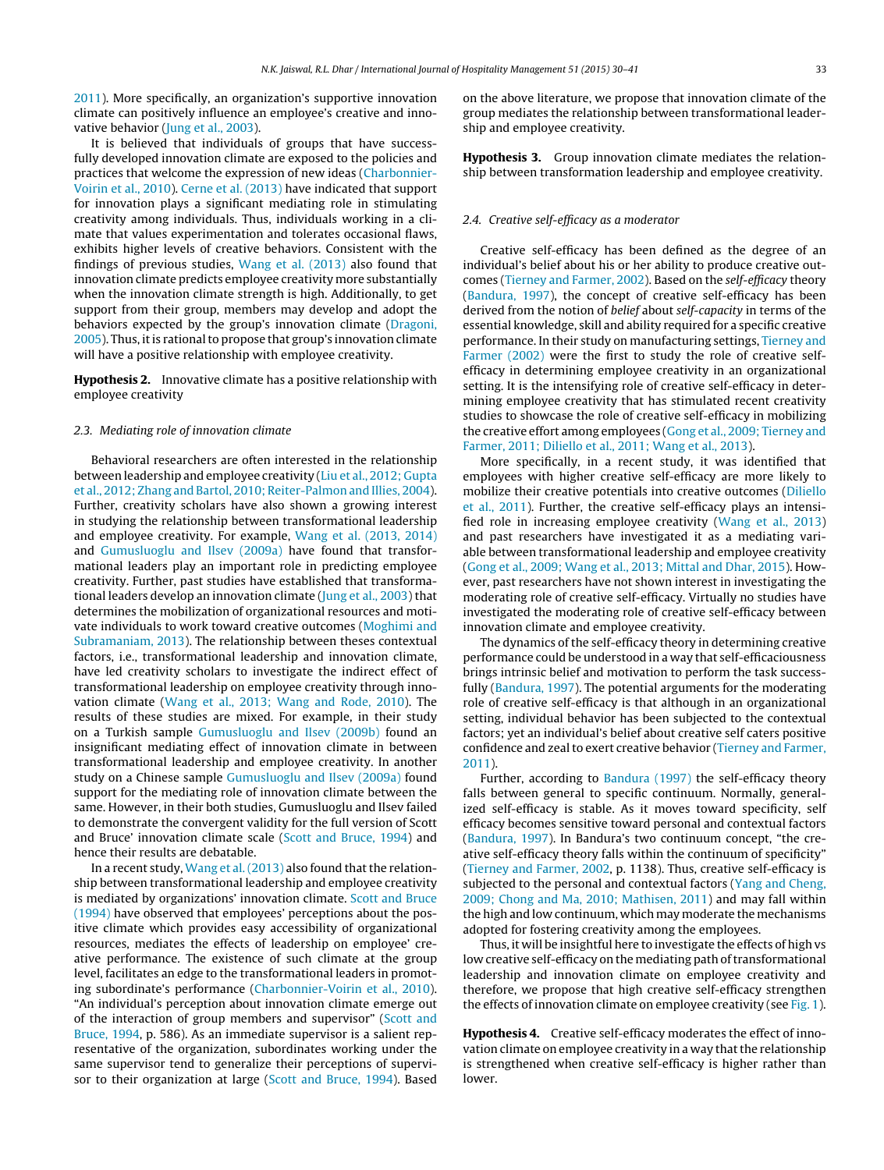[2011\).](#page-11-0) More specifically, an organization's supportive innovation climate can positively influence an employee's creative and inno-vative behavior ([Jung](#page-10-0) et [al.,](#page-10-0) [2003\).](#page-10-0)

It is believed that individuals of groups that have successfully developed innovation climate are exposed to the policies and practices that welcome the expression of new ideas [\(Charbonnier-](#page-10-0)Voirin et [al.,](#page-10-0) [2010\).](#page-10-0) [Cerne](#page-10-0) et [al.](#page-10-0) [\(2013\)](#page-10-0) have indicated that support for innovation plays a significant mediating role in stimulating creativity among individuals. Thus, individuals working in a climate that values experimentation and tolerates occasional flaws, exhibits higher levels of creative behaviors. Consistent with the findings of previous studies, [Wang](#page-11-0) et [al.](#page-11-0) [\(2013\)](#page-11-0) also found that innovation climate predicts employee creativity more substantially when the innovation climate strength is high. Additionally, to get support from their group, members may develop and adopt the behaviors expected by the group's innovation climate ([Dragoni,](#page-10-0) [2005\).](#page-10-0) Thus, it is rational to propose that group's innovation climate will have a positive relationship with employee creativity.

**Hypothesis 2.** Innovative climate has a positive relationship with employee creativity

#### 2.3. Mediating role of innovation climate

Behavioral researchers are often interested in the relationship between leadership and employee creativity ([Liu](#page-10-0) et [al.,](#page-10-0) [2012;](#page-10-0) [Gupta](#page-10-0) et [al.,](#page-10-0) [2012;](#page-10-0) [Zhang](#page-10-0) [and](#page-10-0) [Bartol,](#page-10-0) [2010;](#page-10-0) [Reiter-Palmon](#page-10-0) [and](#page-10-0) [Illies,](#page-10-0) [2004\).](#page-10-0) Further, creativity scholars have also shown a growing interest in studying the relationship between transformational leadership and employee creativity. For example, [Wang](#page-11-0) et [al.](#page-11-0) [\(2013,](#page-11-0) [2014\)](#page-11-0) and [Gumusluoglu](#page-10-0) [and](#page-10-0) [Ilsev](#page-10-0) [\(2009a\)](#page-10-0) have found that transformational leaders play an important role in predicting employee creativity. Further, past studies have established that transformational leaders develop an innovation climate ([Jung](#page-10-0) et [al.,](#page-10-0) [2003\)](#page-10-0) that determines the mobilization of organizational resources and motivate individuals to work toward creative outcomes [\(Moghimi](#page-10-0) [and](#page-10-0) [Subramaniam,](#page-10-0) [2013\).](#page-10-0) The relationship between theses contextual factors, i.e., transformational leadership and innovation climate, have led creativity scholars to investigate the indirect effect of transformational leadership on employee creativity through innovation climate ([Wang](#page-11-0) et [al.,](#page-11-0) [2013;](#page-11-0) [Wang](#page-11-0) [and](#page-11-0) [Rode,](#page-11-0) [2010\).](#page-11-0) The results of these studies are mixed. For example, in their study on a Turkish sample [Gumusluoglu](#page-10-0) [and](#page-10-0) [Ilsev](#page-10-0) [\(2009b\)](#page-10-0) found an insignificant mediating effect of innovation climate in between transformational leadership and employee creativity. In another study on a Chinese sample [Gumusluoglu](#page-10-0) [and](#page-10-0) [Ilsev](#page-10-0) [\(2009a\)](#page-10-0) found support for the mediating role of innovation climate between the same. However, in their both studies, Gumusluoglu and Ilsev failed to demonstrate the convergent validity for the full version of Scott and Bruce' innovation climate scale [\(Scott](#page-10-0) [and](#page-10-0) [Bruce,](#page-10-0) [1994\)](#page-10-0) and hence their results are debatable.

In a recent study, [Wang](#page-11-0) et al.  $(2013)$  also found that the relationship between transformational leadership and employee creativity is mediated by organizations' innovation climate. [Scott](#page-10-0) [and](#page-10-0) [Bruce](#page-10-0) [\(1994\)](#page-10-0) have observed that employees' perceptions about the positive climate which provides easy accessibility of organizational resources, mediates the effects of leadership on employee' creative performance. The existence of such climate at the group level, facilitates an edge to the transformational leaders in promoting subordinate's performance ([Charbonnier-Voirin](#page-10-0) et [al.,](#page-10-0) [2010\).](#page-10-0) "An individual's perception about innovation climate emerge out of the interaction of group members and supervisor" ([Scott](#page-10-0) [and](#page-10-0) [Bruce,](#page-10-0) [1994,](#page-10-0) p. 586). As an immediate supervisor is a salient representative of the organization, subordinates working under the same supervisor tend to generalize their perceptions of supervisor to their organization at large ([Scott](#page-10-0) [and](#page-10-0) [Bruce,](#page-10-0) [1994\).](#page-10-0) Based

on the above literature, we propose that innovation climate of the group mediates the relationship between transformational leadership and employee creativity.

**Hypothesis 3.** Group innovation climate mediates the relationship between transformation leadership and employee creativity.

#### 2.4. Creative self-efficacy as a moderator

Creative self-efficacy has been defined as the degree of an individual's belief about his or her ability to produce creative outcomes [\(Tierney](#page-11-0) [and](#page-11-0) [Farmer,](#page-11-0) [2002\).](#page-11-0) Based on the self-efficacy theory [\(Bandura,](#page-10-0) [1997\),](#page-10-0) the concept of creative self-efficacy has been derived from the notion of belief about self-capacity in terms of the essential knowledge, skill and ability required for a specific creative performance. In their study on manufacturing settings, [Tierney](#page-11-0) [and](#page-11-0) [Farmer](#page-11-0) [\(2002\)](#page-11-0) were the first to study the role of creative selfefficacy in determining employee creativity in an organizational setting. It is the intensifying role of creative self-efficacy in determining employee creativity that has stimulated recent creativity studies to showcase the role of creative self-efficacy in mobilizing the creative effort among employees ([Gong](#page-10-0) et [al.,](#page-10-0) [2009;](#page-10-0) [Tierney](#page-10-0) [and](#page-10-0) [Farmer,](#page-10-0) [2011;](#page-10-0) [Diliello](#page-10-0) et [al.,](#page-10-0) [2011;](#page-10-0) [Wang](#page-10-0) et [al.,](#page-10-0) [2013\).](#page-10-0)

More specifically, in a recent study, it was identified that employees with higher creative self-efficacy are more likely to mobilize their creative potentials into creative outcomes [\(Diliello](#page-10-0) et [al.,](#page-10-0) [2011\).](#page-10-0) Further, the creative self-efficacy plays an intensified role in increasing employee creativity [\(Wang](#page-11-0) et [al.,](#page-11-0) [2013\)](#page-11-0) and past researchers have investigated it as a mediating variable between transformational leadership and employee creativity [\(Gong](#page-10-0) et [al.,](#page-10-0) [2009;](#page-10-0) [Wang](#page-10-0) et [al.,](#page-10-0) [2013;](#page-10-0) [Mittal](#page-10-0) [and](#page-10-0) [Dhar,](#page-10-0) [2015\).](#page-10-0) However, past researchers have not shown interest in investigating the moderating role of creative self-efficacy. Virtually no studies have investigated the moderating role of creative self-efficacy between innovation climate and employee creativity.

The dynamics of the self-efficacy theory in determining creative performance could be understood in a way that self-efficaciousness brings intrinsic belief and motivation to perform the task successfully ([Bandura,](#page-10-0) [1997\).](#page-10-0) The potential arguments for the moderating role of creative self-efficacy is that although in an organizational setting, individual behavior has been subjected to the contextual factors; yet an individual's belief about creative self caters positive confidence and zeal to exert creative behavior [\(Tierney](#page-11-0) [and](#page-11-0) [Farmer,](#page-11-0) [2011\).](#page-11-0)

Further, according to [Bandura](#page-10-0) [\(1997\)](#page-10-0) the self-efficacy theory falls between general to specific continuum. Normally, generalized self-efficacy is stable. As it moves toward specificity, self efficacy becomes sensitive toward personal and contextual factors [\(Bandura,](#page-10-0) [1997\).](#page-10-0) In Bandura's two continuum concept, "the creative self-efficacy theory falls within the continuum of specificity" [\(Tierney](#page-11-0) [and](#page-11-0) [Farmer,](#page-11-0) [2002,](#page-11-0) p. 1138). Thus, creative self-efficacy is subjected to the personal and contextual factors ([Yang](#page-11-0) [and](#page-11-0) [Cheng,](#page-11-0) [2009;](#page-11-0) [Chong](#page-11-0) [and](#page-11-0) [Ma,](#page-11-0) [2010;](#page-11-0) [Mathisen,](#page-11-0) [2011\)](#page-11-0) and may fall within the high and low continuum, which may moderate the mechanisms adopted for fostering creativity among the employees.

Thus, it will be insightful here to investigate the effects of high vs low creative self-efficacy on the mediating path of transformational leadership and innovation climate on employee creativity and therefore, we propose that high creative self-efficacy strengthen the effects of innovation climate on employee creativity (see  $Fig. 1$  $Fig. 1$ ).

**Hypothesis 4.** Creative self-efficacy moderates the effect of innovation climate on employee creativity in a way that the relationship is strengthened when creative self-efficacy is higher rather than lower.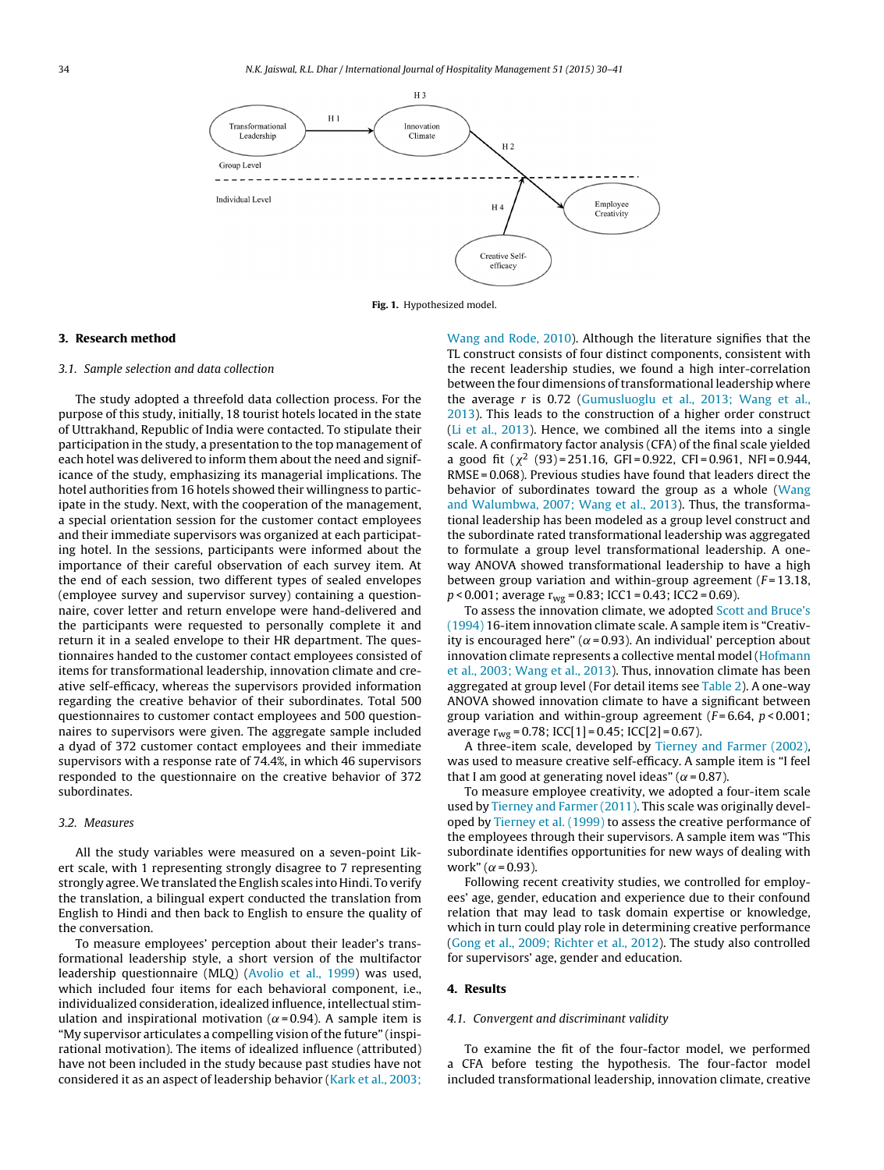<span id="page-4-0"></span>

**Fig. 1.** Hypothesized model.

#### **3. Research method**

#### 3.1. Sample selection and data collection

The study adopted a threefold data collection process. For the purpose of this study, initially, 18 tourist hotels located in the state of Uttrakhand, Republic of India were contacted. To stipulate their participation in the study, a presentation to the top management of each hotel was delivered to inform them about the need and significance of the study, emphasizing its managerial implications. The hotel authorities from 16 hotels showed their willingness to participate in the study. Next, with the cooperation of the management, a special orientation session for the customer contact employees and their immediate supervisors was organized at each participating hotel. In the sessions, participants were informed about the importance of their careful observation of each survey item. At the end of each session, two different types of sealed envelopes (employee survey and supervisor survey) containing a questionnaire, cover letter and return envelope were hand-delivered and the participants were requested to personally complete it and return it in a sealed envelope to their HR department. The questionnaires handed to the customer contact employees consisted of items for transformational leadership, innovation climate and creative self-efficacy, whereas the supervisors provided information regarding the creative behavior of their subordinates. Total 500 questionnaires to customer contact employees and 500 questionnaires to supervisors were given. The aggregate sample included a dyad of 372 customer contact employees and their immediate supervisors with a response rate of 74.4%, in which 46 supervisors responded to the questionnaire on the creative behavior of 372 subordinates.

# 3.2. Measures

All the study variables were measured on a seven-point Likert scale, with 1 representing strongly disagree to 7 representing strongly agree.We translated the English scales into Hindi. To verify the translation, a bilingual expert conducted the translation from English to Hindi and then back to English to ensure the quality of the conversation.

To measure employees' perception about their leader's transformational leadership style, a short version of the multifactor leadership questionnaire (MLQ) ([Avolio](#page-10-0) et [al.,](#page-10-0) [1999\)](#page-10-0) was used, which included four items for each behavioral component, i.e., individualized consideration, idealized influence, intellectual stimulation and inspirational motivation ( $\alpha$ =0.94). A sample item is "My supervisor articulates a compelling vision of the future" (inspirational motivation). The items of idealized influence (attributed) have not been included in the study because past studies have not considered it as an aspect of leadership behavior [\(Kark](#page-10-0) et [al.,](#page-10-0) [2003;](#page-10-0)

[Wang](#page-10-0) [and](#page-10-0) [Rode,](#page-10-0) [2010\).](#page-10-0) Although the literature signifies that the TL construct consists of four distinct components, consistent with the recent leadership studies, we found a high inter-correlation between the four dimensions of transformational leadership where the average  $r$  is 0.72 [\(Gumusluoglu](#page-10-0) et [al.,](#page-10-0) [2013;](#page-10-0) [Wang](#page-10-0) et al., [2013\).](#page-10-0) This leads to the construction of a higher order construct [\(Li](#page-10-0) et [al.,](#page-10-0) [2013\).](#page-10-0) Hence, we combined all the items into a single scale. A confirmatory factor analysis (CFA) of the final scale yielded a good fit  $(\chi^2 \ (93) = 251.16, \text{ GFI} = 0.922, \text{ CFI} = 0.961, \text{ NFI} = 0.944,$ RMSE = 0.068). Previous studies have found that leaders direct the behavior of subordinates toward the group as a whole ([Wang](#page-11-0) [and](#page-11-0) [Walumbwa,](#page-11-0) [2007;](#page-11-0) [Wang](#page-11-0) et [al.,](#page-11-0) [2013\).](#page-11-0) Thus, the transformational leadership has been modeled as a group level construct and the subordinate rated transformational leadership was aggregated to formulate a group level transformational leadership. A oneway ANOVA showed transformational leadership to have a high between group variation and within-group agreement  $(F = 13.18,$  $p < 0.001$ ; average  $r_{wg} = 0.83$ ; ICC1 = 0.43; ICC2 = 0.69).

To assess the innovation climate, we adopted [Scott](#page-10-0) [and](#page-10-0) [Bruce's](#page-10-0) [\(1994\)](#page-10-0) 16-item innovation climate scale. A sample item is "Creativity is encouraged here" ( $\alpha$  = 0.93). An individual' perception about innovation climate represents a collective mental model [\(Hofmann](#page-10-0) et [al.,](#page-10-0) [2003;](#page-10-0) [Wang](#page-10-0) et [al.,](#page-10-0) [2013\).](#page-10-0) Thus, innovation climate has been aggregated at group level (For detail items see [Table](#page-5-0) 2). A one-way ANOVA showed innovation climate to have a significant between group variation and within-group agreement ( $F = 6.64$ ,  $p < 0.001$ ; average  $r_{wg} = 0.78$ ; ICC[1] = 0.45; ICC[2] = 0.67).

A three-item scale, developed by [Tierney](#page-11-0) [and](#page-11-0) [Farmer](#page-11-0) [\(2002\),](#page-11-0) was used to measure creative self-efficacy. A sample item is "I feel that I am good at generating novel ideas" ( $\alpha$  = 0.87).

To measure employee creativity, we adopted a four-item scale used by [Tierney](#page-11-0) [and](#page-11-0) [Farmer](#page-11-0) [\(2011\).](#page-11-0) This scale was originally devel-oped by [Tierney](#page-11-0) et [al.](#page-11-0) [\(1999\)](#page-11-0) to assess the creative performance of the employees through their supervisors. A sample item was "This subordinate identifies opportunities for new ways of dealing with work" ( $\alpha$  = 0.93).

Following recent creativity studies, we controlled for employees' age, gender, education and experience due to their confound relation that may lead to task domain expertise or knowledge, which in turn could play role in determining creative performance [\(Gong](#page-10-0) et [al.,](#page-10-0) [2009;](#page-10-0) [Richter](#page-10-0) et [al.,](#page-10-0) [2012\).](#page-10-0) The study also controlled for supervisors' age, gender and education.

#### **4. Results**

#### 4.1. Convergent and discriminant validity

To examine the fit of the four-factor model, we performed a CFA before testing the hypothesis. The four-factor model included transformational leadership, innovation climate, creative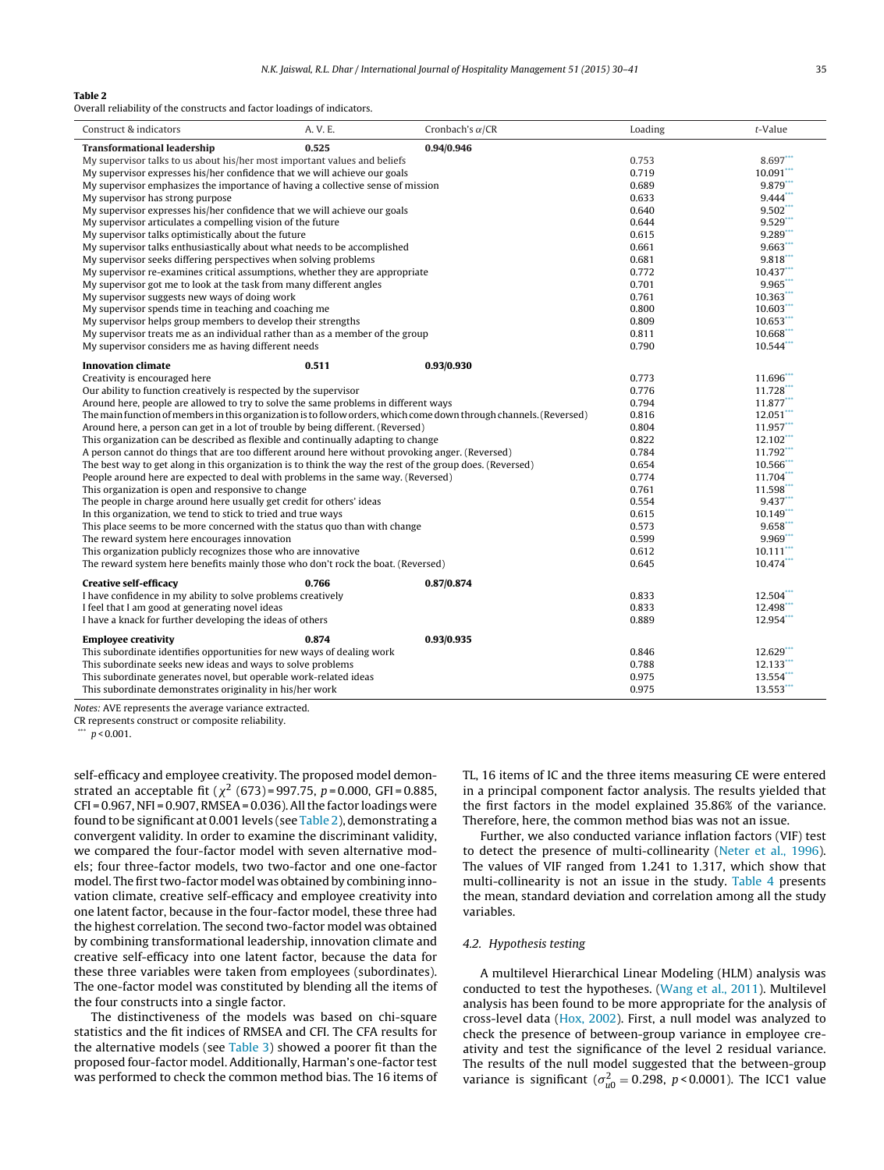<span id="page-5-0"></span>Overall reliability of the constructs and factor loadings of indicators.

| Construct & indicators                                                                                              | A. V. E. | Cronbach's $\alpha$ /CR | Loading | $t$ -Value   |
|---------------------------------------------------------------------------------------------------------------------|----------|-------------------------|---------|--------------|
| <b>Transformational leadership</b>                                                                                  | 0.525    | 0.94/0.946              |         |              |
| My supervisor talks to us about his/her most important values and beliefs                                           |          |                         | 0.753   | $8.697***$   |
| My supervisor expresses his/her confidence that we will achieve our goals                                           |          |                         | 0.719   | $10.091***$  |
| My supervisor emphasizes the importance of having a collective sense of mission                                     |          |                         | 0.689   | 9.879***     |
| My supervisor has strong purpose                                                                                    |          |                         | 0.633   | 9.444        |
| My supervisor expresses his/her confidence that we will achieve our goals                                           |          |                         | 0.640   | 9.502        |
| My supervisor articulates a compelling vision of the future                                                         |          |                         | 0.644   | $9.529***$   |
| My supervisor talks optimistically about the future                                                                 |          |                         | 0.615   | $9.289$ ***  |
| My supervisor talks enthusiastically about what needs to be accomplished                                            | 0.661    | $9.663***$              |         |              |
| My supervisor seeks differing perspectives when solving problems                                                    | 0.681    | $9.818***$              |         |              |
| My supervisor re-examines critical assumptions, whether they are appropriate                                        | 0.772    | $10.437***$             |         |              |
| My supervisor got me to look at the task from many different angles                                                 | 0.701    | 9.965***                |         |              |
| My supervisor suggests new ways of doing work                                                                       |          |                         | 0.761   | $10.363$ *** |
| My supervisor spends time in teaching and coaching me                                                               |          |                         | 0.800   | $10.603$ *** |
| My supervisor helps group members to develop their strengths                                                        |          |                         | 0.809   | $10.653***$  |
| My supervisor treats me as an individual rather than as a member of the group                                       |          |                         | 0.811   | 10.668       |
| My supervisor considers me as having different needs                                                                |          |                         | 0.790   | 10.544***    |
| <b>Innovation climate</b>                                                                                           | 0.511    | 0.93/0.930              |         |              |
| Creativity is encouraged here                                                                                       |          |                         | 0.773   | 11.696***    |
| Our ability to function creatively is respected by the supervisor                                                   |          |                         | 0.776   | 11.728***    |
| Around here, people are allowed to try to solve the same problems in different ways                                 |          |                         | 0.794   | $11.877$ *** |
| The main function of members in this organization is to follow orders, which come down through channels. (Reversed) | 0.816    | $12.051$ ***            |         |              |
| Around here, a person can get in a lot of trouble by being different. (Reversed)                                    | 0.804    | $11.957***$             |         |              |
| This organization can be described as flexible and continually adapting to change                                   | 0.822    | $12.102***$             |         |              |
| A person cannot do things that are too different around here without provoking anger. (Reversed)                    | 0.784    | $11.792$ ***            |         |              |
| The best way to get along in this organization is to think the way the rest of the group does. (Reversed)           | 0.654    | 10.566***               |         |              |
| People around here are expected to deal with problems in the same way. (Reversed)                                   | 0.774    | 11.704***               |         |              |
| This organization is open and responsive to change                                                                  | 0.761    | $11.598$ ***            |         |              |
| The people in charge around here usually get credit for others' ideas                                               |          |                         | 0.554   | $9.437***$   |
| In this organization, we tend to stick to tried and true ways                                                       |          |                         | 0.615   | $10.149***$  |
| This place seems to be more concerned with the status quo than with change                                          |          |                         | 0.573   | $9.658***$   |
| The reward system here encourages innovation                                                                        |          |                         | 0.599   | $9.969***$   |
| This organization publicly recognizes those who are innovative                                                      |          |                         | 0.612   | $10.111***$  |
| The reward system here benefits mainly those who don't rock the boat. (Reversed)                                    |          |                         | 0.645   | 10.474***    |
| <b>Creative self-efficacy</b>                                                                                       | 0.766    | 0.87/0.874              |         |              |
| I have confidence in my ability to solve problems creatively                                                        |          |                         | 0.833   | 12.504**     |
| I feel that I am good at generating novel ideas                                                                     |          |                         | 0.833   | 12.498***    |
| I have a knack for further developing the ideas of others                                                           |          |                         | 0.889   | 12.954***    |
| <b>Employee creativity</b>                                                                                          | 0.874    | 0.93/0.935              |         |              |
| This subordinate identifies opportunities for new ways of dealing work                                              |          |                         | 0.846   | 12.629***    |
| This subordinate seeks new ideas and ways to solve problems                                                         |          |                         | 0.788   | $12.133***$  |
| This subordinate generates novel, but operable work-related ideas                                                   |          |                         | 0.975   | $13.554$ *** |
| This subordinate demonstrates originality in his/her work                                                           |          |                         | 0.975   | $13.553$ *** |
|                                                                                                                     |          |                         |         |              |

Notes: AVE represents the average variance extracted. CR represents construct or composite reliability.

 $n < 0.001$ .

self-efficacy and employee creativity. The proposed model demonstrated an acceptable fit ( $\chi^2$  (673)=997.75, p=0.000, GFI=0.885,  $CFI = 0.967$ , NFI =  $0.907$ , RMSEA =  $0.036$ ). All the factor loadings were found to be significant at 0.001 levels (see Table 2), demonstrating a convergent validity. In order to examine the discriminant validity, we compared the four-factor model with seven alternative models; four three-factor models, two two-factor and one one-factor model. The first two-factor model was obtained by combining innovation climate, creative self-efficacy and employee creativity into one latent factor, because in the four-factor model, these three had the highest correlation. The second two-factor model was obtained by combining transformational leadership, innovation climate and creative self-efficacy into one latent factor, because the data for these three variables were taken from employees (subordinates). The one-factor model was constituted by blending all the items of the four constructs into a single factor.

The distinctiveness of the models was based on chi-square statistics and the fit indices of RMSEA and CFI. The CFA results for the alternative models (see [Table](#page-6-0) 3) showed a poorer fit than the proposed four-factor model. Additionally, Harman's one-factor test was performed to check the common method bias. The 16 items of TL, 16 items of IC and the three items measuring CE were entered in a principal component factor analysis. The results yielded that the first factors in the model explained 35.86% of the variance. Therefore, here, the common method bias was not an issue.

Further, we also conducted variance inflation factors (VIF) test to detect the presence of multi-collinearity ([Neter](#page-10-0) et [al.,](#page-10-0) [1996\).](#page-10-0) The values of VIF ranged from 1.241 to 1.317, which show that multi-collinearity is not an issue in the study. [Table](#page-6-0) 4 presents the mean, standard deviation and correlation among all the study variables.

#### 4.2. Hypothesis testing

A multilevel Hierarchical Linear Modeling (HLM) analysis was conducted to test the hypotheses. [\(Wang](#page-11-0) et [al.,](#page-11-0) [2011\).](#page-11-0) Multilevel analysis has been found to be more appropriate for the analysis of cross-level data ([Hox,](#page-10-0) [2002\).](#page-10-0) First, a null model was analyzed to check the presence of between-group variance in employee creativity and test the significance of the level 2 residual variance. The results of the null model suggested that the between-group variance is significant ( $\sigma_{u0}^2 = 0.298$ , p < 0.0001). The ICC1 value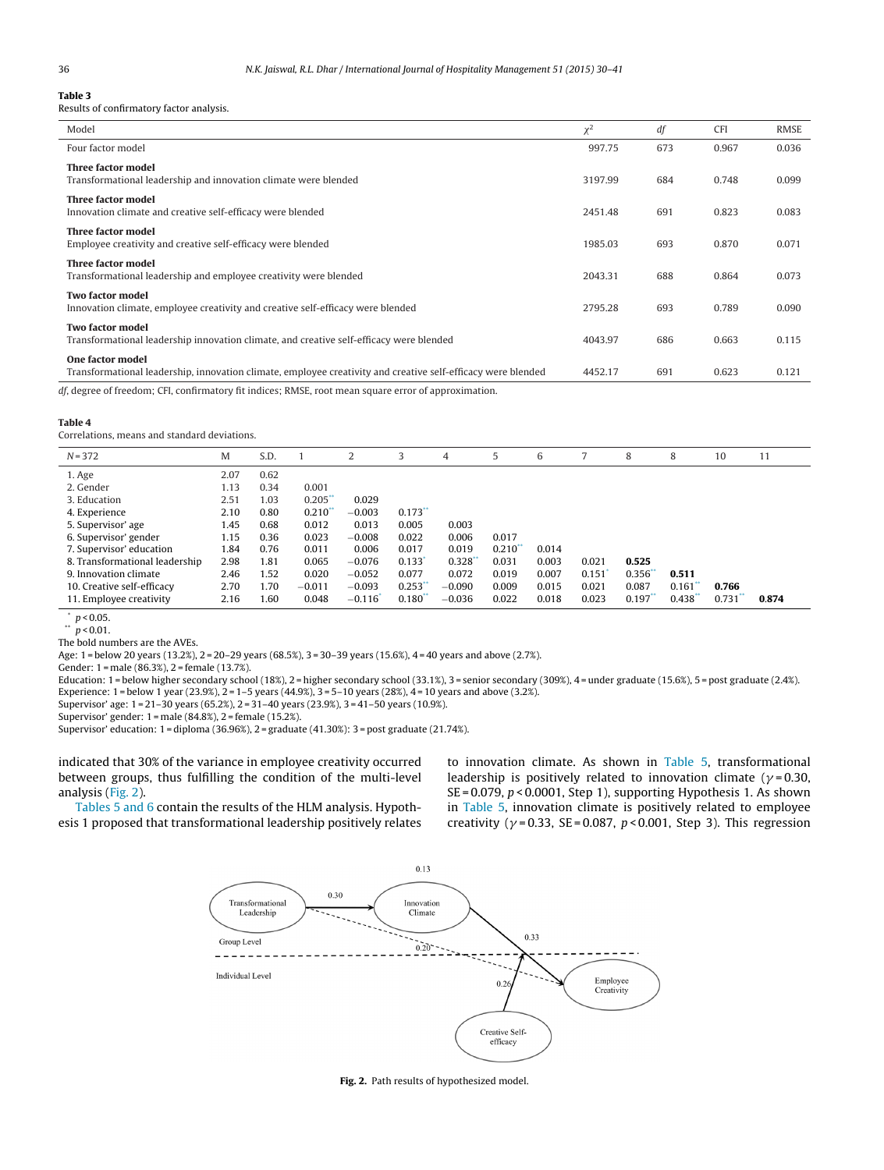<span id="page-6-0"></span>Results of confirmatory factor analysis.

| Model                                                                                                                                   | $\chi^2$ | df  | <b>CFI</b> | RMSE  |
|-----------------------------------------------------------------------------------------------------------------------------------------|----------|-----|------------|-------|
| Four factor model                                                                                                                       | 997.75   | 673 | 0.967      | 0.036 |
| <b>Three factor model</b><br>Transformational leadership and innovation climate were blended                                            | 3197.99  | 684 | 0.748      | 0.099 |
| <b>Three factor model</b><br>Innovation climate and creative self-efficacy were blended                                                 | 2451.48  | 691 | 0.823      | 0.083 |
| <b>Three factor model</b><br>Employee creativity and creative self-efficacy were blended                                                | 1985.03  | 693 | 0.870      | 0.071 |
| <b>Three factor model</b><br>Transformational leadership and employee creativity were blended                                           | 2043.31  | 688 | 0.864      | 0.073 |
| <b>Two factor model</b><br>Innovation climate, employee creativity and creative self-efficacy were blended                              | 2795.28  | 693 | 0.789      | 0.090 |
| <b>Two factor model</b><br>Transformational leadership innovation climate, and creative self-efficacy were blended                      | 4043.97  | 686 | 0.663      | 0.115 |
| <b>One factor model</b><br>Transformational leadership, innovation climate, employee creativity and creative self-efficacy were blended | 4452.17  | 691 | 0.623      | 0.121 |

df, degree of freedom; CFI, confirmatory fit indices; RMSE, root mean square error of approximation.

#### **Table 4**

Correlations, means and standard deviations.

| $N = 372$                      | M    | S.D. |          | 2        | 3           | 4                    | 5           | 6     |       | 8           | 8     | 10    | 11    |  |
|--------------------------------|------|------|----------|----------|-------------|----------------------|-------------|-------|-------|-------------|-------|-------|-------|--|
| 1. Age                         | 2.07 | 0.62 |          |          |             |                      |             |       |       |             |       |       |       |  |
| 2. Gender                      | 1.13 | 0.34 | 0.001    |          |             |                      |             |       |       |             |       |       |       |  |
| 3. Education                   | 2.51 | 1.03 | 0.205    | 0.029    |             |                      |             |       |       |             |       |       |       |  |
| 4. Experience                  | 2.10 | 0.80 | 0.210    | $-0.003$ | 0.173       |                      |             |       |       |             |       |       |       |  |
| 5. Supervisor' age             | 1.45 | 0.68 | 0.012    | 0.013    | 0.005       | 0.003                |             |       |       |             |       |       |       |  |
| 6. Supervisor' gender          | 1.15 | 0.36 | 0.023    | $-0.008$ | 0.022       | 0.006                | 0.017       |       |       |             |       |       |       |  |
| 7. Supervisor' education       | 1.84 | 0.76 | 0.011    | 0.006    | 0.017       | 0.019                | $0.210^{*}$ | 0.014 |       |             |       |       |       |  |
| 8. Transformational leadership | 2.98 | 1.81 | 0.065    | $-0.076$ | 0.133       | $0.328$ <sup>*</sup> | 0.031       | 0.003 | 0.021 | 0.525       |       |       |       |  |
| 9. Innovation climate          | 2.46 | 1.52 | 0.020    | $-0.052$ | 0.077       | 0.072                | 0.019       | 0.007 | 0.151 | $0.356^{*}$ | 0.511 |       |       |  |
| 10. Creative self-efficacy     | 2.70 | 1.70 | $-0.011$ | $-0.093$ | 0.253       | $-0.090$             | 0.009       | 0.015 | 0.021 | 0.087       | 0.161 | 0.766 |       |  |
| 11. Employee creativity        | 2.16 | 1.60 | 0.048    | $-0.116$ | $0.180^{*}$ | $-0.036$             | 0.022       | 0.018 | 0.023 | 0.197       | 0.438 | 0.731 | 0.874 |  |
|                                |      |      |          |          |             |                      |             |       |       |             |       |       |       |  |

 $\binom{p}{1}$  p < 0.05.  $p < 0.01$ .

The bold numbers are the AVEs.

Age: 1 = below 20 years (13.2%), 2 = 20–29 years (68.5%), 3 = 30–39 years (15.6%), 4 = 40 years and above (2.7%).

Gender: 1 = male (86.3%), 2 = female (13.7%).

Education: 1 = below higher secondary school (18%), 2 = higher secondary school (33.1%), 3 = senior secondary (309%), 4 = under graduate (15.6%), 5 = post graduate (2.4%). Experience: 1 = below 1 year (23.9%), 2 = 1–5 years (44.9%), 3 = 5–10 years (28%), 4 = 10 years and above (3.2%).

Supervisor' age: 1 = 21–30 years (65.2%), 2 = 31–40 years (23.9%), 3 = 41–50 years (10.9%).

Supervisor' gender: 1 = male (84.8%), 2 = female (15.2%).

Supervisor' education: 1 = diploma (36.96%), 2 = graduate (41.30%): 3 = post graduate (21.74%).

indicated that 30% of the variance in employee creativity occurred between groups, thus fulfilling the condition of the multi-level analysis (Fig. 2).

[Tables](#page-7-0) 5 and 6 contain the results of the HLM analysis. Hypothesis 1 proposed that transformational leadership positively relates to innovation climate. As shown in [Table](#page-7-0) 5, transformational leadership is positively related to innovation climate ( $\gamma$ =0.30, SE = 0.079,  $p < 0.0001$ , Step 1), supporting Hypothesis 1. As shown in [Table](#page-7-0) 5, innovation climate is positively related to employee creativity ( $\gamma$  = 0.33, SE = 0.087, p < 0.001, Step 3). This regression



**Fig. 2.** Path results of hypothesized model.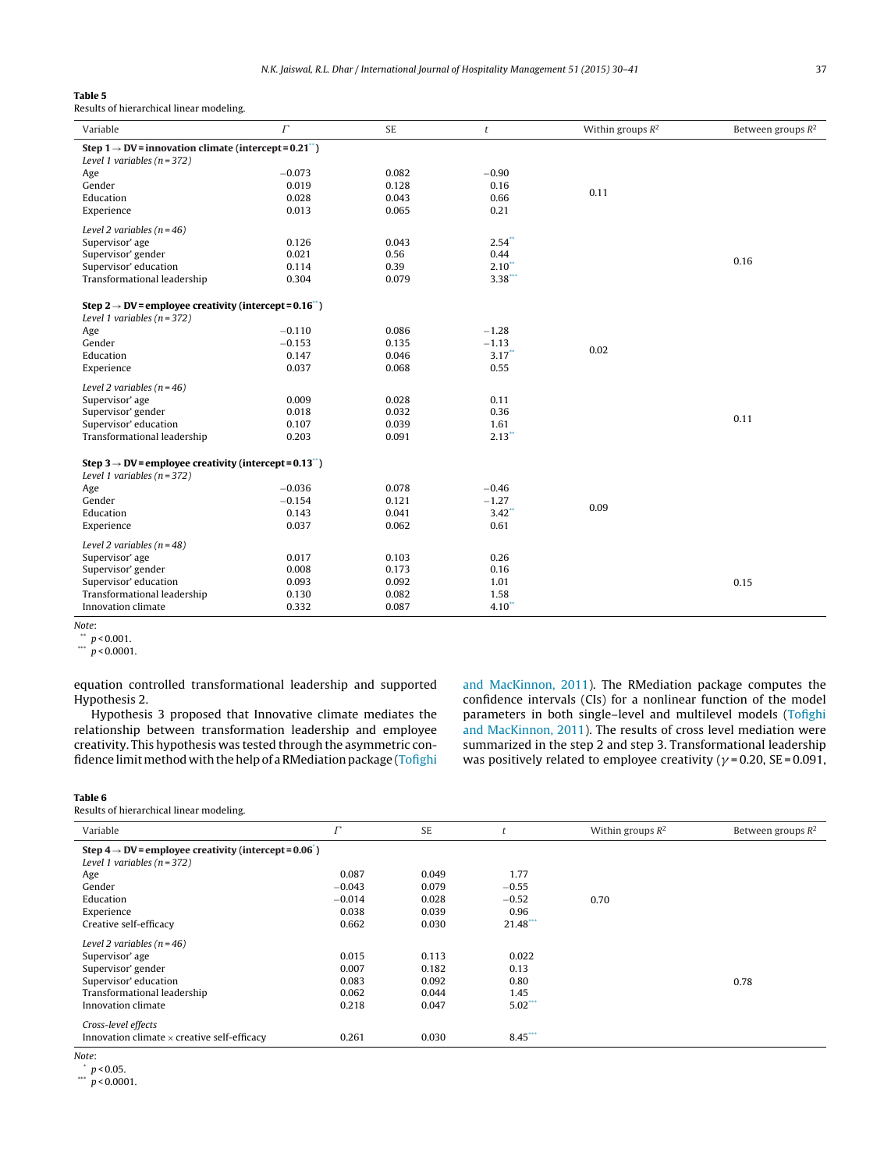<span id="page-7-0"></span>Results of hierarchical linear modeling.

| Step $1 \rightarrow DV$ = innovation climate (intercept = 0.21 <sup>**</sup> )<br>Level 1 variables ( $n = 372$ )<br>$-0.073$<br>0.082<br>$-0.90$<br>Age<br>Gender<br>0.019<br>0.128<br>0.16<br>0.11<br>0.028<br>0.043<br>0.66<br>Education<br>0.013<br>0.065<br>0.21<br>Experience<br>Level 2 variables ( $n = 46$ )<br>$2.54$ **<br>0.126<br>0.043<br>Supervisor' age<br>0.021<br>0.56<br>0.44<br>Supervisor' gender<br>0.16 |  |
|--------------------------------------------------------------------------------------------------------------------------------------------------------------------------------------------------------------------------------------------------------------------------------------------------------------------------------------------------------------------------------------------------------------------------------|--|
|                                                                                                                                                                                                                                                                                                                                                                                                                                |  |
|                                                                                                                                                                                                                                                                                                                                                                                                                                |  |
|                                                                                                                                                                                                                                                                                                                                                                                                                                |  |
|                                                                                                                                                                                                                                                                                                                                                                                                                                |  |
|                                                                                                                                                                                                                                                                                                                                                                                                                                |  |
|                                                                                                                                                                                                                                                                                                                                                                                                                                |  |
|                                                                                                                                                                                                                                                                                                                                                                                                                                |  |
|                                                                                                                                                                                                                                                                                                                                                                                                                                |  |
|                                                                                                                                                                                                                                                                                                                                                                                                                                |  |
| 0.39<br>$2.10$ **<br>Supervisor' education<br>0.114                                                                                                                                                                                                                                                                                                                                                                            |  |
| $3.38***$<br>Transformational leadership<br>0.304<br>0.079                                                                                                                                                                                                                                                                                                                                                                     |  |
| Step 2 $\rightarrow$ DV = employee creativity (intercept = 0.16 <sup>**</sup> )                                                                                                                                                                                                                                                                                                                                                |  |
| Level 1 variables ( $n = 372$ )                                                                                                                                                                                                                                                                                                                                                                                                |  |
| $-0.110$<br>0.086<br>$-1.28$<br>Age                                                                                                                                                                                                                                                                                                                                                                                            |  |
| Gender<br>$-0.153$<br>0.135<br>$-1.13$                                                                                                                                                                                                                                                                                                                                                                                         |  |
| 0.02<br>$3.17$ <sup>**</sup><br>0.147<br>0.046<br>Education                                                                                                                                                                                                                                                                                                                                                                    |  |
| 0.037<br>0.068<br>0.55<br>Experience                                                                                                                                                                                                                                                                                                                                                                                           |  |
| Level 2 variables ( $n = 46$ )                                                                                                                                                                                                                                                                                                                                                                                                 |  |
| 0.009<br>Supervisor' age<br>0.028<br>0.11                                                                                                                                                                                                                                                                                                                                                                                      |  |
| Supervisor' gender<br>0.018<br>0.032<br>0.36                                                                                                                                                                                                                                                                                                                                                                                   |  |
| 0.11<br>Supervisor' education<br>0.107<br>0.039<br>1.61                                                                                                                                                                                                                                                                                                                                                                        |  |
| $2.13$ **<br>0.091<br>Transformational leadership<br>0.203                                                                                                                                                                                                                                                                                                                                                                     |  |
|                                                                                                                                                                                                                                                                                                                                                                                                                                |  |
| Step $3 \rightarrow DV$ = employee creativity (intercept = 0.13 <sup>**</sup> )<br>Level 1 variables ( $n = 372$ )                                                                                                                                                                                                                                                                                                             |  |
| $-0.036$<br>0.078<br>$-0.46$<br>Age                                                                                                                                                                                                                                                                                                                                                                                            |  |
| $-1.27$<br>Gender<br>$-0.154$<br>0.121                                                                                                                                                                                                                                                                                                                                                                                         |  |
| 0.09<br>3.42<br>0.143<br>0.041<br>Education                                                                                                                                                                                                                                                                                                                                                                                    |  |
| 0.037<br>0.062<br>0.61<br>Experience                                                                                                                                                                                                                                                                                                                                                                                           |  |
|                                                                                                                                                                                                                                                                                                                                                                                                                                |  |
| Level 2 variables ( $n = 48$ )                                                                                                                                                                                                                                                                                                                                                                                                 |  |
| 0.017<br>0.103<br>0.26<br>Supervisor' age                                                                                                                                                                                                                                                                                                                                                                                      |  |
| 0.008<br>0.173<br>Supervisor' gender<br>0.16                                                                                                                                                                                                                                                                                                                                                                                   |  |
| Supervisor' education<br>0.093<br>0.092<br>1.01<br>0.15                                                                                                                                                                                                                                                                                                                                                                        |  |
| Transformational leadership<br>0.082<br>1.58<br>0.130                                                                                                                                                                                                                                                                                                                                                                          |  |
| Innovation climate<br>0.332<br>0.087<br>$4.10*$                                                                                                                                                                                                                                                                                                                                                                                |  |

Note:

\*\*  $p < 0.001$ .

 $p < 0.0001$ .

equation controlled transformational leadership and supported Hypothesis 2.

Hypothesis 3 proposed that Innovative climate mediates the relationship between transformation leadership and employee creativity. This hypothesis was tested through the asymmetric con-fidence limit method with the help of a RMediation package ([Tofighi](#page-11-0)

#### **Table 6**

Results of hierarchical linear modeling.

| Variable                                                                                          | $\mathbf{r}$ | <b>SE</b> |            | Within groups $R^2$ | Between groups $R^2$ |
|---------------------------------------------------------------------------------------------------|--------------|-----------|------------|---------------------|----------------------|
| Step $4 \rightarrow DV$ = employee creativity (intercept = 0.06 <sup><math>\degree</math></sup> ) |              |           |            |                     |                      |
| Level 1 variables ( $n = 372$ )                                                                   |              |           |            |                     |                      |
| Age                                                                                               | 0.087        | 0.049     | 1.77       |                     |                      |
| Gender                                                                                            | $-0.043$     | 0.079     | $-0.55$    |                     |                      |
| Education                                                                                         | $-0.014$     | 0.028     | $-0.52$    | 0.70                |                      |
| Experience                                                                                        | 0.038        | 0.039     | 0.96       |                     |                      |
| Creative self-efficacy                                                                            | 0.662        | 0.030     | $21.48***$ |                     |                      |
| Level 2 variables ( $n = 46$ )                                                                    |              |           |            |                     |                      |
| Supervisor' age                                                                                   | 0.015        | 0.113     | 0.022      |                     |                      |
| Supervisor' gender                                                                                | 0.007        | 0.182     | 0.13       |                     |                      |
| Supervisor' education                                                                             | 0.083        | 0.092     | 0.80       |                     | 0.78                 |
| Transformational leadership                                                                       | 0.062        | 0.044     | 1.45       |                     |                      |
| Innovation climate                                                                                | 0.218        | 0.047     | $5.02***$  |                     |                      |
| Cross-level effects                                                                               |              |           |            |                     |                      |
| Innovation climate $\times$ creative self-efficacy                                                | 0.261        | 0.030     | $8.45***$  |                     |                      |
|                                                                                                   |              |           |            |                     |                      |

[and](#page-11-0) [MacKinnon,](#page-11-0) [2011\).](#page-11-0) The RMediation package computes the confidence intervals (CIs) for a nonlinear function of the model parameters in both single–level and multilevel models [\(Tofighi](#page-11-0) [and](#page-11-0) [MacKinnon,](#page-11-0) [2011\).](#page-11-0) The results of cross level mediation were summarized in the step 2 and step 3. Transformational leadership was positively related to employee creativity ( $\gamma$  = 0.20, SE = 0.091,

Note:

 $p < 0.05$ .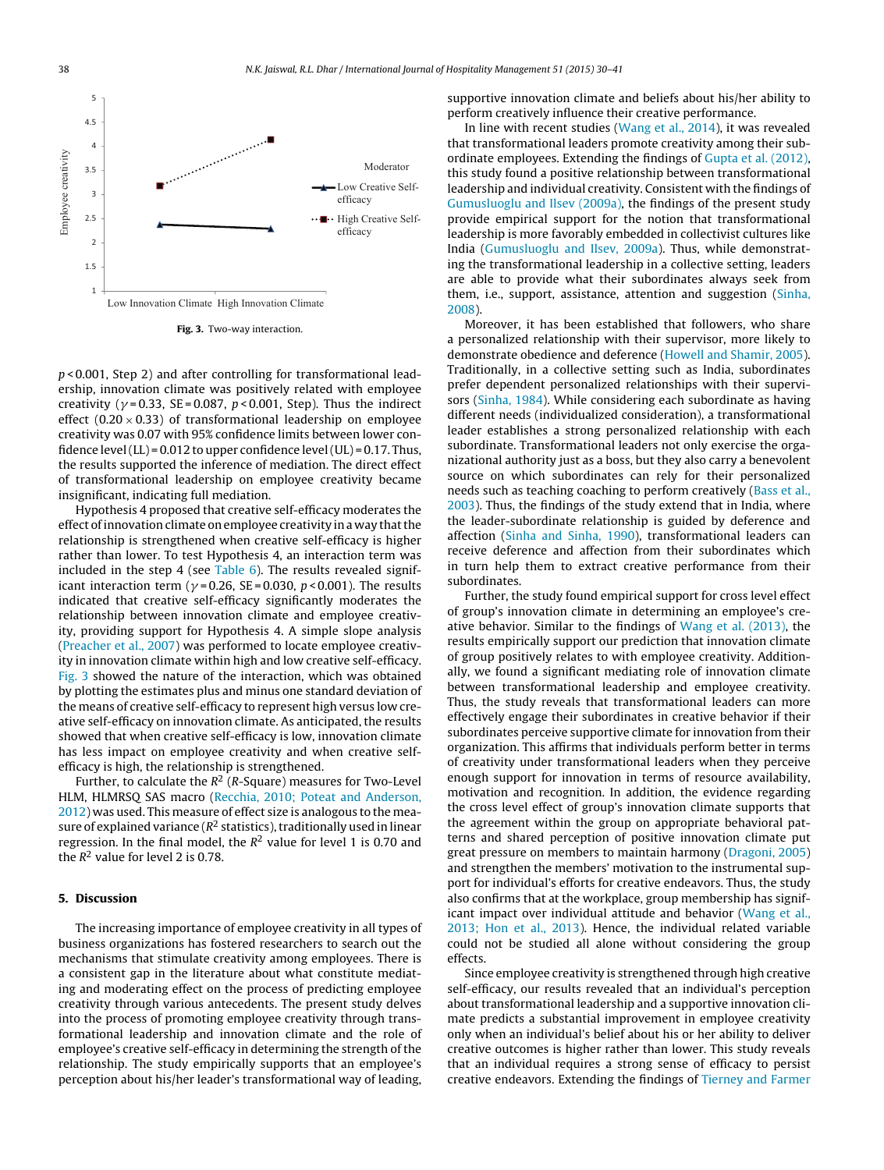<span id="page-8-0"></span>

**Fig. 3.** Two-way interaction.

 $p$  < 0.001, Step 2) and after controlling for transformational leadership, innovation climate was positively related with employee creativity ( $\gamma$  = 0.33, SE = 0.087, p < 0.001, Step). Thus the indirect effect (0.20  $\times$  0.33) of transformational leadership on employee creativity was 0.07 with 95% confidence limits between lower confidence level  $(LL)$  = 0.012 to upper confidence level  $(UL)$  = 0.17. Thus, the results supported the inference of mediation. The direct effect of transformational leadership on employee creativity became insignificant, indicating full mediation.

Hypothesis 4 proposed that creative self-efficacy moderates the effect of innovation climate on employee creativity in a way that the relationship is strengthened when creative self-efficacy is higher rather than lower. To test Hypothesis 4, an interaction term was included in the step 4 (see [Table](#page-7-0) 6). The results revealed significant interaction term ( $\gamma$ =0.26, SE=0.030, p <0.001). The results indicated that creative self-efficacy significantly moderates the relationship between innovation climate and employee creativity, providing support for Hypothesis 4. A simple slope analysis ([Preacher](#page-10-0) et [al.,](#page-10-0) [2007\)](#page-10-0) was performed to locate employee creativity in innovation climate within high and low creative self-efficacy. Fig. 3 showed the nature of the interaction, which was obtained by plotting the estimates plus and minus one standard deviation of the means of creative self-efficacy to represent high versus low creative self-efficacy on innovation climate. As anticipated, the results showed that when creative self-efficacy is low, innovation climate has less impact on employee creativity and when creative selfefficacy is high, the relationship is strengthened.

Further, to calculate the  $R^2$  (*R*-Square) measures for Two-Level HLM, HLMRSQ SAS macro ([Recchia,](#page-10-0) [2010;](#page-10-0) [Poteat](#page-10-0) [and](#page-10-0) [Anderson,](#page-10-0) [2012\)](#page-10-0) was used. This measure of effect size is analogous to the measure of explained variance ( $R^2$  statistics), traditionally used in linear regression. In the final model, the  $R^2$  value for level 1 is 0.70 and the  $R^2$  value for level 2 is 0.78.

## **5. Discussion**

The increasing importance of employee creativity in all types of business organizations has fostered researchers to search out the mechanisms that stimulate creativity among employees. There is a consistent gap in the literature about what constitute mediating and moderating effect on the process of predicting employee creativity through various antecedents. The present study delves into the process of promoting employee creativity through transformational leadership and innovation climate and the role of employee's creative self-efficacy in determining the strength of the relationship. The study empirically supports that an employee's perception about his/her leader's transformational way of leading,

supportive innovation climate and beliefs about his/her ability to perform creatively influence their creative performance.

In line with recent studies ([Wang](#page-11-0) et [al.,](#page-11-0) [2014\),](#page-11-0) it was revealed that transformational leaders promote creativity among their subordinate employees. Extending the findings of [Gupta](#page-10-0) et [al.](#page-10-0) [\(2012\),](#page-10-0) this study found a positive relationship between transformational leadership and individual creativity. Consistent with the findings of [Gumusluoglu](#page-10-0) [and](#page-10-0) [Ilsev](#page-10-0) [\(2009a\),](#page-10-0) the findings of the present study provide empirical support for the notion that transformational leadership is more favorably embedded in collectivist cultures like India ([Gumusluoglu](#page-10-0) [and](#page-10-0) [Ilsev,](#page-10-0) [2009a\).](#page-10-0) Thus, while demonstrating the transformational leadership in a collective setting, leaders are able to provide what their subordinates always seek from them, i.e., support, assistance, attention and suggestion ([Sinha,](#page-10-0) [2008\).](#page-10-0)

Moreover, it has been established that followers, who share a personalized relationship with their supervisor, more likely to demonstrate obedience and deference ([Howell](#page-10-0) [and](#page-10-0) [Shamir,](#page-10-0) [2005\).](#page-10-0) Traditionally, in a collective setting such as India, subordinates prefer dependent personalized relationships with their supervisors ([Sinha,](#page-10-0) [1984\).](#page-10-0) While considering each subordinate as having different needs (individualized consideration), a transformational leader establishes a strong personalized relationship with each subordinate. Transformational leaders not only exercise the organizational authority just as a boss, but they also carry a benevolent source on which subordinates can rely for their personalized needs such as teaching coaching to perform creatively ([Bass](#page-10-0) et [al.,](#page-10-0) [2003\).](#page-10-0) Thus, the findings of the study extend that in India, where the leader-subordinate relationship is guided by deference and affection ([Sinha](#page-10-0) [and](#page-10-0) [Sinha,](#page-10-0) [1990\),](#page-10-0) transformational leaders can receive deference and affection from their subordinates which in turn help them to extract creative performance from their subordinates.

Further, the study found empirical support for cross level effect of group's innovation climate in determining an employee's creative behavior. Similar to the findings of [Wang](#page-11-0) et [al.](#page-11-0) [\(2013\),](#page-11-0) the results empirically support our prediction that innovation climate of group positively relates to with employee creativity. Additionally, we found a significant mediating role of innovation climate between transformational leadership and employee creativity. Thus, the study reveals that transformational leaders can more effectively engage their subordinates in creative behavior if their subordinates perceive supportive climate for innovation from their organization. This affirms that individuals perform better in terms of creativity under transformational leaders when they perceive enough support for innovation in terms of resource availability, motivation and recognition. In addition, the evidence regarding the cross level effect of group's innovation climate supports that the agreement within the group on appropriate behavioral patterns and shared perception of positive innovation climate put great pressure on members to maintain harmony [\(Dragoni,](#page-10-0) [2005\)](#page-10-0) and strengthen the members' motivation to the instrumental support for individual's efforts for creative endeavors. Thus, the study also confirms that at the workplace, group membership has signif-icant impact over individual attitude and behavior ([Wang](#page-11-0) et [al.,](#page-11-0) [2013;](#page-11-0) [Hon](#page-11-0) et [al.,](#page-11-0) [2013\).](#page-11-0) Hence, the individual related variable could not be studied all alone without considering the group effects.

Since employee creativity is strengthened through high creative self-efficacy, our results revealed that an individual's perception about transformational leadership and a supportive innovation climate predicts a substantial improvement in employee creativity only when an individual's belief about his or her ability to deliver creative outcomes is higher rather than lower. This study reveals that an individual requires a strong sense of efficacy to persist creative endeavors. Extending the findings of [Tierney](#page-11-0) [and](#page-11-0) [Farmer](#page-11-0)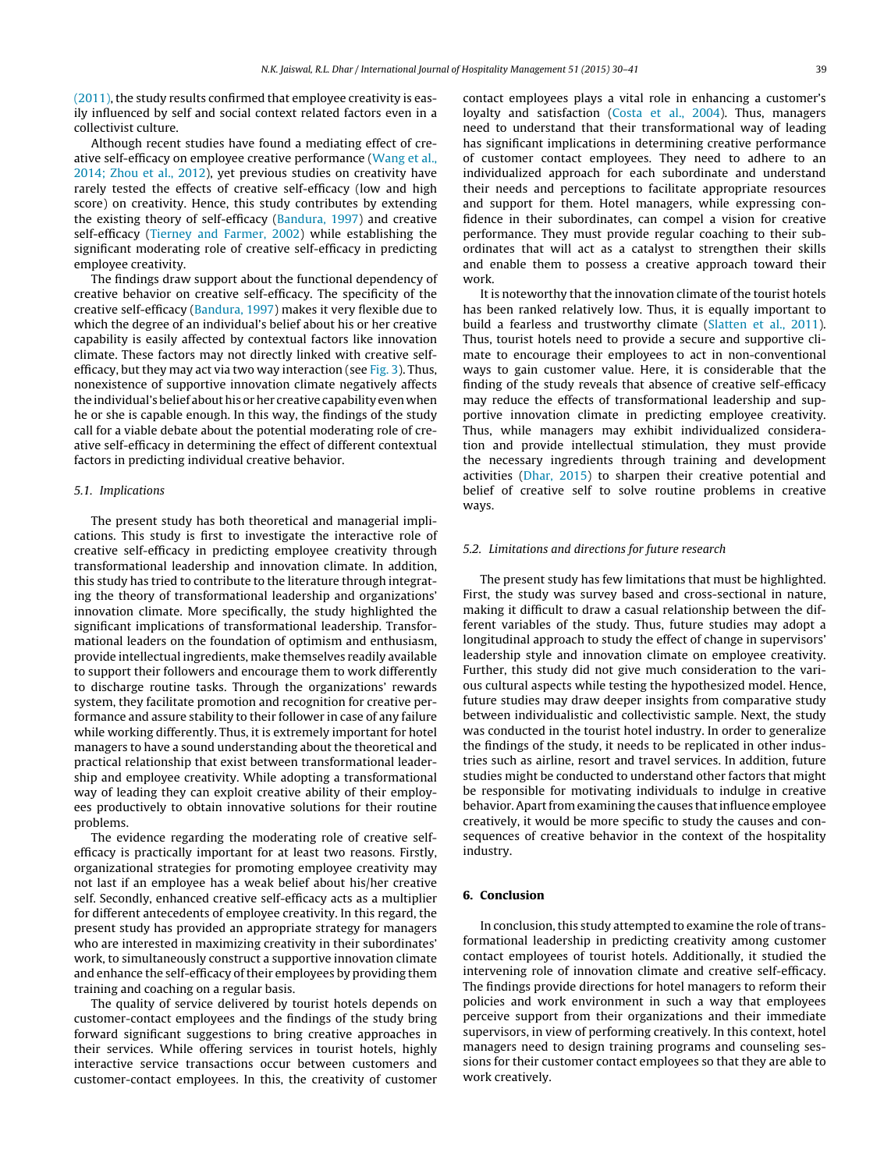[\(2011\),](#page-11-0) the study results confirmed that employee creativity is easily influenced by self and social context related factors even in a collectivist culture.

Although recent studies have found a mediating effect of creative self-efficacy on employee creative performance [\(Wang](#page-11-0) et [al.,](#page-11-0) [2014;](#page-11-0) [Zhou](#page-11-0) et [al.,](#page-11-0) [2012\),](#page-11-0) yet previous studies on creativity have rarely tested the effects of creative self-efficacy (low and high score) on creativity. Hence, this study contributes by extending the existing theory of self-efficacy [\(Bandura,](#page-10-0) [1997\)](#page-10-0) and creative self-efficacy ([Tierney](#page-11-0) [and](#page-11-0) [Farmer,](#page-11-0) [2002\)](#page-11-0) while establishing the significant moderating role of creative self-efficacy in predicting employee creativity.

The findings draw support about the functional dependency of creative behavior on creative self-efficacy. The specificity of the creative self-efficacy [\(Bandura,](#page-10-0) [1997\)](#page-10-0) makes it very flexible due to which the degree of an individual's belief about his or her creative capability is easily affected by contextual factors like innovation climate. These factors may not directly linked with creative selfefficacy, but they may act via two way interaction (see [Fig.](#page-8-0) 3). Thus, nonexistence of supportive innovation climate negatively affects the individual's belief about his or her creative capability even when he or she is capable enough. In this way, the findings of the study call for a viable debate about the potential moderating role of creative self-efficacy in determining the effect of different contextual factors in predicting individual creative behavior.

#### 5.1. Implications

The present study has both theoretical and managerial implications. This study is first to investigate the interactive role of creative self-efficacy in predicting employee creativity through transformational leadership and innovation climate. In addition, this study has tried to contribute to the literature through integrating the theory of transformational leadership and organizations' innovation climate. More specifically, the study highlighted the significant implications of transformational leadership. Transformational leaders on the foundation of optimism and enthusiasm, provide intellectual ingredients, make themselves readily available to support their followers and encourage them to work differently to discharge routine tasks. Through the organizations' rewards system, they facilitate promotion and recognition for creative performance and assure stability to their follower in case of any failure while working differently. Thus, it is extremely important for hotel managers to have a sound understanding about the theoretical and practical relationship that exist between transformational leadership and employee creativity. While adopting a transformational way of leading they can exploit creative ability of their employees productively to obtain innovative solutions for their routine problems.

The evidence regarding the moderating role of creative selfefficacy is practically important for at least two reasons. Firstly, organizational strategies for promoting employee creativity may not last if an employee has a weak belief about his/her creative self. Secondly, enhanced creative self-efficacy acts as a multiplier for different antecedents of employee creativity. In this regard, the present study has provided an appropriate strategy for managers who are interested in maximizing creativity in their subordinates' work, to simultaneously construct a supportive innovation climate and enhance the self-efficacy of their employees by providing them training and coaching on a regular basis.

The quality of service delivered by tourist hotels depends on customer-contact employees and the findings of the study bring forward significant suggestions to bring creative approaches in their services. While offering services in tourist hotels, highly interactive service transactions occur between customers and customer-contact employees. In this, the creativity of customer contact employees plays a vital role in enhancing a customer's loyalty and satisfaction ([Costa](#page-10-0) et [al.,](#page-10-0) [2004\).](#page-10-0) Thus, managers need to understand that their transformational way of leading has significant implications in determining creative performance of customer contact employees. They need to adhere to an individualized approach for each subordinate and understand their needs and perceptions to facilitate appropriate resources and support for them. Hotel managers, while expressing confidence in their subordinates, can compel a vision for creative performance. They must provide regular coaching to their subordinates that will act as a catalyst to strengthen their skills and enable them to possess a creative approach toward their work.

It is noteworthy that the innovation climate of the tourist hotels has been ranked relatively low. Thus, it is equally important to build a fearless and trustworthy climate [\(Slatten](#page-10-0) et [al.,](#page-10-0) [2011\).](#page-10-0) Thus, tourist hotels need to provide a secure and supportive climate to encourage their employees to act in non-conventional ways to gain customer value. Here, it is considerable that the finding of the study reveals that absence of creative self-efficacy may reduce the effects of transformational leadership and supportive innovation climate in predicting employee creativity. Thus, while managers may exhibit individualized consideration and provide intellectual stimulation, they must provide the necessary ingredients through training and development activities [\(Dhar,](#page-10-0) [2015\)](#page-10-0) to sharpen their creative potential and belief of creative self to solve routine problems in creative ways.

#### 5.2. Limitations and directions for future research

The present study has few limitations that must be highlighted. First, the study was survey based and cross-sectional in nature, making it difficult to draw a casual relationship between the different variables of the study. Thus, future studies may adopt a longitudinal approach to study the effect of change in supervisors' leadership style and innovation climate on employee creativity. Further, this study did not give much consideration to the various cultural aspects while testing the hypothesized model. Hence, future studies may draw deeper insights from comparative study between individualistic and collectivistic sample. Next, the study was conducted in the tourist hotel industry. In order to generalize the findings of the study, it needs to be replicated in other industries such as airline, resort and travel services. In addition, future studies might be conducted to understand other factors that might be responsible for motivating individuals to indulge in creative behavior. Apart from examining the causes that influence employee creatively, it would be more specific to study the causes and consequences of creative behavior in the context of the hospitality industry.

# **6. Conclusion**

In conclusion, this study attempted to examine the role of transformational leadership in predicting creativity among customer contact employees of tourist hotels. Additionally, it studied the intervening role of innovation climate and creative self-efficacy. The findings provide directions for hotel managers to reform their policies and work environment in such a way that employees perceive support from their organizations and their immediate supervisors, in view of performing creatively. In this context, hotel managers need to design training programs and counseling sessions for their customer contact employees so that they are able to work creatively.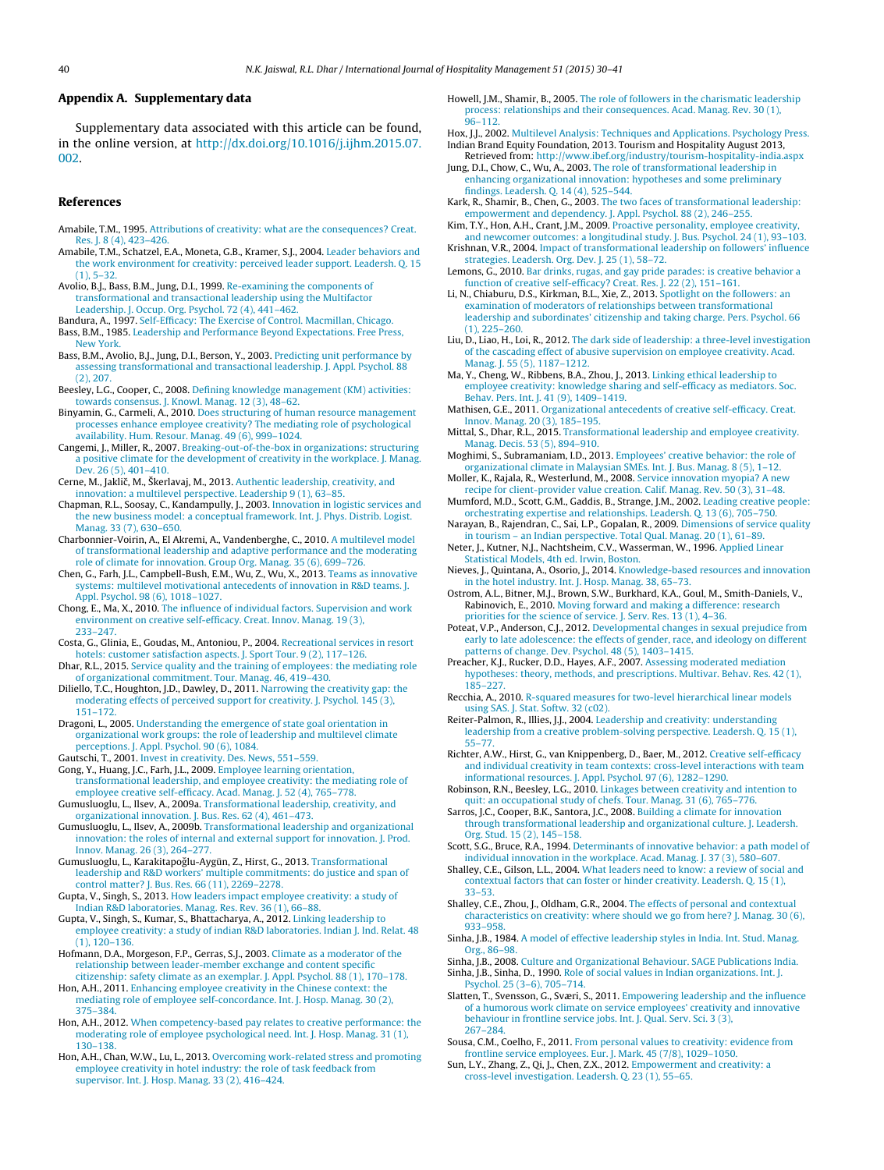# <span id="page-10-0"></span>**Appendix A. Supplementary data**

Supplementary data associated with this article can be found, in the online version, at [http://dx.doi.org/10.1016/j.ijhm.2015.07.](http://dx.doi.org/10.1016/j.ijhm.2015.07.002) [002](http://dx.doi.org/10.1016/j.ijhm.2015.07.002).

#### **References**

- Amabile, T.M., 1995. [Attributions](http://refhub.elsevier.com/S0278-4319(15)00102-4/sbref0005) [of](http://refhub.elsevier.com/S0278-4319(15)00102-4/sbref0005) [creativity:](http://refhub.elsevier.com/S0278-4319(15)00102-4/sbref0005) [what](http://refhub.elsevier.com/S0278-4319(15)00102-4/sbref0005) [are](http://refhub.elsevier.com/S0278-4319(15)00102-4/sbref0005) [the](http://refhub.elsevier.com/S0278-4319(15)00102-4/sbref0005) [consequences?](http://refhub.elsevier.com/S0278-4319(15)00102-4/sbref0005) [Creat.](http://refhub.elsevier.com/S0278-4319(15)00102-4/sbref0005) [Res.](http://refhub.elsevier.com/S0278-4319(15)00102-4/sbref0005) [J.](http://refhub.elsevier.com/S0278-4319(15)00102-4/sbref0005) [8](http://refhub.elsevier.com/S0278-4319(15)00102-4/sbref0005) [\(4\),](http://refhub.elsevier.com/S0278-4319(15)00102-4/sbref0005) [423](http://refhub.elsevier.com/S0278-4319(15)00102-4/sbref0005)–[426.](http://refhub.elsevier.com/S0278-4319(15)00102-4/sbref0005)
- Amabile, T.M., Schatzel, E.A., Moneta, G.B., Kramer, S.J., 2004. [Leader](http://refhub.elsevier.com/S0278-4319(15)00102-4/sbref0010) [behaviors](http://refhub.elsevier.com/S0278-4319(15)00102-4/sbref0010) [and](http://refhub.elsevier.com/S0278-4319(15)00102-4/sbref0010) [the](http://refhub.elsevier.com/S0278-4319(15)00102-4/sbref0010) [work](http://refhub.elsevier.com/S0278-4319(15)00102-4/sbref0010) [environment](http://refhub.elsevier.com/S0278-4319(15)00102-4/sbref0010) [for](http://refhub.elsevier.com/S0278-4319(15)00102-4/sbref0010) [creativity:](http://refhub.elsevier.com/S0278-4319(15)00102-4/sbref0010) [perceived](http://refhub.elsevier.com/S0278-4319(15)00102-4/sbref0010) [leader](http://refhub.elsevier.com/S0278-4319(15)00102-4/sbref0010) [support.](http://refhub.elsevier.com/S0278-4319(15)00102-4/sbref0010) [Leadersh.](http://refhub.elsevier.com/S0278-4319(15)00102-4/sbref0010) [Q.](http://refhub.elsevier.com/S0278-4319(15)00102-4/sbref0010) [15](http://refhub.elsevier.com/S0278-4319(15)00102-4/sbref0010) [\(1\),](http://refhub.elsevier.com/S0278-4319(15)00102-4/sbref0010) [5](http://refhub.elsevier.com/S0278-4319(15)00102-4/sbref0010)–[32.](http://refhub.elsevier.com/S0278-4319(15)00102-4/sbref0010)
- Avolio, B.J., Bass, B.M., Jung, D.I., 1999. [Re-examining](http://refhub.elsevier.com/S0278-4319(15)00102-4/sbref0015) [the](http://refhub.elsevier.com/S0278-4319(15)00102-4/sbref0015) [components](http://refhub.elsevier.com/S0278-4319(15)00102-4/sbref0015) [of](http://refhub.elsevier.com/S0278-4319(15)00102-4/sbref0015) [transformational](http://refhub.elsevier.com/S0278-4319(15)00102-4/sbref0015) [and](http://refhub.elsevier.com/S0278-4319(15)00102-4/sbref0015) [transactional](http://refhub.elsevier.com/S0278-4319(15)00102-4/sbref0015) [leadership](http://refhub.elsevier.com/S0278-4319(15)00102-4/sbref0015) [using](http://refhub.elsevier.com/S0278-4319(15)00102-4/sbref0015) [the](http://refhub.elsevier.com/S0278-4319(15)00102-4/sbref0015) [Multifactor](http://refhub.elsevier.com/S0278-4319(15)00102-4/sbref0015) [Leadership.](http://refhub.elsevier.com/S0278-4319(15)00102-4/sbref0015) [J.](http://refhub.elsevier.com/S0278-4319(15)00102-4/sbref0015) [Occup.](http://refhub.elsevier.com/S0278-4319(15)00102-4/sbref0015) [Org.](http://refhub.elsevier.com/S0278-4319(15)00102-4/sbref0015) [Psychol.](http://refhub.elsevier.com/S0278-4319(15)00102-4/sbref0015) [72](http://refhub.elsevier.com/S0278-4319(15)00102-4/sbref0015) [\(4\),](http://refhub.elsevier.com/S0278-4319(15)00102-4/sbref0015) [441–462.](http://refhub.elsevier.com/S0278-4319(15)00102-4/sbref0015)
- Bandura, A., 1997. [Self-Efficacy:](http://refhub.elsevier.com/S0278-4319(15)00102-4/sbref0020) [The](http://refhub.elsevier.com/S0278-4319(15)00102-4/sbref0020) [Exercise](http://refhub.elsevier.com/S0278-4319(15)00102-4/sbref0020) [of](http://refhub.elsevier.com/S0278-4319(15)00102-4/sbref0020) [Control.](http://refhub.elsevier.com/S0278-4319(15)00102-4/sbref0020) [Macmillan,](http://refhub.elsevier.com/S0278-4319(15)00102-4/sbref0020) [Chicago.](http://refhub.elsevier.com/S0278-4319(15)00102-4/sbref0020) Bass, B.M., 1985. [Leadership](http://refhub.elsevier.com/S0278-4319(15)00102-4/sbref0025) [and](http://refhub.elsevier.com/S0278-4319(15)00102-4/sbref0025) [Performance](http://refhub.elsevier.com/S0278-4319(15)00102-4/sbref0025) [Beyond](http://refhub.elsevier.com/S0278-4319(15)00102-4/sbref0025) [Expectations.](http://refhub.elsevier.com/S0278-4319(15)00102-4/sbref0025) [Free](http://refhub.elsevier.com/S0278-4319(15)00102-4/sbref0025) [Press,](http://refhub.elsevier.com/S0278-4319(15)00102-4/sbref0025) [New](http://refhub.elsevier.com/S0278-4319(15)00102-4/sbref0025) [York.](http://refhub.elsevier.com/S0278-4319(15)00102-4/sbref0025)
- Bass, B.M., Avolio, B.J., Jung, D.I., Berson, Y., 2003. [Predicting](http://refhub.elsevier.com/S0278-4319(15)00102-4/sbref0030) [unit](http://refhub.elsevier.com/S0278-4319(15)00102-4/sbref0030) [performance](http://refhub.elsevier.com/S0278-4319(15)00102-4/sbref0030) [by](http://refhub.elsevier.com/S0278-4319(15)00102-4/sbref0030) [assessing](http://refhub.elsevier.com/S0278-4319(15)00102-4/sbref0030) [transformational](http://refhub.elsevier.com/S0278-4319(15)00102-4/sbref0030) [and](http://refhub.elsevier.com/S0278-4319(15)00102-4/sbref0030) [transactional](http://refhub.elsevier.com/S0278-4319(15)00102-4/sbref0030) [leadership.](http://refhub.elsevier.com/S0278-4319(15)00102-4/sbref0030) [J.](http://refhub.elsevier.com/S0278-4319(15)00102-4/sbref0030) [Appl.](http://refhub.elsevier.com/S0278-4319(15)00102-4/sbref0030) [Psychol.](http://refhub.elsevier.com/S0278-4319(15)00102-4/sbref0030) [88](http://refhub.elsevier.com/S0278-4319(15)00102-4/sbref0030)  $(2)$ , 207
- Beesley, L.G., Cooper, C., 2008. [Defining](http://refhub.elsevier.com/S0278-4319(15)00102-4/sbref0035) [knowledge](http://refhub.elsevier.com/S0278-4319(15)00102-4/sbref0035) [management](http://refhub.elsevier.com/S0278-4319(15)00102-4/sbref0035) [\(KM\)](http://refhub.elsevier.com/S0278-4319(15)00102-4/sbref0035) [activities:](http://refhub.elsevier.com/S0278-4319(15)00102-4/sbref0035) [towards](http://refhub.elsevier.com/S0278-4319(15)00102-4/sbref0035) [consensus.](http://refhub.elsevier.com/S0278-4319(15)00102-4/sbref0035) [J.](http://refhub.elsevier.com/S0278-4319(15)00102-4/sbref0035) [Knowl.](http://refhub.elsevier.com/S0278-4319(15)00102-4/sbref0035) [Manag.](http://refhub.elsevier.com/S0278-4319(15)00102-4/sbref0035) [12](http://refhub.elsevier.com/S0278-4319(15)00102-4/sbref0035) [\(3\),](http://refhub.elsevier.com/S0278-4319(15)00102-4/sbref0035) [48](http://refhub.elsevier.com/S0278-4319(15)00102-4/sbref0035)–[62.](http://refhub.elsevier.com/S0278-4319(15)00102-4/sbref0035)
- Binyamin, G., Carmeli, A., 2010. [Does](http://refhub.elsevier.com/S0278-4319(15)00102-4/sbref0040) [structuring](http://refhub.elsevier.com/S0278-4319(15)00102-4/sbref0040) [of](http://refhub.elsevier.com/S0278-4319(15)00102-4/sbref0040) [human](http://refhub.elsevier.com/S0278-4319(15)00102-4/sbref0040) [resource](http://refhub.elsevier.com/S0278-4319(15)00102-4/sbref0040) [management](http://refhub.elsevier.com/S0278-4319(15)00102-4/sbref0040) [processes](http://refhub.elsevier.com/S0278-4319(15)00102-4/sbref0040) [enhance](http://refhub.elsevier.com/S0278-4319(15)00102-4/sbref0040) [employee](http://refhub.elsevier.com/S0278-4319(15)00102-4/sbref0040) [creativity?](http://refhub.elsevier.com/S0278-4319(15)00102-4/sbref0040) [The](http://refhub.elsevier.com/S0278-4319(15)00102-4/sbref0040) [mediating](http://refhub.elsevier.com/S0278-4319(15)00102-4/sbref0040) [role](http://refhub.elsevier.com/S0278-4319(15)00102-4/sbref0040) [of](http://refhub.elsevier.com/S0278-4319(15)00102-4/sbref0040) [psychological](http://refhub.elsevier.com/S0278-4319(15)00102-4/sbref0040) [availability.](http://refhub.elsevier.com/S0278-4319(15)00102-4/sbref0040) [Hum.](http://refhub.elsevier.com/S0278-4319(15)00102-4/sbref0040) [Resour.](http://refhub.elsevier.com/S0278-4319(15)00102-4/sbref0040) [Manag.](http://refhub.elsevier.com/S0278-4319(15)00102-4/sbref0040) [49](http://refhub.elsevier.com/S0278-4319(15)00102-4/sbref0040) [\(6\),](http://refhub.elsevier.com/S0278-4319(15)00102-4/sbref0040) [999–1024.](http://refhub.elsevier.com/S0278-4319(15)00102-4/sbref0040)
- Cangemi, J., Miller, R., 2007. [Breaking-out-of-the-box](http://refhub.elsevier.com/S0278-4319(15)00102-4/sbref0045) [in](http://refhub.elsevier.com/S0278-4319(15)00102-4/sbref0045) [organizations:](http://refhub.elsevier.com/S0278-4319(15)00102-4/sbref0045) [structuring](http://refhub.elsevier.com/S0278-4319(15)00102-4/sbref0045) [a](http://refhub.elsevier.com/S0278-4319(15)00102-4/sbref0045) [positive](http://refhub.elsevier.com/S0278-4319(15)00102-4/sbref0045) [climate](http://refhub.elsevier.com/S0278-4319(15)00102-4/sbref0045) [for](http://refhub.elsevier.com/S0278-4319(15)00102-4/sbref0045) [the](http://refhub.elsevier.com/S0278-4319(15)00102-4/sbref0045) [development](http://refhub.elsevier.com/S0278-4319(15)00102-4/sbref0045) [of](http://refhub.elsevier.com/S0278-4319(15)00102-4/sbref0045) [creativity](http://refhub.elsevier.com/S0278-4319(15)00102-4/sbref0045) [in](http://refhub.elsevier.com/S0278-4319(15)00102-4/sbref0045) [the](http://refhub.elsevier.com/S0278-4319(15)00102-4/sbref0045) [workplace.](http://refhub.elsevier.com/S0278-4319(15)00102-4/sbref0045) [J.](http://refhub.elsevier.com/S0278-4319(15)00102-4/sbref0045) [Manag.](http://refhub.elsevier.com/S0278-4319(15)00102-4/sbref0045) [Dev.](http://refhub.elsevier.com/S0278-4319(15)00102-4/sbref0045) [26](http://refhub.elsevier.com/S0278-4319(15)00102-4/sbref0045) [\(5\),](http://refhub.elsevier.com/S0278-4319(15)00102-4/sbref0045) [401–410.](http://refhub.elsevier.com/S0278-4319(15)00102-4/sbref0045)
- Cerne, M., Jaklič, M., Škerlavaj, M., 2013. [Authentic](http://refhub.elsevier.com/S0278-4319(15)00102-4/sbref0050) [leadership,](http://refhub.elsevier.com/S0278-4319(15)00102-4/sbref0050) [creativity,](http://refhub.elsevier.com/S0278-4319(15)00102-4/sbref0050) [and](http://refhub.elsevier.com/S0278-4319(15)00102-4/sbref0050) [innovation:](http://refhub.elsevier.com/S0278-4319(15)00102-4/sbref0050) [a](http://refhub.elsevier.com/S0278-4319(15)00102-4/sbref0050) [multilevel](http://refhub.elsevier.com/S0278-4319(15)00102-4/sbref0050) [perspective.](http://refhub.elsevier.com/S0278-4319(15)00102-4/sbref0050) [Leadership](http://refhub.elsevier.com/S0278-4319(15)00102-4/sbref0050) [9](http://refhub.elsevier.com/S0278-4319(15)00102-4/sbref0050) [\(1\),](http://refhub.elsevier.com/S0278-4319(15)00102-4/sbref0050) [63–85.](http://refhub.elsevier.com/S0278-4319(15)00102-4/sbref0050)
- Chapman, R.L., Soosay, C., Kandampully, J., 2003. [Innovation](http://refhub.elsevier.com/S0278-4319(15)00102-4/sbref0055) [in](http://refhub.elsevier.com/S0278-4319(15)00102-4/sbref0055) [logistic](http://refhub.elsevier.com/S0278-4319(15)00102-4/sbref0055) [services](http://refhub.elsevier.com/S0278-4319(15)00102-4/sbref0055) [and](http://refhub.elsevier.com/S0278-4319(15)00102-4/sbref0055) [the](http://refhub.elsevier.com/S0278-4319(15)00102-4/sbref0055) [new](http://refhub.elsevier.com/S0278-4319(15)00102-4/sbref0055) [business](http://refhub.elsevier.com/S0278-4319(15)00102-4/sbref0055) [model:](http://refhub.elsevier.com/S0278-4319(15)00102-4/sbref0055) [a](http://refhub.elsevier.com/S0278-4319(15)00102-4/sbref0055) [conceptual](http://refhub.elsevier.com/S0278-4319(15)00102-4/sbref0055) [framework.](http://refhub.elsevier.com/S0278-4319(15)00102-4/sbref0055) [Int.](http://refhub.elsevier.com/S0278-4319(15)00102-4/sbref0055) [J.](http://refhub.elsevier.com/S0278-4319(15)00102-4/sbref0055) [Phys.](http://refhub.elsevier.com/S0278-4319(15)00102-4/sbref0055) [Distrib.](http://refhub.elsevier.com/S0278-4319(15)00102-4/sbref0055) [Logist.](http://refhub.elsevier.com/S0278-4319(15)00102-4/sbref0055) [Manag.](http://refhub.elsevier.com/S0278-4319(15)00102-4/sbref0055) [33](http://refhub.elsevier.com/S0278-4319(15)00102-4/sbref0055) [\(7\),](http://refhub.elsevier.com/S0278-4319(15)00102-4/sbref0055) [630–650.](http://refhub.elsevier.com/S0278-4319(15)00102-4/sbref0055)
- Charbonnier-Voirin, A., El Akremi, A., Vandenberghe, C., 2010. [A](http://refhub.elsevier.com/S0278-4319(15)00102-4/sbref0060) [multilevel](http://refhub.elsevier.com/S0278-4319(15)00102-4/sbref0060) [model](http://refhub.elsevier.com/S0278-4319(15)00102-4/sbref0060) [of](http://refhub.elsevier.com/S0278-4319(15)00102-4/sbref0060) [transformational](http://refhub.elsevier.com/S0278-4319(15)00102-4/sbref0060) [leadership](http://refhub.elsevier.com/S0278-4319(15)00102-4/sbref0060) [and](http://refhub.elsevier.com/S0278-4319(15)00102-4/sbref0060) [adaptive](http://refhub.elsevier.com/S0278-4319(15)00102-4/sbref0060) [performance](http://refhub.elsevier.com/S0278-4319(15)00102-4/sbref0060) [and](http://refhub.elsevier.com/S0278-4319(15)00102-4/sbref0060) [the](http://refhub.elsevier.com/S0278-4319(15)00102-4/sbref0060) [moderating](http://refhub.elsevier.com/S0278-4319(15)00102-4/sbref0060) [role](http://refhub.elsevier.com/S0278-4319(15)00102-4/sbref0060) [of](http://refhub.elsevier.com/S0278-4319(15)00102-4/sbref0060) [climate](http://refhub.elsevier.com/S0278-4319(15)00102-4/sbref0060) [for](http://refhub.elsevier.com/S0278-4319(15)00102-4/sbref0060) [innovation.](http://refhub.elsevier.com/S0278-4319(15)00102-4/sbref0060) [Group](http://refhub.elsevier.com/S0278-4319(15)00102-4/sbref0060) [Org.](http://refhub.elsevier.com/S0278-4319(15)00102-4/sbref0060) [Manag.](http://refhub.elsevier.com/S0278-4319(15)00102-4/sbref0060) [35](http://refhub.elsevier.com/S0278-4319(15)00102-4/sbref0060) [\(6\),](http://refhub.elsevier.com/S0278-4319(15)00102-4/sbref0060) [699](http://refhub.elsevier.com/S0278-4319(15)00102-4/sbref0060)–[726.](http://refhub.elsevier.com/S0278-4319(15)00102-4/sbref0060)
- Chen, G., Farh, J.L., Campbell-Bush, E.M., Wu, Z., Wu, X., 2013. [Teams](http://refhub.elsevier.com/S0278-4319(15)00102-4/sbref0065) [as](http://refhub.elsevier.com/S0278-4319(15)00102-4/sbref0065) [innovative](http://refhub.elsevier.com/S0278-4319(15)00102-4/sbref0065) [systems:](http://refhub.elsevier.com/S0278-4319(15)00102-4/sbref0065) [multilevel](http://refhub.elsevier.com/S0278-4319(15)00102-4/sbref0065) [motivational](http://refhub.elsevier.com/S0278-4319(15)00102-4/sbref0065) [antecedents](http://refhub.elsevier.com/S0278-4319(15)00102-4/sbref0065) [of](http://refhub.elsevier.com/S0278-4319(15)00102-4/sbref0065) [innovation](http://refhub.elsevier.com/S0278-4319(15)00102-4/sbref0065) [in](http://refhub.elsevier.com/S0278-4319(15)00102-4/sbref0065) [R&D](http://refhub.elsevier.com/S0278-4319(15)00102-4/sbref0065) [teams.](http://refhub.elsevier.com/S0278-4319(15)00102-4/sbref0065) [J.](http://refhub.elsevier.com/S0278-4319(15)00102-4/sbref0065) [Appl.](http://refhub.elsevier.com/S0278-4319(15)00102-4/sbref0065) [Psychol.](http://refhub.elsevier.com/S0278-4319(15)00102-4/sbref0065) [98](http://refhub.elsevier.com/S0278-4319(15)00102-4/sbref0065) [\(6\),](http://refhub.elsevier.com/S0278-4319(15)00102-4/sbref0065) [1018](http://refhub.elsevier.com/S0278-4319(15)00102-4/sbref0065)–[1027.](http://refhub.elsevier.com/S0278-4319(15)00102-4/sbref0065)
- Chong, E., Ma, X., 2010. [The](http://refhub.elsevier.com/S0278-4319(15)00102-4/sbref0070) [influence](http://refhub.elsevier.com/S0278-4319(15)00102-4/sbref0070) [of](http://refhub.elsevier.com/S0278-4319(15)00102-4/sbref0070) [individual](http://refhub.elsevier.com/S0278-4319(15)00102-4/sbref0070) [factors.](http://refhub.elsevier.com/S0278-4319(15)00102-4/sbref0070) [Supervision](http://refhub.elsevier.com/S0278-4319(15)00102-4/sbref0070) [and](http://refhub.elsevier.com/S0278-4319(15)00102-4/sbref0070) [work](http://refhub.elsevier.com/S0278-4319(15)00102-4/sbref0070) [environment](http://refhub.elsevier.com/S0278-4319(15)00102-4/sbref0070) [on](http://refhub.elsevier.com/S0278-4319(15)00102-4/sbref0070) [creative](http://refhub.elsevier.com/S0278-4319(15)00102-4/sbref0070) [self-efficacy.](http://refhub.elsevier.com/S0278-4319(15)00102-4/sbref0070) [Creat.](http://refhub.elsevier.com/S0278-4319(15)00102-4/sbref0070) [Innov.](http://refhub.elsevier.com/S0278-4319(15)00102-4/sbref0070) [Manag.](http://refhub.elsevier.com/S0278-4319(15)00102-4/sbref0070) [19](http://refhub.elsevier.com/S0278-4319(15)00102-4/sbref0070) [\(3\),](http://refhub.elsevier.com/S0278-4319(15)00102-4/sbref0070) [233](http://refhub.elsevier.com/S0278-4319(15)00102-4/sbref0070)–[247.](http://refhub.elsevier.com/S0278-4319(15)00102-4/sbref0070)
- Costa, G., Glinia, E., Goudas, M., Antoniou, P., 2004. [Recreational](http://refhub.elsevier.com/S0278-4319(15)00102-4/sbref0075) [services](http://refhub.elsevier.com/S0278-4319(15)00102-4/sbref0075) [in](http://refhub.elsevier.com/S0278-4319(15)00102-4/sbref0075) [resort](http://refhub.elsevier.com/S0278-4319(15)00102-4/sbref0075) [hotels:](http://refhub.elsevier.com/S0278-4319(15)00102-4/sbref0075) [customer](http://refhub.elsevier.com/S0278-4319(15)00102-4/sbref0075) [satisfaction](http://refhub.elsevier.com/S0278-4319(15)00102-4/sbref0075) [aspects.](http://refhub.elsevier.com/S0278-4319(15)00102-4/sbref0075) [J.](http://refhub.elsevier.com/S0278-4319(15)00102-4/sbref0075) [Sport](http://refhub.elsevier.com/S0278-4319(15)00102-4/sbref0075) [Tour.](http://refhub.elsevier.com/S0278-4319(15)00102-4/sbref0075) [9](http://refhub.elsevier.com/S0278-4319(15)00102-4/sbref0075) [\(2\),](http://refhub.elsevier.com/S0278-4319(15)00102-4/sbref0075) [117](http://refhub.elsevier.com/S0278-4319(15)00102-4/sbref0075)–[126.](http://refhub.elsevier.com/S0278-4319(15)00102-4/sbref0075)
- Dhar, R.L., 2015. [Service](http://refhub.elsevier.com/S0278-4319(15)00102-4/sbref0080) [quality](http://refhub.elsevier.com/S0278-4319(15)00102-4/sbref0080) [and](http://refhub.elsevier.com/S0278-4319(15)00102-4/sbref0080) [the](http://refhub.elsevier.com/S0278-4319(15)00102-4/sbref0080) [training](http://refhub.elsevier.com/S0278-4319(15)00102-4/sbref0080) [of](http://refhub.elsevier.com/S0278-4319(15)00102-4/sbref0080) [employees:](http://refhub.elsevier.com/S0278-4319(15)00102-4/sbref0080) [the](http://refhub.elsevier.com/S0278-4319(15)00102-4/sbref0080) [mediating](http://refhub.elsevier.com/S0278-4319(15)00102-4/sbref0080) [role](http://refhub.elsevier.com/S0278-4319(15)00102-4/sbref0080) [of](http://refhub.elsevier.com/S0278-4319(15)00102-4/sbref0080) [organizational](http://refhub.elsevier.com/S0278-4319(15)00102-4/sbref0080) [commitment.](http://refhub.elsevier.com/S0278-4319(15)00102-4/sbref0080) [Tour.](http://refhub.elsevier.com/S0278-4319(15)00102-4/sbref0080) [Manag.](http://refhub.elsevier.com/S0278-4319(15)00102-4/sbref0080) [46,](http://refhub.elsevier.com/S0278-4319(15)00102-4/sbref0080) [419](http://refhub.elsevier.com/S0278-4319(15)00102-4/sbref0080)–[430.](http://refhub.elsevier.com/S0278-4319(15)00102-4/sbref0080)
- Diliello, T.C., Houghton, J.D., Dawley, D., 2011. [Narrowing](http://refhub.elsevier.com/S0278-4319(15)00102-4/sbref0085) [the](http://refhub.elsevier.com/S0278-4319(15)00102-4/sbref0085) [creativity](http://refhub.elsevier.com/S0278-4319(15)00102-4/sbref0085) [gap:](http://refhub.elsevier.com/S0278-4319(15)00102-4/sbref0085) [the](http://refhub.elsevier.com/S0278-4319(15)00102-4/sbref0085) [moderating](http://refhub.elsevier.com/S0278-4319(15)00102-4/sbref0085) [effects](http://refhub.elsevier.com/S0278-4319(15)00102-4/sbref0085) [of](http://refhub.elsevier.com/S0278-4319(15)00102-4/sbref0085) [perceived](http://refhub.elsevier.com/S0278-4319(15)00102-4/sbref0085) [support](http://refhub.elsevier.com/S0278-4319(15)00102-4/sbref0085) [for](http://refhub.elsevier.com/S0278-4319(15)00102-4/sbref0085) [creativity.](http://refhub.elsevier.com/S0278-4319(15)00102-4/sbref0085) [J.](http://refhub.elsevier.com/S0278-4319(15)00102-4/sbref0085) [Psychol.](http://refhub.elsevier.com/S0278-4319(15)00102-4/sbref0085) [145](http://refhub.elsevier.com/S0278-4319(15)00102-4/sbref0085) [\(3\),](http://refhub.elsevier.com/S0278-4319(15)00102-4/sbref0085) [151](http://refhub.elsevier.com/S0278-4319(15)00102-4/sbref0085)–[172.](http://refhub.elsevier.com/S0278-4319(15)00102-4/sbref0085)
- Dragoni, L., 2005. [Understanding](http://refhub.elsevier.com/S0278-4319(15)00102-4/sbref0090) [the](http://refhub.elsevier.com/S0278-4319(15)00102-4/sbref0090) [emergence](http://refhub.elsevier.com/S0278-4319(15)00102-4/sbref0090) [of](http://refhub.elsevier.com/S0278-4319(15)00102-4/sbref0090) [state](http://refhub.elsevier.com/S0278-4319(15)00102-4/sbref0090) [goal](http://refhub.elsevier.com/S0278-4319(15)00102-4/sbref0090) [orientation](http://refhub.elsevier.com/S0278-4319(15)00102-4/sbref0090) [in](http://refhub.elsevier.com/S0278-4319(15)00102-4/sbref0090) [organizational](http://refhub.elsevier.com/S0278-4319(15)00102-4/sbref0090) [work](http://refhub.elsevier.com/S0278-4319(15)00102-4/sbref0090) [groups:](http://refhub.elsevier.com/S0278-4319(15)00102-4/sbref0090) [the](http://refhub.elsevier.com/S0278-4319(15)00102-4/sbref0090) [role](http://refhub.elsevier.com/S0278-4319(15)00102-4/sbref0090) [of](http://refhub.elsevier.com/S0278-4319(15)00102-4/sbref0090) [leadership](http://refhub.elsevier.com/S0278-4319(15)00102-4/sbref0090) [and](http://refhub.elsevier.com/S0278-4319(15)00102-4/sbref0090) [multilevel](http://refhub.elsevier.com/S0278-4319(15)00102-4/sbref0090) [climate](http://refhub.elsevier.com/S0278-4319(15)00102-4/sbref0090) [perceptions.](http://refhub.elsevier.com/S0278-4319(15)00102-4/sbref0090) [J.](http://refhub.elsevier.com/S0278-4319(15)00102-4/sbref0090) [Appl.](http://refhub.elsevier.com/S0278-4319(15)00102-4/sbref0090) [Psychol.](http://refhub.elsevier.com/S0278-4319(15)00102-4/sbref0090) [90](http://refhub.elsevier.com/S0278-4319(15)00102-4/sbref0090) [\(6\),](http://refhub.elsevier.com/S0278-4319(15)00102-4/sbref0090) [1084.](http://refhub.elsevier.com/S0278-4319(15)00102-4/sbref0090)

Gautschi, T., 2001. [Invest](http://refhub.elsevier.com/S0278-4319(15)00102-4/sbref0095) [in](http://refhub.elsevier.com/S0278-4319(15)00102-4/sbref0095) [creativity.](http://refhub.elsevier.com/S0278-4319(15)00102-4/sbref0095) [Des.](http://refhub.elsevier.com/S0278-4319(15)00102-4/sbref0095) [News,](http://refhub.elsevier.com/S0278-4319(15)00102-4/sbref0095) [551](http://refhub.elsevier.com/S0278-4319(15)00102-4/sbref0095)–[559.](http://refhub.elsevier.com/S0278-4319(15)00102-4/sbref0095)

- Gong, Y., Huang, J.C., Farh, J.L., 2009. [Employee](http://refhub.elsevier.com/S0278-4319(15)00102-4/sbref0100) [learning](http://refhub.elsevier.com/S0278-4319(15)00102-4/sbref0100) [orientation,](http://refhub.elsevier.com/S0278-4319(15)00102-4/sbref0100) [transformational](http://refhub.elsevier.com/S0278-4319(15)00102-4/sbref0100) [leadership,](http://refhub.elsevier.com/S0278-4319(15)00102-4/sbref0100) [and](http://refhub.elsevier.com/S0278-4319(15)00102-4/sbref0100) [employee](http://refhub.elsevier.com/S0278-4319(15)00102-4/sbref0100) [creativity:](http://refhub.elsevier.com/S0278-4319(15)00102-4/sbref0100) [the](http://refhub.elsevier.com/S0278-4319(15)00102-4/sbref0100) [mediating](http://refhub.elsevier.com/S0278-4319(15)00102-4/sbref0100) [role](http://refhub.elsevier.com/S0278-4319(15)00102-4/sbref0100) [of](http://refhub.elsevier.com/S0278-4319(15)00102-4/sbref0100) [employee](http://refhub.elsevier.com/S0278-4319(15)00102-4/sbref0100) [creative](http://refhub.elsevier.com/S0278-4319(15)00102-4/sbref0100) [self-efficacy.](http://refhub.elsevier.com/S0278-4319(15)00102-4/sbref0100) [Acad.](http://refhub.elsevier.com/S0278-4319(15)00102-4/sbref0100) [Manag.](http://refhub.elsevier.com/S0278-4319(15)00102-4/sbref0100) [J.](http://refhub.elsevier.com/S0278-4319(15)00102-4/sbref0100) [52](http://refhub.elsevier.com/S0278-4319(15)00102-4/sbref0100) [\(4\),](http://refhub.elsevier.com/S0278-4319(15)00102-4/sbref0100) [765–778.](http://refhub.elsevier.com/S0278-4319(15)00102-4/sbref0100)
- Gumusluoglu, L., Ilsev, A., 2009a. [Transformational](http://refhub.elsevier.com/S0278-4319(15)00102-4/sbref0105) [leadership,](http://refhub.elsevier.com/S0278-4319(15)00102-4/sbref0105) [creativity,](http://refhub.elsevier.com/S0278-4319(15)00102-4/sbref0105) [and](http://refhub.elsevier.com/S0278-4319(15)00102-4/sbref0105) [organizational](http://refhub.elsevier.com/S0278-4319(15)00102-4/sbref0105) [innovation.](http://refhub.elsevier.com/S0278-4319(15)00102-4/sbref0105) [J.](http://refhub.elsevier.com/S0278-4319(15)00102-4/sbref0105) [Bus.](http://refhub.elsevier.com/S0278-4319(15)00102-4/sbref0105) [Res.](http://refhub.elsevier.com/S0278-4319(15)00102-4/sbref0105) [62](http://refhub.elsevier.com/S0278-4319(15)00102-4/sbref0105) [\(4\),](http://refhub.elsevier.com/S0278-4319(15)00102-4/sbref0105) [461–473.](http://refhub.elsevier.com/S0278-4319(15)00102-4/sbref0105)
- Gumusluoglu, L., Ilsev, A., 2009b. [Transformational](http://refhub.elsevier.com/S0278-4319(15)00102-4/sbref0110) [leadership](http://refhub.elsevier.com/S0278-4319(15)00102-4/sbref0110) [and](http://refhub.elsevier.com/S0278-4319(15)00102-4/sbref0110) [organizational](http://refhub.elsevier.com/S0278-4319(15)00102-4/sbref0110) [innovation:](http://refhub.elsevier.com/S0278-4319(15)00102-4/sbref0110) [the](http://refhub.elsevier.com/S0278-4319(15)00102-4/sbref0110) [roles](http://refhub.elsevier.com/S0278-4319(15)00102-4/sbref0110) [of](http://refhub.elsevier.com/S0278-4319(15)00102-4/sbref0110) [internal](http://refhub.elsevier.com/S0278-4319(15)00102-4/sbref0110) [and](http://refhub.elsevier.com/S0278-4319(15)00102-4/sbref0110) [external](http://refhub.elsevier.com/S0278-4319(15)00102-4/sbref0110) [support](http://refhub.elsevier.com/S0278-4319(15)00102-4/sbref0110) [for](http://refhub.elsevier.com/S0278-4319(15)00102-4/sbref0110) [innovation.](http://refhub.elsevier.com/S0278-4319(15)00102-4/sbref0110) [J.](http://refhub.elsevier.com/S0278-4319(15)00102-4/sbref0110) [Prod.](http://refhub.elsevier.com/S0278-4319(15)00102-4/sbref0110) [Innov.](http://refhub.elsevier.com/S0278-4319(15)00102-4/sbref0110) [Manag.](http://refhub.elsevier.com/S0278-4319(15)00102-4/sbref0110) [26](http://refhub.elsevier.com/S0278-4319(15)00102-4/sbref0110) [\(3\),](http://refhub.elsevier.com/S0278-4319(15)00102-4/sbref0110) [264–277.](http://refhub.elsevier.com/S0278-4319(15)00102-4/sbref0110)
- Gumusluoglu, L., Karakitapoğlu-Aygün, Z., Hirst, G., 2013. [Transformational](http://refhub.elsevier.com/S0278-4319(15)00102-4/sbref0115) [leadership](http://refhub.elsevier.com/S0278-4319(15)00102-4/sbref0115) [and](http://refhub.elsevier.com/S0278-4319(15)00102-4/sbref0115) [R&D](http://refhub.elsevier.com/S0278-4319(15)00102-4/sbref0115) [workers'](http://refhub.elsevier.com/S0278-4319(15)00102-4/sbref0115) [multiple](http://refhub.elsevier.com/S0278-4319(15)00102-4/sbref0115) [commitments:](http://refhub.elsevier.com/S0278-4319(15)00102-4/sbref0115) [do](http://refhub.elsevier.com/S0278-4319(15)00102-4/sbref0115) [justice](http://refhub.elsevier.com/S0278-4319(15)00102-4/sbref0115) [and](http://refhub.elsevier.com/S0278-4319(15)00102-4/sbref0115) [span](http://refhub.elsevier.com/S0278-4319(15)00102-4/sbref0115) [of](http://refhub.elsevier.com/S0278-4319(15)00102-4/sbref0115) [control](http://refhub.elsevier.com/S0278-4319(15)00102-4/sbref0115) [matter?](http://refhub.elsevier.com/S0278-4319(15)00102-4/sbref0115) [J.](http://refhub.elsevier.com/S0278-4319(15)00102-4/sbref0115) [Bus.](http://refhub.elsevier.com/S0278-4319(15)00102-4/sbref0115) [Res.](http://refhub.elsevier.com/S0278-4319(15)00102-4/sbref0115) [66](http://refhub.elsevier.com/S0278-4319(15)00102-4/sbref0115) [\(11\),](http://refhub.elsevier.com/S0278-4319(15)00102-4/sbref0115) [2269–2278.](http://refhub.elsevier.com/S0278-4319(15)00102-4/sbref0115)
- Gupta, V., Singh, S., 2013. [How](http://refhub.elsevier.com/S0278-4319(15)00102-4/sbref0120) [leaders](http://refhub.elsevier.com/S0278-4319(15)00102-4/sbref0120) [impact](http://refhub.elsevier.com/S0278-4319(15)00102-4/sbref0120) [employee](http://refhub.elsevier.com/S0278-4319(15)00102-4/sbref0120) [creativity:](http://refhub.elsevier.com/S0278-4319(15)00102-4/sbref0120) [a](http://refhub.elsevier.com/S0278-4319(15)00102-4/sbref0120) [study](http://refhub.elsevier.com/S0278-4319(15)00102-4/sbref0120) [of](http://refhub.elsevier.com/S0278-4319(15)00102-4/sbref0120) [Indian](http://refhub.elsevier.com/S0278-4319(15)00102-4/sbref0120) [R&D](http://refhub.elsevier.com/S0278-4319(15)00102-4/sbref0120) [laboratories.](http://refhub.elsevier.com/S0278-4319(15)00102-4/sbref0120) [Manag.](http://refhub.elsevier.com/S0278-4319(15)00102-4/sbref0120) [Res.](http://refhub.elsevier.com/S0278-4319(15)00102-4/sbref0120) [Rev.](http://refhub.elsevier.com/S0278-4319(15)00102-4/sbref0120) [36](http://refhub.elsevier.com/S0278-4319(15)00102-4/sbref0120) [\(1\),](http://refhub.elsevier.com/S0278-4319(15)00102-4/sbref0120) [66–88.](http://refhub.elsevier.com/S0278-4319(15)00102-4/sbref0120)
- Gupta, V., Singh, S., Kumar, S., Bhattacharya, A., 2012. [Linking](http://refhub.elsevier.com/S0278-4319(15)00102-4/sbref0125) [leadership](http://refhub.elsevier.com/S0278-4319(15)00102-4/sbref0125) [to](http://refhub.elsevier.com/S0278-4319(15)00102-4/sbref0125) [employee](http://refhub.elsevier.com/S0278-4319(15)00102-4/sbref0125) [creativity:](http://refhub.elsevier.com/S0278-4319(15)00102-4/sbref0125) [a](http://refhub.elsevier.com/S0278-4319(15)00102-4/sbref0125) [study](http://refhub.elsevier.com/S0278-4319(15)00102-4/sbref0125) [of](http://refhub.elsevier.com/S0278-4319(15)00102-4/sbref0125) [indian](http://refhub.elsevier.com/S0278-4319(15)00102-4/sbref0125) [R&D](http://refhub.elsevier.com/S0278-4319(15)00102-4/sbref0125) [laboratories.](http://refhub.elsevier.com/S0278-4319(15)00102-4/sbref0125) [Indian](http://refhub.elsevier.com/S0278-4319(15)00102-4/sbref0125) [J.](http://refhub.elsevier.com/S0278-4319(15)00102-4/sbref0125) [Ind.](http://refhub.elsevier.com/S0278-4319(15)00102-4/sbref0125) [Relat.](http://refhub.elsevier.com/S0278-4319(15)00102-4/sbref0125) [48](http://refhub.elsevier.com/S0278-4319(15)00102-4/sbref0125) [\(1\),](http://refhub.elsevier.com/S0278-4319(15)00102-4/sbref0125) [120–136.](http://refhub.elsevier.com/S0278-4319(15)00102-4/sbref0125)
- Hofmann, D.A., Morgeson, F.P., Gerras, S.J., 2003. [Climate](http://refhub.elsevier.com/S0278-4319(15)00102-4/sbref0130) [as](http://refhub.elsevier.com/S0278-4319(15)00102-4/sbref0130) [a](http://refhub.elsevier.com/S0278-4319(15)00102-4/sbref0130) [moderator](http://refhub.elsevier.com/S0278-4319(15)00102-4/sbref0130) [of](http://refhub.elsevier.com/S0278-4319(15)00102-4/sbref0130) [the](http://refhub.elsevier.com/S0278-4319(15)00102-4/sbref0130) [relationship](http://refhub.elsevier.com/S0278-4319(15)00102-4/sbref0130) [between](http://refhub.elsevier.com/S0278-4319(15)00102-4/sbref0130) [leader-member](http://refhub.elsevier.com/S0278-4319(15)00102-4/sbref0130) [exchange](http://refhub.elsevier.com/S0278-4319(15)00102-4/sbref0130) [and](http://refhub.elsevier.com/S0278-4319(15)00102-4/sbref0130) [content](http://refhub.elsevier.com/S0278-4319(15)00102-4/sbref0130) [specific](http://refhub.elsevier.com/S0278-4319(15)00102-4/sbref0130) [citizenship:](http://refhub.elsevier.com/S0278-4319(15)00102-4/sbref0130) [safety](http://refhub.elsevier.com/S0278-4319(15)00102-4/sbref0130) [climate](http://refhub.elsevier.com/S0278-4319(15)00102-4/sbref0130) [as](http://refhub.elsevier.com/S0278-4319(15)00102-4/sbref0130) [an](http://refhub.elsevier.com/S0278-4319(15)00102-4/sbref0130) [exemplar.](http://refhub.elsevier.com/S0278-4319(15)00102-4/sbref0130) [J.](http://refhub.elsevier.com/S0278-4319(15)00102-4/sbref0130) [Appl.](http://refhub.elsevier.com/S0278-4319(15)00102-4/sbref0130) [Psychol.](http://refhub.elsevier.com/S0278-4319(15)00102-4/sbref0130) [88](http://refhub.elsevier.com/S0278-4319(15)00102-4/sbref0130) [\(1\),](http://refhub.elsevier.com/S0278-4319(15)00102-4/sbref0130) [170–178.](http://refhub.elsevier.com/S0278-4319(15)00102-4/sbref0130)
- Hon, A.H., 2011. [Enhancing](http://refhub.elsevier.com/S0278-4319(15)00102-4/sbref0135) [employee](http://refhub.elsevier.com/S0278-4319(15)00102-4/sbref0135) [creativity](http://refhub.elsevier.com/S0278-4319(15)00102-4/sbref0135) [in](http://refhub.elsevier.com/S0278-4319(15)00102-4/sbref0135) [the](http://refhub.elsevier.com/S0278-4319(15)00102-4/sbref0135) [Chinese](http://refhub.elsevier.com/S0278-4319(15)00102-4/sbref0135) [context:](http://refhub.elsevier.com/S0278-4319(15)00102-4/sbref0135) [the](http://refhub.elsevier.com/S0278-4319(15)00102-4/sbref0135) [mediating](http://refhub.elsevier.com/S0278-4319(15)00102-4/sbref0135) [role](http://refhub.elsevier.com/S0278-4319(15)00102-4/sbref0135) [of](http://refhub.elsevier.com/S0278-4319(15)00102-4/sbref0135) [employee](http://refhub.elsevier.com/S0278-4319(15)00102-4/sbref0135) [self-concordance.](http://refhub.elsevier.com/S0278-4319(15)00102-4/sbref0135) [Int.](http://refhub.elsevier.com/S0278-4319(15)00102-4/sbref0135) [J.](http://refhub.elsevier.com/S0278-4319(15)00102-4/sbref0135) [Hosp.](http://refhub.elsevier.com/S0278-4319(15)00102-4/sbref0135) [Manag.](http://refhub.elsevier.com/S0278-4319(15)00102-4/sbref0135) [30](http://refhub.elsevier.com/S0278-4319(15)00102-4/sbref0135) [\(2\),](http://refhub.elsevier.com/S0278-4319(15)00102-4/sbref0135) [375–384.](http://refhub.elsevier.com/S0278-4319(15)00102-4/sbref0135)
- Hon, A.H., 2012. [When](http://refhub.elsevier.com/S0278-4319(15)00102-4/sbref0140) [competency-based](http://refhub.elsevier.com/S0278-4319(15)00102-4/sbref0140) [pay](http://refhub.elsevier.com/S0278-4319(15)00102-4/sbref0140) [relates](http://refhub.elsevier.com/S0278-4319(15)00102-4/sbref0140) [to](http://refhub.elsevier.com/S0278-4319(15)00102-4/sbref0140) [creative](http://refhub.elsevier.com/S0278-4319(15)00102-4/sbref0140) [performance:](http://refhub.elsevier.com/S0278-4319(15)00102-4/sbref0140) [the](http://refhub.elsevier.com/S0278-4319(15)00102-4/sbref0140) [moderating](http://refhub.elsevier.com/S0278-4319(15)00102-4/sbref0140) [role](http://refhub.elsevier.com/S0278-4319(15)00102-4/sbref0140) [of](http://refhub.elsevier.com/S0278-4319(15)00102-4/sbref0140) [employee](http://refhub.elsevier.com/S0278-4319(15)00102-4/sbref0140) [psychological](http://refhub.elsevier.com/S0278-4319(15)00102-4/sbref0140) [need.](http://refhub.elsevier.com/S0278-4319(15)00102-4/sbref0140) [Int.](http://refhub.elsevier.com/S0278-4319(15)00102-4/sbref0140) [J.](http://refhub.elsevier.com/S0278-4319(15)00102-4/sbref0140) [Hosp.](http://refhub.elsevier.com/S0278-4319(15)00102-4/sbref0140) [Manag.](http://refhub.elsevier.com/S0278-4319(15)00102-4/sbref0140) [31](http://refhub.elsevier.com/S0278-4319(15)00102-4/sbref0140) [\(1\),](http://refhub.elsevier.com/S0278-4319(15)00102-4/sbref0140) [130](http://refhub.elsevier.com/S0278-4319(15)00102-4/sbref0140)–[138.](http://refhub.elsevier.com/S0278-4319(15)00102-4/sbref0140)
- Hon, A.H., Chan, W.W., Lu, L., 2013. [Overcoming](http://refhub.elsevier.com/S0278-4319(15)00102-4/sbref0145) [work-related](http://refhub.elsevier.com/S0278-4319(15)00102-4/sbref0145) [stress](http://refhub.elsevier.com/S0278-4319(15)00102-4/sbref0145) [and](http://refhub.elsevier.com/S0278-4319(15)00102-4/sbref0145) [promoting](http://refhub.elsevier.com/S0278-4319(15)00102-4/sbref0145) [employee](http://refhub.elsevier.com/S0278-4319(15)00102-4/sbref0145) [creativity](http://refhub.elsevier.com/S0278-4319(15)00102-4/sbref0145) [in](http://refhub.elsevier.com/S0278-4319(15)00102-4/sbref0145) [hotel](http://refhub.elsevier.com/S0278-4319(15)00102-4/sbref0145) [industry:](http://refhub.elsevier.com/S0278-4319(15)00102-4/sbref0145) [the](http://refhub.elsevier.com/S0278-4319(15)00102-4/sbref0145) [role](http://refhub.elsevier.com/S0278-4319(15)00102-4/sbref0145) [of](http://refhub.elsevier.com/S0278-4319(15)00102-4/sbref0145) [task](http://refhub.elsevier.com/S0278-4319(15)00102-4/sbref0145) [feedback](http://refhub.elsevier.com/S0278-4319(15)00102-4/sbref0145) [from](http://refhub.elsevier.com/S0278-4319(15)00102-4/sbref0145) [supervisor.](http://refhub.elsevier.com/S0278-4319(15)00102-4/sbref0145) [Int.](http://refhub.elsevier.com/S0278-4319(15)00102-4/sbref0145) [J.](http://refhub.elsevier.com/S0278-4319(15)00102-4/sbref0145) [Hosp.](http://refhub.elsevier.com/S0278-4319(15)00102-4/sbref0145) [Manag.](http://refhub.elsevier.com/S0278-4319(15)00102-4/sbref0145) [33](http://refhub.elsevier.com/S0278-4319(15)00102-4/sbref0145) [\(2\),](http://refhub.elsevier.com/S0278-4319(15)00102-4/sbref0145) [416–424.](http://refhub.elsevier.com/S0278-4319(15)00102-4/sbref0145)

Howell, J.M., Shamir, B., 2005. [The](http://refhub.elsevier.com/S0278-4319(15)00102-4/sbref0150) [role](http://refhub.elsevier.com/S0278-4319(15)00102-4/sbref0150) [of](http://refhub.elsevier.com/S0278-4319(15)00102-4/sbref0150) [followers](http://refhub.elsevier.com/S0278-4319(15)00102-4/sbref0150) [in](http://refhub.elsevier.com/S0278-4319(15)00102-4/sbref0150) [the](http://refhub.elsevier.com/S0278-4319(15)00102-4/sbref0150) [charismatic](http://refhub.elsevier.com/S0278-4319(15)00102-4/sbref0150) [leadership](http://refhub.elsevier.com/S0278-4319(15)00102-4/sbref0150) [process:](http://refhub.elsevier.com/S0278-4319(15)00102-4/sbref0150) [relationships](http://refhub.elsevier.com/S0278-4319(15)00102-4/sbref0150) [and](http://refhub.elsevier.com/S0278-4319(15)00102-4/sbref0150) [their](http://refhub.elsevier.com/S0278-4319(15)00102-4/sbref0150) [consequences.](http://refhub.elsevier.com/S0278-4319(15)00102-4/sbref0150) [Acad.](http://refhub.elsevier.com/S0278-4319(15)00102-4/sbref0150) [Manag.](http://refhub.elsevier.com/S0278-4319(15)00102-4/sbref0150) [Rev.](http://refhub.elsevier.com/S0278-4319(15)00102-4/sbref0150) [30](http://refhub.elsevier.com/S0278-4319(15)00102-4/sbref0150) [\(1\),](http://refhub.elsevier.com/S0278-4319(15)00102-4/sbref0150) [96](http://refhub.elsevier.com/S0278-4319(15)00102-4/sbref0150)–[112.](http://refhub.elsevier.com/S0278-4319(15)00102-4/sbref0150)

Hox, J.J., 2002. [Multilevel](http://refhub.elsevier.com/S0278-4319(15)00102-4/sbref0155) [Analysis:](http://refhub.elsevier.com/S0278-4319(15)00102-4/sbref0155) [Techniques](http://refhub.elsevier.com/S0278-4319(15)00102-4/sbref0155) [and](http://refhub.elsevier.com/S0278-4319(15)00102-4/sbref0155) [Applications.](http://refhub.elsevier.com/S0278-4319(15)00102-4/sbref0155) [Psychology](http://refhub.elsevier.com/S0278-4319(15)00102-4/sbref0155) [Press.](http://refhub.elsevier.com/S0278-4319(15)00102-4/sbref0155) Indian Brand Equity Foundation, 2013. Tourism and Hospitality August 2013,

- Retrieved from: <http://www.ibef.org/industry/tourism-hospitality-india.aspx> Jung, D.I., Chow, C., Wu, A., 2003. [The](http://refhub.elsevier.com/S0278-4319(15)00102-4/sbref0165) [role](http://refhub.elsevier.com/S0278-4319(15)00102-4/sbref0165) [of](http://refhub.elsevier.com/S0278-4319(15)00102-4/sbref0165) [transformational](http://refhub.elsevier.com/S0278-4319(15)00102-4/sbref0165) [leadership](http://refhub.elsevier.com/S0278-4319(15)00102-4/sbref0165) [in](http://refhub.elsevier.com/S0278-4319(15)00102-4/sbref0165) [enhancing](http://refhub.elsevier.com/S0278-4319(15)00102-4/sbref0165) [organizational](http://refhub.elsevier.com/S0278-4319(15)00102-4/sbref0165) [innovation:](http://refhub.elsevier.com/S0278-4319(15)00102-4/sbref0165) [hypotheses](http://refhub.elsevier.com/S0278-4319(15)00102-4/sbref0165) [and](http://refhub.elsevier.com/S0278-4319(15)00102-4/sbref0165) [some](http://refhub.elsevier.com/S0278-4319(15)00102-4/sbref0165) [preliminary](http://refhub.elsevier.com/S0278-4319(15)00102-4/sbref0165)
- [findings.](http://refhub.elsevier.com/S0278-4319(15)00102-4/sbref0165) [Leadersh.](http://refhub.elsevier.com/S0278-4319(15)00102-4/sbref0165) [Q.](http://refhub.elsevier.com/S0278-4319(15)00102-4/sbref0165) [14](http://refhub.elsevier.com/S0278-4319(15)00102-4/sbref0165) [\(4\),](http://refhub.elsevier.com/S0278-4319(15)00102-4/sbref0165) [525](http://refhub.elsevier.com/S0278-4319(15)00102-4/sbref0165)–[544.](http://refhub.elsevier.com/S0278-4319(15)00102-4/sbref0165) Kark, R., Shamir, B., Chen, G., 2003. [The](http://refhub.elsevier.com/S0278-4319(15)00102-4/sbref0170) [two](http://refhub.elsevier.com/S0278-4319(15)00102-4/sbref0170) [faces](http://refhub.elsevier.com/S0278-4319(15)00102-4/sbref0170) [of](http://refhub.elsevier.com/S0278-4319(15)00102-4/sbref0170) [transformational](http://refhub.elsevier.com/S0278-4319(15)00102-4/sbref0170) [leadership:](http://refhub.elsevier.com/S0278-4319(15)00102-4/sbref0170) [empowerment](http://refhub.elsevier.com/S0278-4319(15)00102-4/sbref0170) [and](http://refhub.elsevier.com/S0278-4319(15)00102-4/sbref0170) [dependency.](http://refhub.elsevier.com/S0278-4319(15)00102-4/sbref0170) [J.](http://refhub.elsevier.com/S0278-4319(15)00102-4/sbref0170) [Appl.](http://refhub.elsevier.com/S0278-4319(15)00102-4/sbref0170) [Psychol.](http://refhub.elsevier.com/S0278-4319(15)00102-4/sbref0170) [88](http://refhub.elsevier.com/S0278-4319(15)00102-4/sbref0170) [\(2\),](http://refhub.elsevier.com/S0278-4319(15)00102-4/sbref0170) [246–255.](http://refhub.elsevier.com/S0278-4319(15)00102-4/sbref0170)
- Kim, T.Y., Hon, A.H., Crant, J.M., 2009. [Proactive](http://refhub.elsevier.com/S0278-4319(15)00102-4/sbref0175) [personality,](http://refhub.elsevier.com/S0278-4319(15)00102-4/sbref0175) [employee](http://refhub.elsevier.com/S0278-4319(15)00102-4/sbref0175) [creativity,](http://refhub.elsevier.com/S0278-4319(15)00102-4/sbref0175) [and](http://refhub.elsevier.com/S0278-4319(15)00102-4/sbref0175) [newcomer](http://refhub.elsevier.com/S0278-4319(15)00102-4/sbref0175) [outcomes:](http://refhub.elsevier.com/S0278-4319(15)00102-4/sbref0175) [a](http://refhub.elsevier.com/S0278-4319(15)00102-4/sbref0175) [longitudinal](http://refhub.elsevier.com/S0278-4319(15)00102-4/sbref0175) [study.](http://refhub.elsevier.com/S0278-4319(15)00102-4/sbref0175) [J.](http://refhub.elsevier.com/S0278-4319(15)00102-4/sbref0175) [Bus.](http://refhub.elsevier.com/S0278-4319(15)00102-4/sbref0175) [Psychol.](http://refhub.elsevier.com/S0278-4319(15)00102-4/sbref0175) [24](http://refhub.elsevier.com/S0278-4319(15)00102-4/sbref0175) [\(1\),](http://refhub.elsevier.com/S0278-4319(15)00102-4/sbref0175) [93–103.](http://refhub.elsevier.com/S0278-4319(15)00102-4/sbref0175)
- Krishnan, V.R., 2004. [Impact](http://refhub.elsevier.com/S0278-4319(15)00102-4/sbref0180) [of](http://refhub.elsevier.com/S0278-4319(15)00102-4/sbref0180) [transformational](http://refhub.elsevier.com/S0278-4319(15)00102-4/sbref0180) [leadership](http://refhub.elsevier.com/S0278-4319(15)00102-4/sbref0180) [on](http://refhub.elsevier.com/S0278-4319(15)00102-4/sbref0180) [followers'](http://refhub.elsevier.com/S0278-4319(15)00102-4/sbref0180) [influence](http://refhub.elsevier.com/S0278-4319(15)00102-4/sbref0180) [strategies.](http://refhub.elsevier.com/S0278-4319(15)00102-4/sbref0180) [Leadersh.](http://refhub.elsevier.com/S0278-4319(15)00102-4/sbref0180) [Org.](http://refhub.elsevier.com/S0278-4319(15)00102-4/sbref0180) [Dev.](http://refhub.elsevier.com/S0278-4319(15)00102-4/sbref0180) [J.](http://refhub.elsevier.com/S0278-4319(15)00102-4/sbref0180) [25](http://refhub.elsevier.com/S0278-4319(15)00102-4/sbref0180) [\(1\),](http://refhub.elsevier.com/S0278-4319(15)00102-4/sbref0180) [58–72.](http://refhub.elsevier.com/S0278-4319(15)00102-4/sbref0180)
- Lemons, G., 2010. [Bar](http://refhub.elsevier.com/S0278-4319(15)00102-4/sbref0185) [drinks,](http://refhub.elsevier.com/S0278-4319(15)00102-4/sbref0185) [rugas,](http://refhub.elsevier.com/S0278-4319(15)00102-4/sbref0185) [and](http://refhub.elsevier.com/S0278-4319(15)00102-4/sbref0185) [gay](http://refhub.elsevier.com/S0278-4319(15)00102-4/sbref0185) [pride](http://refhub.elsevier.com/S0278-4319(15)00102-4/sbref0185) [parades:](http://refhub.elsevier.com/S0278-4319(15)00102-4/sbref0185) [is](http://refhub.elsevier.com/S0278-4319(15)00102-4/sbref0185) [creative](http://refhub.elsevier.com/S0278-4319(15)00102-4/sbref0185) [behavior](http://refhub.elsevier.com/S0278-4319(15)00102-4/sbref0185) [a](http://refhub.elsevier.com/S0278-4319(15)00102-4/sbref0185) [function](http://refhub.elsevier.com/S0278-4319(15)00102-4/sbref0185) [of](http://refhub.elsevier.com/S0278-4319(15)00102-4/sbref0185) [creative](http://refhub.elsevier.com/S0278-4319(15)00102-4/sbref0185) [self-efficacy?](http://refhub.elsevier.com/S0278-4319(15)00102-4/sbref0185) [Creat.](http://refhub.elsevier.com/S0278-4319(15)00102-4/sbref0185) [Res.](http://refhub.elsevier.com/S0278-4319(15)00102-4/sbref0185) [J.](http://refhub.elsevier.com/S0278-4319(15)00102-4/sbref0185) [22](http://refhub.elsevier.com/S0278-4319(15)00102-4/sbref0185) [\(2\),](http://refhub.elsevier.com/S0278-4319(15)00102-4/sbref0185) [151–161.](http://refhub.elsevier.com/S0278-4319(15)00102-4/sbref0185)
- Li, N., Chiaburu, D.S., Kirkman, B.L., Xie, Z., 2013. [Spotlight](http://refhub.elsevier.com/S0278-4319(15)00102-4/sbref0190) [on](http://refhub.elsevier.com/S0278-4319(15)00102-4/sbref0190) [the](http://refhub.elsevier.com/S0278-4319(15)00102-4/sbref0190) [followers:](http://refhub.elsevier.com/S0278-4319(15)00102-4/sbref0190) [an](http://refhub.elsevier.com/S0278-4319(15)00102-4/sbref0190) [examination](http://refhub.elsevier.com/S0278-4319(15)00102-4/sbref0190) [of](http://refhub.elsevier.com/S0278-4319(15)00102-4/sbref0190) [moderators](http://refhub.elsevier.com/S0278-4319(15)00102-4/sbref0190) [of](http://refhub.elsevier.com/S0278-4319(15)00102-4/sbref0190) [relationships](http://refhub.elsevier.com/S0278-4319(15)00102-4/sbref0190) [between](http://refhub.elsevier.com/S0278-4319(15)00102-4/sbref0190) [transformational](http://refhub.elsevier.com/S0278-4319(15)00102-4/sbref0190) [leadership](http://refhub.elsevier.com/S0278-4319(15)00102-4/sbref0190) [and](http://refhub.elsevier.com/S0278-4319(15)00102-4/sbref0190) [subordinates'](http://refhub.elsevier.com/S0278-4319(15)00102-4/sbref0190) [citizenship](http://refhub.elsevier.com/S0278-4319(15)00102-4/sbref0190) [and](http://refhub.elsevier.com/S0278-4319(15)00102-4/sbref0190) [taking](http://refhub.elsevier.com/S0278-4319(15)00102-4/sbref0190) [charge.](http://refhub.elsevier.com/S0278-4319(15)00102-4/sbref0190) [Pers.](http://refhub.elsevier.com/S0278-4319(15)00102-4/sbref0190) [Psychol.](http://refhub.elsevier.com/S0278-4319(15)00102-4/sbref0190) [66](http://refhub.elsevier.com/S0278-4319(15)00102-4/sbref0190)  $(1)$ , [225–260.](http://refhub.elsevier.com/S0278-4319(15)00102-4/sbref0190)
- Liu, D., Liao, H., Loi, R., 2012. [The](http://refhub.elsevier.com/S0278-4319(15)00102-4/sbref0195) [dark](http://refhub.elsevier.com/S0278-4319(15)00102-4/sbref0195) [side](http://refhub.elsevier.com/S0278-4319(15)00102-4/sbref0195) [of](http://refhub.elsevier.com/S0278-4319(15)00102-4/sbref0195) [leadership:](http://refhub.elsevier.com/S0278-4319(15)00102-4/sbref0195) [a](http://refhub.elsevier.com/S0278-4319(15)00102-4/sbref0195) [three-level](http://refhub.elsevier.com/S0278-4319(15)00102-4/sbref0195) [investigation](http://refhub.elsevier.com/S0278-4319(15)00102-4/sbref0195) [of](http://refhub.elsevier.com/S0278-4319(15)00102-4/sbref0195) [the](http://refhub.elsevier.com/S0278-4319(15)00102-4/sbref0195) [cascading](http://refhub.elsevier.com/S0278-4319(15)00102-4/sbref0195) [effect](http://refhub.elsevier.com/S0278-4319(15)00102-4/sbref0195) [of](http://refhub.elsevier.com/S0278-4319(15)00102-4/sbref0195) [abusive](http://refhub.elsevier.com/S0278-4319(15)00102-4/sbref0195) [supervision](http://refhub.elsevier.com/S0278-4319(15)00102-4/sbref0195) [on](http://refhub.elsevier.com/S0278-4319(15)00102-4/sbref0195) [employee](http://refhub.elsevier.com/S0278-4319(15)00102-4/sbref0195) [creativity.](http://refhub.elsevier.com/S0278-4319(15)00102-4/sbref0195) [Acad.](http://refhub.elsevier.com/S0278-4319(15)00102-4/sbref0195) [Manag.](http://refhub.elsevier.com/S0278-4319(15)00102-4/sbref0195) [J.](http://refhub.elsevier.com/S0278-4319(15)00102-4/sbref0195) [55](http://refhub.elsevier.com/S0278-4319(15)00102-4/sbref0195) [\(5\),](http://refhub.elsevier.com/S0278-4319(15)00102-4/sbref0195) [1187–1212.](http://refhub.elsevier.com/S0278-4319(15)00102-4/sbref0195)
- Ma, Y., Cheng, W., Ribbens, B.A., Zhou, J., 2013. [Linking](http://refhub.elsevier.com/S0278-4319(15)00102-4/sbref0200) [ethical](http://refhub.elsevier.com/S0278-4319(15)00102-4/sbref0200) [leadership](http://refhub.elsevier.com/S0278-4319(15)00102-4/sbref0200) [to](http://refhub.elsevier.com/S0278-4319(15)00102-4/sbref0200) [employee](http://refhub.elsevier.com/S0278-4319(15)00102-4/sbref0200) [creativity:](http://refhub.elsevier.com/S0278-4319(15)00102-4/sbref0200) [knowledge](http://refhub.elsevier.com/S0278-4319(15)00102-4/sbref0200) [sharing](http://refhub.elsevier.com/S0278-4319(15)00102-4/sbref0200) [and](http://refhub.elsevier.com/S0278-4319(15)00102-4/sbref0200) [self-efficacy](http://refhub.elsevier.com/S0278-4319(15)00102-4/sbref0200) [as](http://refhub.elsevier.com/S0278-4319(15)00102-4/sbref0200) [mediators.](http://refhub.elsevier.com/S0278-4319(15)00102-4/sbref0200) [Soc.](http://refhub.elsevier.com/S0278-4319(15)00102-4/sbref0200) [Behav.](http://refhub.elsevier.com/S0278-4319(15)00102-4/sbref0200) [Pers.](http://refhub.elsevier.com/S0278-4319(15)00102-4/sbref0200) [Int.](http://refhub.elsevier.com/S0278-4319(15)00102-4/sbref0200) [J.](http://refhub.elsevier.com/S0278-4319(15)00102-4/sbref0200) [41](http://refhub.elsevier.com/S0278-4319(15)00102-4/sbref0200) [\(9\),](http://refhub.elsevier.com/S0278-4319(15)00102-4/sbref0200) [1409–1419.](http://refhub.elsevier.com/S0278-4319(15)00102-4/sbref0200)
- Mathisen, G.E., 2011. [Organizational](http://refhub.elsevier.com/S0278-4319(15)00102-4/sbref0205) [antecedents](http://refhub.elsevier.com/S0278-4319(15)00102-4/sbref0205) [of](http://refhub.elsevier.com/S0278-4319(15)00102-4/sbref0205) [creative](http://refhub.elsevier.com/S0278-4319(15)00102-4/sbref0205) [self-efficacy.](http://refhub.elsevier.com/S0278-4319(15)00102-4/sbref0205) [Creat.](http://refhub.elsevier.com/S0278-4319(15)00102-4/sbref0205) [Innov.](http://refhub.elsevier.com/S0278-4319(15)00102-4/sbref0205) [Manag.](http://refhub.elsevier.com/S0278-4319(15)00102-4/sbref0205) [20](http://refhub.elsevier.com/S0278-4319(15)00102-4/sbref0205) [\(3\),](http://refhub.elsevier.com/S0278-4319(15)00102-4/sbref0205) [185](http://refhub.elsevier.com/S0278-4319(15)00102-4/sbref0205)–[195.](http://refhub.elsevier.com/S0278-4319(15)00102-4/sbref0205)
- Mittal, S., Dhar, R.L., 2015. [Transformational](http://refhub.elsevier.com/S0278-4319(15)00102-4/sbref0810) [leadership](http://refhub.elsevier.com/S0278-4319(15)00102-4/sbref0810) [and](http://refhub.elsevier.com/S0278-4319(15)00102-4/sbref0810) [employee](http://refhub.elsevier.com/S0278-4319(15)00102-4/sbref0810) [creativity.](http://refhub.elsevier.com/S0278-4319(15)00102-4/sbref0810) [Manag.](http://refhub.elsevier.com/S0278-4319(15)00102-4/sbref0810) [Decis.](http://refhub.elsevier.com/S0278-4319(15)00102-4/sbref0810) [53](http://refhub.elsevier.com/S0278-4319(15)00102-4/sbref0810) [\(5\),](http://refhub.elsevier.com/S0278-4319(15)00102-4/sbref0810) [894](http://refhub.elsevier.com/S0278-4319(15)00102-4/sbref0810)–[910.](http://refhub.elsevier.com/S0278-4319(15)00102-4/sbref0810)
- Moghimi, S., Subramaniam, I.D., 2013. [Employees'](http://refhub.elsevier.com/S0278-4319(15)00102-4/sbref0210) [creative](http://refhub.elsevier.com/S0278-4319(15)00102-4/sbref0210) [behavior:](http://refhub.elsevier.com/S0278-4319(15)00102-4/sbref0210) [the](http://refhub.elsevier.com/S0278-4319(15)00102-4/sbref0210) [role](http://refhub.elsevier.com/S0278-4319(15)00102-4/sbref0210) [of](http://refhub.elsevier.com/S0278-4319(15)00102-4/sbref0210) [organizational](http://refhub.elsevier.com/S0278-4319(15)00102-4/sbref0210) [climate](http://refhub.elsevier.com/S0278-4319(15)00102-4/sbref0210) [in](http://refhub.elsevier.com/S0278-4319(15)00102-4/sbref0210) [Malaysian](http://refhub.elsevier.com/S0278-4319(15)00102-4/sbref0210) [SMEs.](http://refhub.elsevier.com/S0278-4319(15)00102-4/sbref0210) [Int.](http://refhub.elsevier.com/S0278-4319(15)00102-4/sbref0210) [J.](http://refhub.elsevier.com/S0278-4319(15)00102-4/sbref0210) [Bus.](http://refhub.elsevier.com/S0278-4319(15)00102-4/sbref0210) [Manag.](http://refhub.elsevier.com/S0278-4319(15)00102-4/sbref0210) [8](http://refhub.elsevier.com/S0278-4319(15)00102-4/sbref0210) [\(5\),](http://refhub.elsevier.com/S0278-4319(15)00102-4/sbref0210) [1](http://refhub.elsevier.com/S0278-4319(15)00102-4/sbref0210)–[12.](http://refhub.elsevier.com/S0278-4319(15)00102-4/sbref0210)
- Moller, K., Rajala, R., Westerlund, M., 2008. [Service](http://refhub.elsevier.com/S0278-4319(15)00102-4/sbref0215) [innovation](http://refhub.elsevier.com/S0278-4319(15)00102-4/sbref0215) [myopia?](http://refhub.elsevier.com/S0278-4319(15)00102-4/sbref0215) [A](http://refhub.elsevier.com/S0278-4319(15)00102-4/sbref0215) [new](http://refhub.elsevier.com/S0278-4319(15)00102-4/sbref0215) [recipe](http://refhub.elsevier.com/S0278-4319(15)00102-4/sbref0215) [for](http://refhub.elsevier.com/S0278-4319(15)00102-4/sbref0215) [client-provider](http://refhub.elsevier.com/S0278-4319(15)00102-4/sbref0215) [value](http://refhub.elsevier.com/S0278-4319(15)00102-4/sbref0215) [creation.](http://refhub.elsevier.com/S0278-4319(15)00102-4/sbref0215) [Calif.](http://refhub.elsevier.com/S0278-4319(15)00102-4/sbref0215) [Manag.](http://refhub.elsevier.com/S0278-4319(15)00102-4/sbref0215) [Rev.](http://refhub.elsevier.com/S0278-4319(15)00102-4/sbref0215)  $50(3)$  $50(3)$ , 31-48.
- Mumford, M.D., Scott, G.M., Gaddis, B., Strange, J.M., 2002. [Leading](http://refhub.elsevier.com/S0278-4319(15)00102-4/sbref0220) [creative](http://refhub.elsevier.com/S0278-4319(15)00102-4/sbref0220) [people:](http://refhub.elsevier.com/S0278-4319(15)00102-4/sbref0220) [orchestrating](http://refhub.elsevier.com/S0278-4319(15)00102-4/sbref0220) [expertise](http://refhub.elsevier.com/S0278-4319(15)00102-4/sbref0220) [and](http://refhub.elsevier.com/S0278-4319(15)00102-4/sbref0220) [relationships.](http://refhub.elsevier.com/S0278-4319(15)00102-4/sbref0220) [Leadersh.](http://refhub.elsevier.com/S0278-4319(15)00102-4/sbref0220) [Q.](http://refhub.elsevier.com/S0278-4319(15)00102-4/sbref0220) [13](http://refhub.elsevier.com/S0278-4319(15)00102-4/sbref0220) [\(6\),](http://refhub.elsevier.com/S0278-4319(15)00102-4/sbref0220) [705](http://refhub.elsevier.com/S0278-4319(15)00102-4/sbref0220)–[750.](http://refhub.elsevier.com/S0278-4319(15)00102-4/sbref0220)
- Narayan, B., Rajendran, C., Sai, L.P., Gopalan, R., 2009. [Dimensions](http://refhub.elsevier.com/S0278-4319(15)00102-4/sbref0225) [of](http://refhub.elsevier.com/S0278-4319(15)00102-4/sbref0225) [service](http://refhub.elsevier.com/S0278-4319(15)00102-4/sbref0225) [quality](http://refhub.elsevier.com/S0278-4319(15)00102-4/sbref0225) [in](http://refhub.elsevier.com/S0278-4319(15)00102-4/sbref0225) [tourism](http://refhub.elsevier.com/S0278-4319(15)00102-4/sbref0225) – [an](http://refhub.elsevier.com/S0278-4319(15)00102-4/sbref0225) [Indian](http://refhub.elsevier.com/S0278-4319(15)00102-4/sbref0225) [perspective.](http://refhub.elsevier.com/S0278-4319(15)00102-4/sbref0225) [Total](http://refhub.elsevier.com/S0278-4319(15)00102-4/sbref0225) [Qual.](http://refhub.elsevier.com/S0278-4319(15)00102-4/sbref0225) [Manag.](http://refhub.elsevier.com/S0278-4319(15)00102-4/sbref0225) [20](http://refhub.elsevier.com/S0278-4319(15)00102-4/sbref0225) [\(1\),](http://refhub.elsevier.com/S0278-4319(15)00102-4/sbref0225) [61–89.](http://refhub.elsevier.com/S0278-4319(15)00102-4/sbref0225)
- Neter, J., Kutner, N.J., Nachtsheim, C.V., Wasserman, W., 1996. [Applied](http://refhub.elsevier.com/S0278-4319(15)00102-4/sbref0230) [Linear](http://refhub.elsevier.com/S0278-4319(15)00102-4/sbref0230) [Statistical](http://refhub.elsevier.com/S0278-4319(15)00102-4/sbref0230) [Models,](http://refhub.elsevier.com/S0278-4319(15)00102-4/sbref0230) [4th](http://refhub.elsevier.com/S0278-4319(15)00102-4/sbref0230) [ed.](http://refhub.elsevier.com/S0278-4319(15)00102-4/sbref0230) [Irwin,](http://refhub.elsevier.com/S0278-4319(15)00102-4/sbref0230) [Boston.](http://refhub.elsevier.com/S0278-4319(15)00102-4/sbref0230)
- Nieves, J., Quintana, A., Osorio, J., 2014. [Knowledge-based](http://refhub.elsevier.com/S0278-4319(15)00102-4/sbref0235) [resources](http://refhub.elsevier.com/S0278-4319(15)00102-4/sbref0235) [and](http://refhub.elsevier.com/S0278-4319(15)00102-4/sbref0235) [innovation](http://refhub.elsevier.com/S0278-4319(15)00102-4/sbref0235) [in](http://refhub.elsevier.com/S0278-4319(15)00102-4/sbref0235) [the](http://refhub.elsevier.com/S0278-4319(15)00102-4/sbref0235) [hotel](http://refhub.elsevier.com/S0278-4319(15)00102-4/sbref0235) [industry.](http://refhub.elsevier.com/S0278-4319(15)00102-4/sbref0235) [Int.](http://refhub.elsevier.com/S0278-4319(15)00102-4/sbref0235) [J.](http://refhub.elsevier.com/S0278-4319(15)00102-4/sbref0235) [Hosp.](http://refhub.elsevier.com/S0278-4319(15)00102-4/sbref0235) [Manag.](http://refhub.elsevier.com/S0278-4319(15)00102-4/sbref0235) [38,](http://refhub.elsevier.com/S0278-4319(15)00102-4/sbref0235) [65–73.](http://refhub.elsevier.com/S0278-4319(15)00102-4/sbref0235)
- Ostrom, A.L., Bitner, M.J., Brown, S.W., Burkhard, K.A., Goul, M., Smith-Daniels, V., Rabinovich, E., 2010. [Moving](http://refhub.elsevier.com/S0278-4319(15)00102-4/sbref0240) [forward](http://refhub.elsevier.com/S0278-4319(15)00102-4/sbref0240) [and](http://refhub.elsevier.com/S0278-4319(15)00102-4/sbref0240) [making](http://refhub.elsevier.com/S0278-4319(15)00102-4/sbref0240) [a](http://refhub.elsevier.com/S0278-4319(15)00102-4/sbref0240) [difference:](http://refhub.elsevier.com/S0278-4319(15)00102-4/sbref0240) [research](http://refhub.elsevier.com/S0278-4319(15)00102-4/sbref0240) [priorities](http://refhub.elsevier.com/S0278-4319(15)00102-4/sbref0240) [for](http://refhub.elsevier.com/S0278-4319(15)00102-4/sbref0240) [the](http://refhub.elsevier.com/S0278-4319(15)00102-4/sbref0240) [science](http://refhub.elsevier.com/S0278-4319(15)00102-4/sbref0240) [of](http://refhub.elsevier.com/S0278-4319(15)00102-4/sbref0240) [service.](http://refhub.elsevier.com/S0278-4319(15)00102-4/sbref0240) [J.](http://refhub.elsevier.com/S0278-4319(15)00102-4/sbref0240) [Serv.](http://refhub.elsevier.com/S0278-4319(15)00102-4/sbref0240) [Res.](http://refhub.elsevier.com/S0278-4319(15)00102-4/sbref0240) [13](http://refhub.elsevier.com/S0278-4319(15)00102-4/sbref0240) [\(1\),](http://refhub.elsevier.com/S0278-4319(15)00102-4/sbref0240) [4–36.](http://refhub.elsevier.com/S0278-4319(15)00102-4/sbref0240)
- Poteat, V.P., Anderson, C.J., 2012. [Developmental](http://refhub.elsevier.com/S0278-4319(15)00102-4/sbref0245) [changes](http://refhub.elsevier.com/S0278-4319(15)00102-4/sbref0245) [in](http://refhub.elsevier.com/S0278-4319(15)00102-4/sbref0245) [sexual](http://refhub.elsevier.com/S0278-4319(15)00102-4/sbref0245) [prejudice](http://refhub.elsevier.com/S0278-4319(15)00102-4/sbref0245) [from](http://refhub.elsevier.com/S0278-4319(15)00102-4/sbref0245) [early](http://refhub.elsevier.com/S0278-4319(15)00102-4/sbref0245) [to](http://refhub.elsevier.com/S0278-4319(15)00102-4/sbref0245) [late](http://refhub.elsevier.com/S0278-4319(15)00102-4/sbref0245) [adolescence:](http://refhub.elsevier.com/S0278-4319(15)00102-4/sbref0245) [the](http://refhub.elsevier.com/S0278-4319(15)00102-4/sbref0245) [effects](http://refhub.elsevier.com/S0278-4319(15)00102-4/sbref0245) [of](http://refhub.elsevier.com/S0278-4319(15)00102-4/sbref0245) [gender,](http://refhub.elsevier.com/S0278-4319(15)00102-4/sbref0245) [race,](http://refhub.elsevier.com/S0278-4319(15)00102-4/sbref0245) [and](http://refhub.elsevier.com/S0278-4319(15)00102-4/sbref0245) [ideology](http://refhub.elsevier.com/S0278-4319(15)00102-4/sbref0245) [on](http://refhub.elsevier.com/S0278-4319(15)00102-4/sbref0245) [different](http://refhub.elsevier.com/S0278-4319(15)00102-4/sbref0245) [patterns](http://refhub.elsevier.com/S0278-4319(15)00102-4/sbref0245) [of](http://refhub.elsevier.com/S0278-4319(15)00102-4/sbref0245) [change.](http://refhub.elsevier.com/S0278-4319(15)00102-4/sbref0245) [Dev.](http://refhub.elsevier.com/S0278-4319(15)00102-4/sbref0245) [Psychol.](http://refhub.elsevier.com/S0278-4319(15)00102-4/sbref0245) [48](http://refhub.elsevier.com/S0278-4319(15)00102-4/sbref0245) [\(5\),](http://refhub.elsevier.com/S0278-4319(15)00102-4/sbref0245) [1403–1415.](http://refhub.elsevier.com/S0278-4319(15)00102-4/sbref0245)
- Preacher, K.J., Rucker, D.D., Hayes, A.F., 2007. [Assessing](http://refhub.elsevier.com/S0278-4319(15)00102-4/sbref0250) [moderated](http://refhub.elsevier.com/S0278-4319(15)00102-4/sbref0250) [mediation](http://refhub.elsevier.com/S0278-4319(15)00102-4/sbref0250) [hypotheses:](http://refhub.elsevier.com/S0278-4319(15)00102-4/sbref0250) [theory,](http://refhub.elsevier.com/S0278-4319(15)00102-4/sbref0250) [methods,](http://refhub.elsevier.com/S0278-4319(15)00102-4/sbref0250) [and](http://refhub.elsevier.com/S0278-4319(15)00102-4/sbref0250) [prescriptions.](http://refhub.elsevier.com/S0278-4319(15)00102-4/sbref0250) [Multivar.](http://refhub.elsevier.com/S0278-4319(15)00102-4/sbref0250) [Behav.](http://refhub.elsevier.com/S0278-4319(15)00102-4/sbref0250) [Res.](http://refhub.elsevier.com/S0278-4319(15)00102-4/sbref0250) [42](http://refhub.elsevier.com/S0278-4319(15)00102-4/sbref0250) [\(1\),](http://refhub.elsevier.com/S0278-4319(15)00102-4/sbref0250) [185–227.](http://refhub.elsevier.com/S0278-4319(15)00102-4/sbref0250)
- Recchia, A., 2010. [R-squared](http://refhub.elsevier.com/S0278-4319(15)00102-4/sbref0255) [measures](http://refhub.elsevier.com/S0278-4319(15)00102-4/sbref0255) [for](http://refhub.elsevier.com/S0278-4319(15)00102-4/sbref0255) [two-level](http://refhub.elsevier.com/S0278-4319(15)00102-4/sbref0255) [hierarchical](http://refhub.elsevier.com/S0278-4319(15)00102-4/sbref0255) [linear](http://refhub.elsevier.com/S0278-4319(15)00102-4/sbref0255) [models](http://refhub.elsevier.com/S0278-4319(15)00102-4/sbref0255) [using](http://refhub.elsevier.com/S0278-4319(15)00102-4/sbref0255) [SAS.](http://refhub.elsevier.com/S0278-4319(15)00102-4/sbref0255) [J.](http://refhub.elsevier.com/S0278-4319(15)00102-4/sbref0255) [Stat.](http://refhub.elsevier.com/S0278-4319(15)00102-4/sbref0255) [Softw.](http://refhub.elsevier.com/S0278-4319(15)00102-4/sbref0255) [32](http://refhub.elsevier.com/S0278-4319(15)00102-4/sbref0255) [\(c02\).](http://refhub.elsevier.com/S0278-4319(15)00102-4/sbref0255)

Reiter-Palmon, R., Illies, J.J., 2004. [Leadership](http://refhub.elsevier.com/S0278-4319(15)00102-4/sbref0260) [and](http://refhub.elsevier.com/S0278-4319(15)00102-4/sbref0260) [creativity:](http://refhub.elsevier.com/S0278-4319(15)00102-4/sbref0260) [understanding](http://refhub.elsevier.com/S0278-4319(15)00102-4/sbref0260) [leadership](http://refhub.elsevier.com/S0278-4319(15)00102-4/sbref0260) [from](http://refhub.elsevier.com/S0278-4319(15)00102-4/sbref0260) [a](http://refhub.elsevier.com/S0278-4319(15)00102-4/sbref0260) [creative](http://refhub.elsevier.com/S0278-4319(15)00102-4/sbref0260) [problem-solving](http://refhub.elsevier.com/S0278-4319(15)00102-4/sbref0260) [perspective.](http://refhub.elsevier.com/S0278-4319(15)00102-4/sbref0260) [Leadersh.](http://refhub.elsevier.com/S0278-4319(15)00102-4/sbref0260) [Q.](http://refhub.elsevier.com/S0278-4319(15)00102-4/sbref0260) [15](http://refhub.elsevier.com/S0278-4319(15)00102-4/sbref0260) [\(1\),](http://refhub.elsevier.com/S0278-4319(15)00102-4/sbref0260) [55–77.](http://refhub.elsevier.com/S0278-4319(15)00102-4/sbref0260)

- Richter, A.W., Hirst, G., van Knippenberg, D., Baer, M., 2012. [Creative](http://refhub.elsevier.com/S0278-4319(15)00102-4/sbref0265) [self-efficacy](http://refhub.elsevier.com/S0278-4319(15)00102-4/sbref0265) [and](http://refhub.elsevier.com/S0278-4319(15)00102-4/sbref0265) [individual](http://refhub.elsevier.com/S0278-4319(15)00102-4/sbref0265) [creativity](http://refhub.elsevier.com/S0278-4319(15)00102-4/sbref0265) [in](http://refhub.elsevier.com/S0278-4319(15)00102-4/sbref0265) [team](http://refhub.elsevier.com/S0278-4319(15)00102-4/sbref0265) [contexts:](http://refhub.elsevier.com/S0278-4319(15)00102-4/sbref0265) [cross-level](http://refhub.elsevier.com/S0278-4319(15)00102-4/sbref0265) [interactions](http://refhub.elsevier.com/S0278-4319(15)00102-4/sbref0265) [with](http://refhub.elsevier.com/S0278-4319(15)00102-4/sbref0265) [team](http://refhub.elsevier.com/S0278-4319(15)00102-4/sbref0265)
- [informational](http://refhub.elsevier.com/S0278-4319(15)00102-4/sbref0265) [resources.](http://refhub.elsevier.com/S0278-4319(15)00102-4/sbref0265) [J.](http://refhub.elsevier.com/S0278-4319(15)00102-4/sbref0265) [Appl.](http://refhub.elsevier.com/S0278-4319(15)00102-4/sbref0265) [Psychol.](http://refhub.elsevier.com/S0278-4319(15)00102-4/sbref0265) [97](http://refhub.elsevier.com/S0278-4319(15)00102-4/sbref0265) [\(6\),](http://refhub.elsevier.com/S0278-4319(15)00102-4/sbref0265) [1282](http://refhub.elsevier.com/S0278-4319(15)00102-4/sbref0265)–[1290.](http://refhub.elsevier.com/S0278-4319(15)00102-4/sbref0265) Robinson, R.N., Beesley, L.G., 2010. [Linkages](http://refhub.elsevier.com/S0278-4319(15)00102-4/sbref0270) [between](http://refhub.elsevier.com/S0278-4319(15)00102-4/sbref0270) [creativity](http://refhub.elsevier.com/S0278-4319(15)00102-4/sbref0270) [and](http://refhub.elsevier.com/S0278-4319(15)00102-4/sbref0270) [intention](http://refhub.elsevier.com/S0278-4319(15)00102-4/sbref0270) [to](http://refhub.elsevier.com/S0278-4319(15)00102-4/sbref0270) [quit:](http://refhub.elsevier.com/S0278-4319(15)00102-4/sbref0270) [an](http://refhub.elsevier.com/S0278-4319(15)00102-4/sbref0270) [occupational](http://refhub.elsevier.com/S0278-4319(15)00102-4/sbref0270) [study](http://refhub.elsevier.com/S0278-4319(15)00102-4/sbref0270) [of](http://refhub.elsevier.com/S0278-4319(15)00102-4/sbref0270) [chefs.](http://refhub.elsevier.com/S0278-4319(15)00102-4/sbref0270) [Tour.](http://refhub.elsevier.com/S0278-4319(15)00102-4/sbref0270) [Manag.](http://refhub.elsevier.com/S0278-4319(15)00102-4/sbref0270) [31](http://refhub.elsevier.com/S0278-4319(15)00102-4/sbref0270) [\(6\),](http://refhub.elsevier.com/S0278-4319(15)00102-4/sbref0270) [765](http://refhub.elsevier.com/S0278-4319(15)00102-4/sbref0270)–[776.](http://refhub.elsevier.com/S0278-4319(15)00102-4/sbref0270)
- Sarros, J.C., Cooper, B.K., Santora, J.C., 2008. [Building](http://refhub.elsevier.com/S0278-4319(15)00102-4/sbref0275) [a](http://refhub.elsevier.com/S0278-4319(15)00102-4/sbref0275) [climate](http://refhub.elsevier.com/S0278-4319(15)00102-4/sbref0275) [for](http://refhub.elsevier.com/S0278-4319(15)00102-4/sbref0275) [innovation](http://refhub.elsevier.com/S0278-4319(15)00102-4/sbref0275) [through](http://refhub.elsevier.com/S0278-4319(15)00102-4/sbref0275) [transformational](http://refhub.elsevier.com/S0278-4319(15)00102-4/sbref0275) [leadership](http://refhub.elsevier.com/S0278-4319(15)00102-4/sbref0275) [and](http://refhub.elsevier.com/S0278-4319(15)00102-4/sbref0275) [organizational](http://refhub.elsevier.com/S0278-4319(15)00102-4/sbref0275) [culture.](http://refhub.elsevier.com/S0278-4319(15)00102-4/sbref0275) [J.](http://refhub.elsevier.com/S0278-4319(15)00102-4/sbref0275) [Leadersh.](http://refhub.elsevier.com/S0278-4319(15)00102-4/sbref0275) [Org.](http://refhub.elsevier.com/S0278-4319(15)00102-4/sbref0275) [Stud.](http://refhub.elsevier.com/S0278-4319(15)00102-4/sbref0275) [15](http://refhub.elsevier.com/S0278-4319(15)00102-4/sbref0275) [\(2\),](http://refhub.elsevier.com/S0278-4319(15)00102-4/sbref0275) [145](http://refhub.elsevier.com/S0278-4319(15)00102-4/sbref0275)–[158.](http://refhub.elsevier.com/S0278-4319(15)00102-4/sbref0275)
- Scott, S.G., Bruce, R.A., 1994. [Determinants](http://refhub.elsevier.com/S0278-4319(15)00102-4/sbref0280) [of](http://refhub.elsevier.com/S0278-4319(15)00102-4/sbref0280) [innovative](http://refhub.elsevier.com/S0278-4319(15)00102-4/sbref0280) [behavior:](http://refhub.elsevier.com/S0278-4319(15)00102-4/sbref0280) [a](http://refhub.elsevier.com/S0278-4319(15)00102-4/sbref0280) [path](http://refhub.elsevier.com/S0278-4319(15)00102-4/sbref0280) [model](http://refhub.elsevier.com/S0278-4319(15)00102-4/sbref0280) [of](http://refhub.elsevier.com/S0278-4319(15)00102-4/sbref0280) [individual](http://refhub.elsevier.com/S0278-4319(15)00102-4/sbref0280) [innovation](http://refhub.elsevier.com/S0278-4319(15)00102-4/sbref0280) [in](http://refhub.elsevier.com/S0278-4319(15)00102-4/sbref0280) [the](http://refhub.elsevier.com/S0278-4319(15)00102-4/sbref0280) [workplace.](http://refhub.elsevier.com/S0278-4319(15)00102-4/sbref0280) [Acad.](http://refhub.elsevier.com/S0278-4319(15)00102-4/sbref0280) [Manag.](http://refhub.elsevier.com/S0278-4319(15)00102-4/sbref0280) [J.](http://refhub.elsevier.com/S0278-4319(15)00102-4/sbref0280) [37](http://refhub.elsevier.com/S0278-4319(15)00102-4/sbref0280) [\(3\),](http://refhub.elsevier.com/S0278-4319(15)00102-4/sbref0280) [580](http://refhub.elsevier.com/S0278-4319(15)00102-4/sbref0280)–[607.](http://refhub.elsevier.com/S0278-4319(15)00102-4/sbref0280)
- Shalley, C.E., Gilson, L.L., 2004. [What](http://refhub.elsevier.com/S0278-4319(15)00102-4/sbref0285) [leaders](http://refhub.elsevier.com/S0278-4319(15)00102-4/sbref0285) [need](http://refhub.elsevier.com/S0278-4319(15)00102-4/sbref0285) [to](http://refhub.elsevier.com/S0278-4319(15)00102-4/sbref0285) [know:](http://refhub.elsevier.com/S0278-4319(15)00102-4/sbref0285) [a](http://refhub.elsevier.com/S0278-4319(15)00102-4/sbref0285) [review](http://refhub.elsevier.com/S0278-4319(15)00102-4/sbref0285) [of](http://refhub.elsevier.com/S0278-4319(15)00102-4/sbref0285) [social](http://refhub.elsevier.com/S0278-4319(15)00102-4/sbref0285) [and](http://refhub.elsevier.com/S0278-4319(15)00102-4/sbref0285) [contextual](http://refhub.elsevier.com/S0278-4319(15)00102-4/sbref0285) [factors](http://refhub.elsevier.com/S0278-4319(15)00102-4/sbref0285) [that](http://refhub.elsevier.com/S0278-4319(15)00102-4/sbref0285) [can](http://refhub.elsevier.com/S0278-4319(15)00102-4/sbref0285) [foster](http://refhub.elsevier.com/S0278-4319(15)00102-4/sbref0285) [or](http://refhub.elsevier.com/S0278-4319(15)00102-4/sbref0285) [hinder](http://refhub.elsevier.com/S0278-4319(15)00102-4/sbref0285) [creativity.](http://refhub.elsevier.com/S0278-4319(15)00102-4/sbref0285) [Leadersh.](http://refhub.elsevier.com/S0278-4319(15)00102-4/sbref0285) [Q.](http://refhub.elsevier.com/S0278-4319(15)00102-4/sbref0285) [15](http://refhub.elsevier.com/S0278-4319(15)00102-4/sbref0285) [\(1\),](http://refhub.elsevier.com/S0278-4319(15)00102-4/sbref0285) [33](http://refhub.elsevier.com/S0278-4319(15)00102-4/sbref0285)–[53.](http://refhub.elsevier.com/S0278-4319(15)00102-4/sbref0285)
- Shalley, C.E., Zhou, J., Oldham, G.R., 2004. [The](http://refhub.elsevier.com/S0278-4319(15)00102-4/sbref0290) [effects](http://refhub.elsevier.com/S0278-4319(15)00102-4/sbref0290) [of](http://refhub.elsevier.com/S0278-4319(15)00102-4/sbref0290) [personal](http://refhub.elsevier.com/S0278-4319(15)00102-4/sbref0290) [and](http://refhub.elsevier.com/S0278-4319(15)00102-4/sbref0290) [contextual](http://refhub.elsevier.com/S0278-4319(15)00102-4/sbref0290) [characteristics](http://refhub.elsevier.com/S0278-4319(15)00102-4/sbref0290) [on](http://refhub.elsevier.com/S0278-4319(15)00102-4/sbref0290) [creativity:](http://refhub.elsevier.com/S0278-4319(15)00102-4/sbref0290) [where](http://refhub.elsevier.com/S0278-4319(15)00102-4/sbref0290) [should](http://refhub.elsevier.com/S0278-4319(15)00102-4/sbref0290) [we](http://refhub.elsevier.com/S0278-4319(15)00102-4/sbref0290) [go](http://refhub.elsevier.com/S0278-4319(15)00102-4/sbref0290) [from](http://refhub.elsevier.com/S0278-4319(15)00102-4/sbref0290) [here?](http://refhub.elsevier.com/S0278-4319(15)00102-4/sbref0290) [J.](http://refhub.elsevier.com/S0278-4319(15)00102-4/sbref0290) [Manag.](http://refhub.elsevier.com/S0278-4319(15)00102-4/sbref0290) [30](http://refhub.elsevier.com/S0278-4319(15)00102-4/sbref0290) [\(6\),](http://refhub.elsevier.com/S0278-4319(15)00102-4/sbref0290) [933](http://refhub.elsevier.com/S0278-4319(15)00102-4/sbref0290)–[958.](http://refhub.elsevier.com/S0278-4319(15)00102-4/sbref0290)
- Sinha, J.B., 1984. [A](http://refhub.elsevier.com/S0278-4319(15)00102-4/sbref0295) [model](http://refhub.elsevier.com/S0278-4319(15)00102-4/sbref0295) [of](http://refhub.elsevier.com/S0278-4319(15)00102-4/sbref0295) [effective](http://refhub.elsevier.com/S0278-4319(15)00102-4/sbref0295) [leadership](http://refhub.elsevier.com/S0278-4319(15)00102-4/sbref0295) [styles](http://refhub.elsevier.com/S0278-4319(15)00102-4/sbref0295) [in](http://refhub.elsevier.com/S0278-4319(15)00102-4/sbref0295) [India.](http://refhub.elsevier.com/S0278-4319(15)00102-4/sbref0295) [Int.](http://refhub.elsevier.com/S0278-4319(15)00102-4/sbref0295) [Stud.](http://refhub.elsevier.com/S0278-4319(15)00102-4/sbref0295) [Manag.](http://refhub.elsevier.com/S0278-4319(15)00102-4/sbref0295) [Org.,](http://refhub.elsevier.com/S0278-4319(15)00102-4/sbref0295) [86–98.](http://refhub.elsevier.com/S0278-4319(15)00102-4/sbref0295)
- Sinha, J.B., 2008. [Culture](http://refhub.elsevier.com/S0278-4319(15)00102-4/sbref0300) [and](http://refhub.elsevier.com/S0278-4319(15)00102-4/sbref0300) [Organizational](http://refhub.elsevier.com/S0278-4319(15)00102-4/sbref0300) [Behaviour.](http://refhub.elsevier.com/S0278-4319(15)00102-4/sbref0300) [SAGE](http://refhub.elsevier.com/S0278-4319(15)00102-4/sbref0300) [Publications](http://refhub.elsevier.com/S0278-4319(15)00102-4/sbref0300) [India.](http://refhub.elsevier.com/S0278-4319(15)00102-4/sbref0300) Sinha, J.B., Sinha, D., 1990. [Role](http://refhub.elsevier.com/S0278-4319(15)00102-4/sbref0305) [of](http://refhub.elsevier.com/S0278-4319(15)00102-4/sbref0305) [social](http://refhub.elsevier.com/S0278-4319(15)00102-4/sbref0305) [values](http://refhub.elsevier.com/S0278-4319(15)00102-4/sbref0305) [in](http://refhub.elsevier.com/S0278-4319(15)00102-4/sbref0305) [Indian](http://refhub.elsevier.com/S0278-4319(15)00102-4/sbref0305) [organizations.](http://refhub.elsevier.com/S0278-4319(15)00102-4/sbref0305) [Int.](http://refhub.elsevier.com/S0278-4319(15)00102-4/sbref0305) [J.](http://refhub.elsevier.com/S0278-4319(15)00102-4/sbref0305) [Psychol.](http://refhub.elsevier.com/S0278-4319(15)00102-4/sbref0305) [25](http://refhub.elsevier.com/S0278-4319(15)00102-4/sbref0305) [\(3–6\),](http://refhub.elsevier.com/S0278-4319(15)00102-4/sbref0305) [705–714.](http://refhub.elsevier.com/S0278-4319(15)00102-4/sbref0305)
- Slatten, T., Svensson, G., Sværi, S., 2011. [Empowering](http://refhub.elsevier.com/S0278-4319(15)00102-4/sbref0310) [leadership](http://refhub.elsevier.com/S0278-4319(15)00102-4/sbref0310) [and](http://refhub.elsevier.com/S0278-4319(15)00102-4/sbref0310) [the](http://refhub.elsevier.com/S0278-4319(15)00102-4/sbref0310) [influence](http://refhub.elsevier.com/S0278-4319(15)00102-4/sbref0310) [of](http://refhub.elsevier.com/S0278-4319(15)00102-4/sbref0310) [a](http://refhub.elsevier.com/S0278-4319(15)00102-4/sbref0310) [humorous](http://refhub.elsevier.com/S0278-4319(15)00102-4/sbref0310) [work](http://refhub.elsevier.com/S0278-4319(15)00102-4/sbref0310) [climate](http://refhub.elsevier.com/S0278-4319(15)00102-4/sbref0310) [on](http://refhub.elsevier.com/S0278-4319(15)00102-4/sbref0310) [service](http://refhub.elsevier.com/S0278-4319(15)00102-4/sbref0310) [employees'](http://refhub.elsevier.com/S0278-4319(15)00102-4/sbref0310) [creativity](http://refhub.elsevier.com/S0278-4319(15)00102-4/sbref0310) [and](http://refhub.elsevier.com/S0278-4319(15)00102-4/sbref0310) [innovative](http://refhub.elsevier.com/S0278-4319(15)00102-4/sbref0310) [behaviour](http://refhub.elsevier.com/S0278-4319(15)00102-4/sbref0310) [in](http://refhub.elsevier.com/S0278-4319(15)00102-4/sbref0310) [frontline](http://refhub.elsevier.com/S0278-4319(15)00102-4/sbref0310) [service](http://refhub.elsevier.com/S0278-4319(15)00102-4/sbref0310) [jobs.](http://refhub.elsevier.com/S0278-4319(15)00102-4/sbref0310) [Int.](http://refhub.elsevier.com/S0278-4319(15)00102-4/sbref0310) [J.](http://refhub.elsevier.com/S0278-4319(15)00102-4/sbref0310) [Qual.](http://refhub.elsevier.com/S0278-4319(15)00102-4/sbref0310) [Serv.](http://refhub.elsevier.com/S0278-4319(15)00102-4/sbref0310) [Sci.](http://refhub.elsevier.com/S0278-4319(15)00102-4/sbref0310) [3](http://refhub.elsevier.com/S0278-4319(15)00102-4/sbref0310) [\(3\),](http://refhub.elsevier.com/S0278-4319(15)00102-4/sbref0310) [267–284.](http://refhub.elsevier.com/S0278-4319(15)00102-4/sbref0310)
- Sousa, C.M., Coelho, F., 2011. [From](http://refhub.elsevier.com/S0278-4319(15)00102-4/sbref0315) [personal](http://refhub.elsevier.com/S0278-4319(15)00102-4/sbref0315) [values](http://refhub.elsevier.com/S0278-4319(15)00102-4/sbref0315) [to](http://refhub.elsevier.com/S0278-4319(15)00102-4/sbref0315) [creativity:](http://refhub.elsevier.com/S0278-4319(15)00102-4/sbref0315) [evidence](http://refhub.elsevier.com/S0278-4319(15)00102-4/sbref0315) [from](http://refhub.elsevier.com/S0278-4319(15)00102-4/sbref0315) [frontline](http://refhub.elsevier.com/S0278-4319(15)00102-4/sbref0315) [service](http://refhub.elsevier.com/S0278-4319(15)00102-4/sbref0315) [employees.](http://refhub.elsevier.com/S0278-4319(15)00102-4/sbref0315) [Eur.](http://refhub.elsevier.com/S0278-4319(15)00102-4/sbref0315) [J.](http://refhub.elsevier.com/S0278-4319(15)00102-4/sbref0315) [Mark.](http://refhub.elsevier.com/S0278-4319(15)00102-4/sbref0315) [45](http://refhub.elsevier.com/S0278-4319(15)00102-4/sbref0315) [\(7/8\),](http://refhub.elsevier.com/S0278-4319(15)00102-4/sbref0315) [1029–1050.](http://refhub.elsevier.com/S0278-4319(15)00102-4/sbref0315)
- Sun, L.Y., Zhang, Z., Qi, J., Chen, Z.X., 2012. [Empowerment](http://refhub.elsevier.com/S0278-4319(15)00102-4/sbref0320) [and](http://refhub.elsevier.com/S0278-4319(15)00102-4/sbref0320) [creativity:](http://refhub.elsevier.com/S0278-4319(15)00102-4/sbref0320) [a](http://refhub.elsevier.com/S0278-4319(15)00102-4/sbref0320) [cross-level](http://refhub.elsevier.com/S0278-4319(15)00102-4/sbref0320) [investigation.](http://refhub.elsevier.com/S0278-4319(15)00102-4/sbref0320) [Leadersh.](http://refhub.elsevier.com/S0278-4319(15)00102-4/sbref0320) [Q.](http://refhub.elsevier.com/S0278-4319(15)00102-4/sbref0320) [23](http://refhub.elsevier.com/S0278-4319(15)00102-4/sbref0320) [\(1\),](http://refhub.elsevier.com/S0278-4319(15)00102-4/sbref0320) [55–65.](http://refhub.elsevier.com/S0278-4319(15)00102-4/sbref0320)